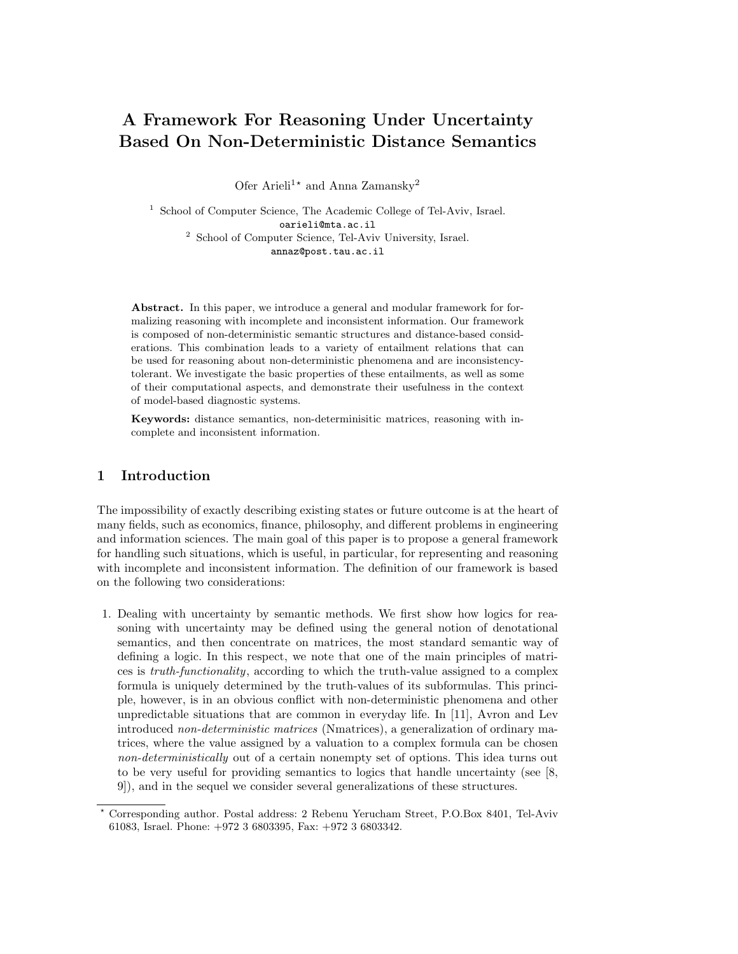# A Framework For Reasoning Under Uncertainty Based On Non-Deterministic Distance Semantics

Ofer Arieli<sup>1\*</sup> and Anna Zamansky<sup>2</sup>

<sup>1</sup> School of Computer Science, The Academic College of Tel-Aviv, Israel. oarieli@mta.ac.il <sup>2</sup> School of Computer Science, Tel-Aviv University, Israel. annaz@post.tau.ac.il

Abstract. In this paper, we introduce a general and modular framework for formalizing reasoning with incomplete and inconsistent information. Our framework is composed of non-deterministic semantic structures and distance-based considerations. This combination leads to a variety of entailment relations that can be used for reasoning about non-deterministic phenomena and are inconsistencytolerant. We investigate the basic properties of these entailments, as well as some of their computational aspects, and demonstrate their usefulness in the context of model-based diagnostic systems.

Keywords: distance semantics, non-determinisitic matrices, reasoning with incomplete and inconsistent information.

# 1 Introduction

The impossibility of exactly describing existing states or future outcome is at the heart of many fields, such as economics, finance, philosophy, and different problems in engineering and information sciences. The main goal of this paper is to propose a general framework for handling such situations, which is useful, in particular, for representing and reasoning with incomplete and inconsistent information. The definition of our framework is based on the following two considerations:

1. Dealing with uncertainty by semantic methods. We first show how logics for reasoning with uncertainty may be defined using the general notion of denotational semantics, and then concentrate on matrices, the most standard semantic way of defining a logic. In this respect, we note that one of the main principles of matrices is truth-functionality, according to which the truth-value assigned to a complex formula is uniquely determined by the truth-values of its subformulas. This principle, however, is in an obvious conflict with non-deterministic phenomena and other unpredictable situations that are common in everyday life. In [11], Avron and Lev introduced non-deterministic matrices (Nmatrices), a generalization of ordinary matrices, where the value assigned by a valuation to a complex formula can be chosen non-deterministically out of a certain nonempty set of options. This idea turns out to be very useful for providing semantics to logics that handle uncertainty (see [8, 9]), and in the sequel we consider several generalizations of these structures.

<sup>?</sup> Corresponding author. Postal address: 2 Rebenu Yerucham Street, P.O.Box 8401, Tel-Aviv 61083, Israel. Phone: +972 3 6803395, Fax: +972 3 6803342.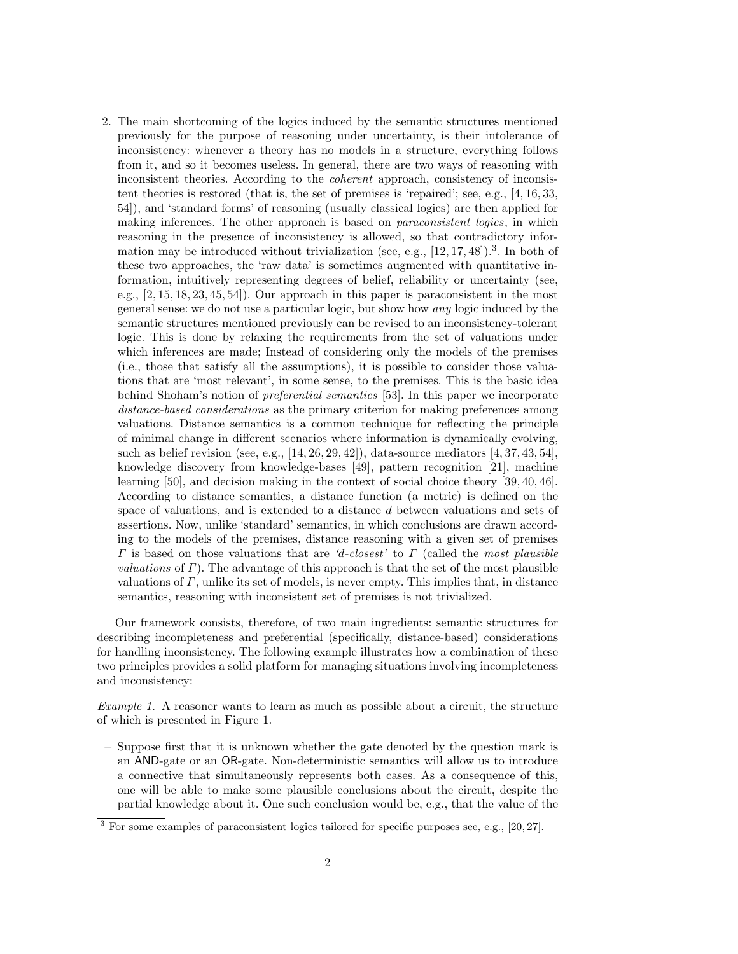2. The main shortcoming of the logics induced by the semantic structures mentioned previously for the purpose of reasoning under uncertainty, is their intolerance of inconsistency: whenever a theory has no models in a structure, everything follows from it, and so it becomes useless. In general, there are two ways of reasoning with inconsistent theories. According to the coherent approach, consistency of inconsistent theories is restored (that is, the set of premises is 'repaired'; see, e.g., [4, 16, 33, 54]), and 'standard forms' of reasoning (usually classical logics) are then applied for making inferences. The other approach is based on *paraconsistent logics*, in which reasoning in the presence of inconsistency is allowed, so that contradictory information may be introduced without trivialization (see, e.g.,  $[12, 17, 48]$ ).<sup>3</sup>. In both of these two approaches, the 'raw data' is sometimes augmented with quantitative information, intuitively representing degrees of belief, reliability or uncertainty (see, e.g., [2, 15, 18, 23, 45, 54]). Our approach in this paper is paraconsistent in the most general sense: we do not use a particular logic, but show how any logic induced by the semantic structures mentioned previously can be revised to an inconsistency-tolerant logic. This is done by relaxing the requirements from the set of valuations under which inferences are made; Instead of considering only the models of the premises (i.e., those that satisfy all the assumptions), it is possible to consider those valuations that are 'most relevant', in some sense, to the premises. This is the basic idea behind Shoham's notion of *preferential semantics* [53]. In this paper we incorporate distance-based considerations as the primary criterion for making preferences among valuations. Distance semantics is a common technique for reflecting the principle of minimal change in different scenarios where information is dynamically evolving, such as belief revision (see, e.g.,  $[14, 26, 29, 42]$ ), data-source mediators  $[4, 37, 43, 54]$ , knowledge discovery from knowledge-bases [49], pattern recognition [21], machine learning [50], and decision making in the context of social choice theory [39, 40, 46]. According to distance semantics, a distance function (a metric) is defined on the space of valuations, and is extended to a distance d between valuations and sets of assertions. Now, unlike 'standard' semantics, in which conclusions are drawn according to the models of the premises, distance reasoning with a given set of premises  $\Gamma$  is based on those valuations that are 'd-closest' to  $\Gamma$  (called the most plausible *valuations* of  $\Gamma$ ). The advantage of this approach is that the set of the most plausible valuations of  $\Gamma$ , unlike its set of models, is never empty. This implies that, in distance semantics, reasoning with inconsistent set of premises is not trivialized.

Our framework consists, therefore, of two main ingredients: semantic structures for describing incompleteness and preferential (specifically, distance-based) considerations for handling inconsistency. The following example illustrates how a combination of these two principles provides a solid platform for managing situations involving incompleteness and inconsistency:

Example 1. A reasoner wants to learn as much as possible about a circuit, the structure of which is presented in Figure 1.

– Suppose first that it is unknown whether the gate denoted by the question mark is an AND-gate or an OR-gate. Non-deterministic semantics will allow us to introduce a connective that simultaneously represents both cases. As a consequence of this, one will be able to make some plausible conclusions about the circuit, despite the partial knowledge about it. One such conclusion would be, e.g., that the value of the

<sup>3</sup> For some examples of paraconsistent logics tailored for specific purposes see, e.g., [20, 27].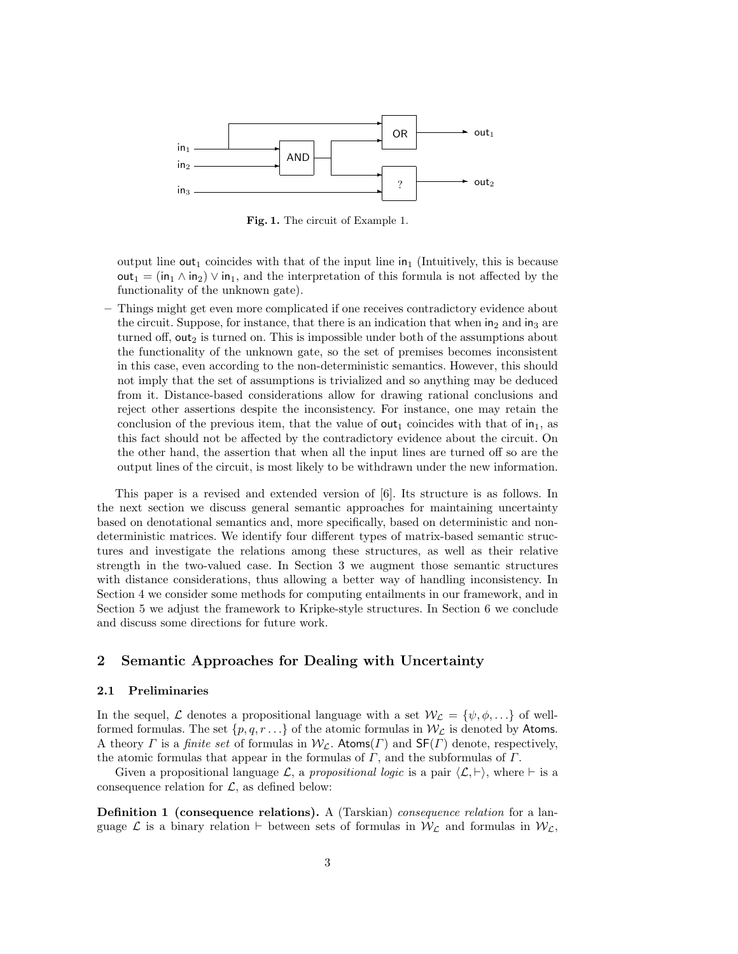

Fig. 1. The circuit of Example 1.

output line out<sub>1</sub> coincides with that of the input line in<sub>1</sub> (Intuitively, this is because  $out_1 = (in_1 \wedge in_2) \vee in_1$ , and the interpretation of this formula is not affected by the functionality of the unknown gate).

– Things might get even more complicated if one receives contradictory evidence about the circuit. Suppose, for instance, that there is an indication that when  $in_2$  and  $in_3$  are turned off, out<sub>2</sub> is turned on. This is impossible under both of the assumptions about the functionality of the unknown gate, so the set of premises becomes inconsistent in this case, even according to the non-deterministic semantics. However, this should not imply that the set of assumptions is trivialized and so anything may be deduced from it. Distance-based considerations allow for drawing rational conclusions and reject other assertions despite the inconsistency. For instance, one may retain the conclusion of the previous item, that the value of  $\text{out}_1$  coincides with that of  $\text{in}_1$ , as this fact should not be affected by the contradictory evidence about the circuit. On the other hand, the assertion that when all the input lines are turned off so are the output lines of the circuit, is most likely to be withdrawn under the new information.

This paper is a revised and extended version of [6]. Its structure is as follows. In the next section we discuss general semantic approaches for maintaining uncertainty based on denotational semantics and, more specifically, based on deterministic and nondeterministic matrices. We identify four different types of matrix-based semantic structures and investigate the relations among these structures, as well as their relative strength in the two-valued case. In Section 3 we augment those semantic structures with distance considerations, thus allowing a better way of handling inconsistency. In Section 4 we consider some methods for computing entailments in our framework, and in Section 5 we adjust the framework to Kripke-style structures. In Section 6 we conclude and discuss some directions for future work.

# 2 Semantic Approaches for Dealing with Uncertainty

#### 2.1 Preliminaries

In the sequel, L denotes a propositional language with a set  $W_{\mathcal{L}} = \{\psi, \phi, \ldots\}$  of wellformed formulas. The set  $\{p,q,r \ldots\}$  of the atomic formulas in  $W_{\mathcal{L}}$  is denoted by Atoms. A theory  $\Gamma$  is a finite set of formulas in  $W_{\mathcal{L}}$ . Atoms( $\Gamma$ ) and  $\mathsf{SF}(\Gamma)$  denote, respectively, the atomic formulas that appear in the formulas of  $\Gamma$ , and the subformulas of  $\Gamma$ .

Given a propositional language  $\mathcal{L}$ , a propositional logic is a pair  $\langle \mathcal{L}, \vdash \rangle$ , where  $\vdash$  is a consequence relation for  $\mathcal{L}$ , as defined below:

Definition 1 (consequence relations). A (Tarskian) consequence relation for a language  $\mathcal L$  is a binary relation  $\vdash$  between sets of formulas in  $\mathcal W_{\mathcal L}$ , and formulas in  $\mathcal W_{\mathcal L}$ ,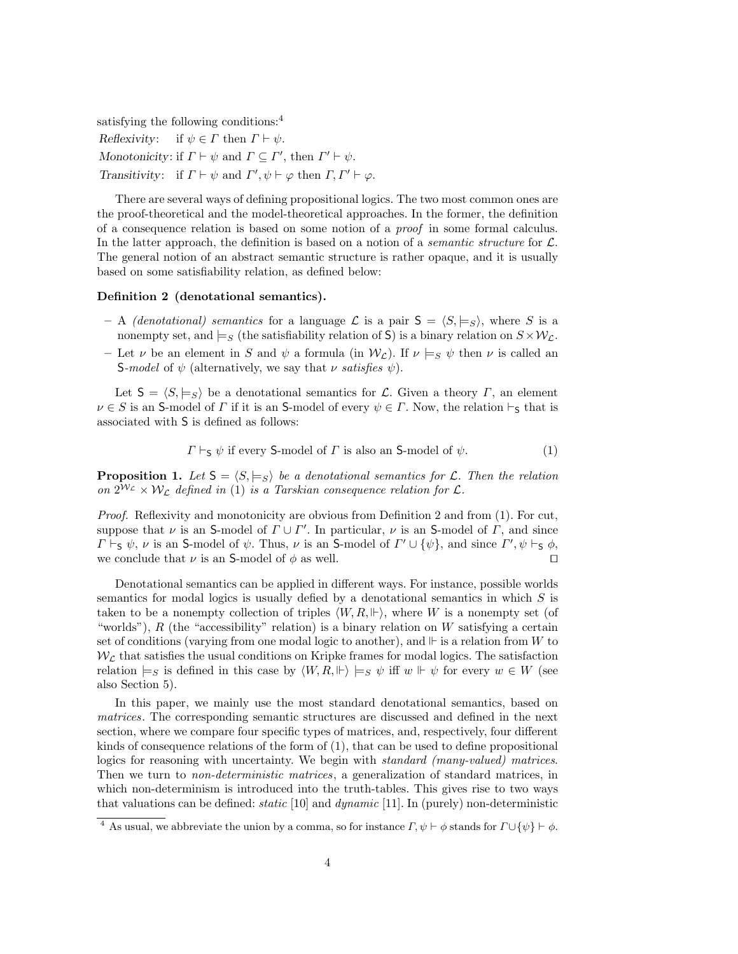satisfying the following conditions:<sup>4</sup>

Reflexivity: if  $\psi \in \Gamma$  then  $\Gamma \vdash \psi$ . Monotonicity: if  $\Gamma \vdash \psi$  and  $\Gamma \subseteq \Gamma'$ , then  $\Gamma' \vdash \psi$ . Transitivity: if  $\Gamma \vdash \psi$  and  $\Gamma', \psi \vdash \varphi$  then  $\Gamma, \Gamma' \vdash \varphi$ .

There are several ways of defining propositional logics. The two most common ones are the proof-theoretical and the model-theoretical approaches. In the former, the definition of a consequence relation is based on some notion of a proof in some formal calculus. In the latter approach, the definition is based on a notion of a *semantic structure* for  $\mathcal{L}$ . The general notion of an abstract semantic structure is rather opaque, and it is usually based on some satisfiability relation, as defined below:

#### Definition 2 (denotational semantics).

- A *(denotational)* semantics for a language L is a pair  $S = \langle S, \models s \rangle$ , where S is a nonempty set, and  $\models_S$  (the satisfiability relation of S) is a binary relation on  $S \times \mathcal{W}_C$ .
- Let  $\nu$  be an element in S and  $\psi$  a formula (in  $\mathcal{W}_{\mathcal{L}}$ ). If  $\nu \models_{S} \psi$  then  $\nu$  is called an S-model of  $\psi$  (alternatively, we say that  $\nu$  satisfies  $\psi$ ).

Let  $S = \langle S, \models_S \rangle$  be a denotational semantics for L. Given a theory Γ, an element  $\nu \in S$  is an S-model of  $\Gamma$  if it is an S-model of every  $\psi \in \Gamma$ . Now, the relation  $\vdash_S$  that is associated with S is defined as follows:

$$
\Gamma \vdash_{\mathsf{S}} \psi
$$
 if every  $\mathsf{S}\text{-model of } \Gamma$  is also an  $\mathsf{S}\text{-model of } \psi$ . (1)

**Proposition 1.** Let  $S = \langle S, \models_S \rangle$  be a denotational semantics for L. Then the relation on  $2^{\mathcal{W}_{\mathcal{L}}} \times \mathcal{W}_{\mathcal{L}}$  defined in (1) is a Tarskian consequence relation for  $\mathcal{L}$ .

Proof. Reflexivity and monotonicity are obvious from Definition 2 and from (1). For cut, suppose that  $\nu$  is an S-model of  $\Gamma \cup \Gamma'$ . In particular,  $\nu$  is an S-model of  $\Gamma$ , and since  $\Gamma \vdash_S \psi$ ,  $\nu$  is an S-model of  $\psi$ . Thus,  $\nu$  is an S-model of  $\Gamma' \cup {\psi}$ , and since  $\Gamma', \psi \vdash_S \phi$ , we conclude that  $\nu$  is an S-model of  $\phi$  as well.

Denotational semantics can be applied in different ways. For instance, possible worlds semantics for modal logics is usually defied by a denotational semantics in which S is taken to be a nonempty collection of triples  $\langle W, R, \Vdash \rangle$ , where W is a nonempty set (of "worlds"),  $R$  (the "accessibility" relation) is a binary relation on  $W$  satisfying a certain set of conditions (varying from one modal logic to another), and  $\Vdash$  is a relation from W to  $W_{\mathcal{L}}$  that satisfies the usual conditions on Kripke frames for modal logics. The satisfaction relation  $\models_S$  is defined in this case by  $\langle W, R, \Vdash \rangle \models_S \psi$  iff  $w \Vdash \psi$  for every  $w \in W$  (see also Section 5).

In this paper, we mainly use the most standard denotational semantics, based on matrices. The corresponding semantic structures are discussed and defined in the next section, where we compare four specific types of matrices, and, respectively, four different kinds of consequence relations of the form of (1), that can be used to define propositional logics for reasoning with uncertainty. We begin with standard (many-valued) matrices. Then we turn to *non-deterministic matrices*, a generalization of standard matrices, in which non-determinism is introduced into the truth-tables. This gives rise to two ways that valuations can be defined: *static* [10] and  $dynamic$  [11]. In (purely) non-deterministic

<sup>&</sup>lt;sup>4</sup> As usual, we abbreviate the union by a comma, so for instance  $\Gamma$ ,  $\psi \vdash \phi$  stands for  $\Gamma \cup \{\psi\} \vdash \phi$ .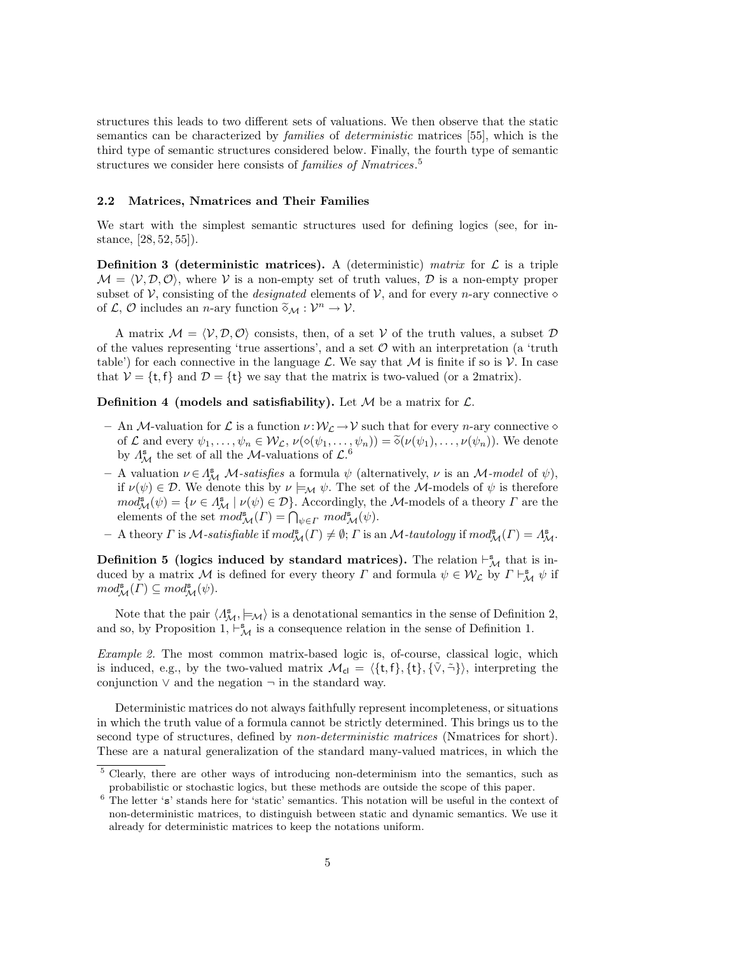structures this leads to two different sets of valuations. We then observe that the static semantics can be characterized by families of deterministic matrices [55], which is the third type of semantic structures considered below. Finally, the fourth type of semantic structures we consider here consists of *families of Nmatrices*.<sup>5</sup>

#### 2.2 Matrices, Nmatrices and Their Families

We start with the simplest semantic structures used for defining logics (see, for instance, [28, 52, 55]).

**Definition 3 (deterministic matrices).** A (deterministic) matrix for  $\mathcal{L}$  is a triple  $\mathcal{M} = \langle \mathcal{V}, \mathcal{D}, \mathcal{O} \rangle$ , where V is a non-empty set of truth values, D is a non-empty proper subset of V, consisting of the *designated* elements of V, and for every *n*-ary connective  $\diamond$ of  $\mathcal{L}, \mathcal{O}$  includes an *n*-ary function  $\widetilde{\diamond}_{\mathcal{M}} : \mathcal{V}^n \to \mathcal{V}$ .

A matrix  $M = \langle V, D, O \rangle$  consists, then, of a set V of the truth values, a subset D of the values representing 'true assertions', and a set  $\mathcal O$  with an interpretation (a 'truth table') for each connective in the language L. We say that  $\mathcal M$  is finite if so is  $\mathcal V$ . In case that  $V = \{t, f\}$  and  $\mathcal{D} = \{t\}$  we say that the matrix is two-valued (or a 2matrix).

**Definition 4 (models and satisfiability).** Let  $M$  be a matrix for  $\mathcal{L}$ .

- An M-valuation for L is a function  $\nu : W_{\mathcal{L}} \to V$  such that for every n-ary connective  $\diamond$ of  $\mathcal L$  and every  $\psi_1, \dots, \psi_n \in \mathcal W_{\mathcal L}, \nu(\diamond(\psi_1, \dots, \psi_n)) = \tilde{\diamond}(\nu(\psi_1), \dots, \nu(\psi_n)).$  We denote by  $\Lambda^s_{\mathcal M}$  the set of all the *M*-valuations of  $\mathcal L$ <sup>6</sup>
- A valuation  $\nu \in A_{\mathcal{M}}^s$  *M*-satisfies a formula  $\psi$  (alternatively,  $\nu$  is an *M*-model of  $\psi$ ), if  $\nu(\psi) \in \mathcal{D}$ . We denote this by  $\nu \models_{\mathcal{M}} \psi$ . The set of the *M*-models of  $\psi$  is therefore  $mod^s_{\mathcal{M}}(\psi) = \{ \nu \in \Lambda^s_{\mathcal{M}} \mid \nu(\psi) \in \mathcal{D} \}.$  Accordingly, the M-models of a theory  $\Gamma$  are the elements of the set  $mod_{\mathcal{M}}^s(\Gamma) = \bigcap_{\psi \in \Gamma} mod_{\mathcal{M}}^s(\psi)$ .
- $-$  A theory  $\Gamma$  is  $\mathcal M$ -satisfiable if  $mod_{\mathcal M}^{\mathbf{s}}(\Gamma) \neq \emptyset$ ;  $\Gamma$  is an  $\mathcal M$ -tautology if  $mod_{\mathcal M}^{\mathbf{s}}(\Gamma) = \Lambda_{\mathcal M}^{\mathbf{s}}$ .

**Definition 5** (logics induced by standard matrices). The relation  $\vdash^s_{\mathcal{M}}$  that is induced by a matrix M is defined for every theory  $\Gamma$  and formula  $\psi \in \mathcal{W}_\mathcal{L}$  by  $\Gamma \vdash^{\mathbf{s}}_{\mathcal{M}} \psi$  if  $mod^{\mathbf{s}}_{\mathcal{M}}(\Gamma) \subseteq mod^{\mathbf{s}}_{\mathcal{M}}(\psi).$ 

Note that the pair  $\langle A_{\mathcal{M}}^s, \models_{\mathcal{M}} \rangle$  is a denotational semantics in the sense of Definition 2, and so, by Proposition 1,  $\vdash^{\mathbf{s}}_{\mathcal{M}}$  is a consequence relation in the sense of Definition 1.

Example 2. The most common matrix-based logic is, of-course, classical logic, which is induced, e.g., by the two-valued matrix  $\mathcal{M}_{cl} = \langle \{t, f\}, \{t\}, \{\tilde{\vee}, \tilde{\neg}\}\rangle$ , interpreting the conjunction  $\vee$  and the negation  $\neg$  in the standard way.

Deterministic matrices do not always faithfully represent incompleteness, or situations in which the truth value of a formula cannot be strictly determined. This brings us to the second type of structures, defined by *non-deterministic matrices* (Nmatrices for short). These are a natural generalization of the standard many-valued matrices, in which the

<sup>5</sup> Clearly, there are other ways of introducing non-determinism into the semantics, such as probabilistic or stochastic logics, but these methods are outside the scope of this paper.

<sup>&</sup>lt;sup>6</sup> The letter 's' stands here for 'static' semantics. This notation will be useful in the context of non-deterministic matrices, to distinguish between static and dynamic semantics. We use it already for deterministic matrices to keep the notations uniform.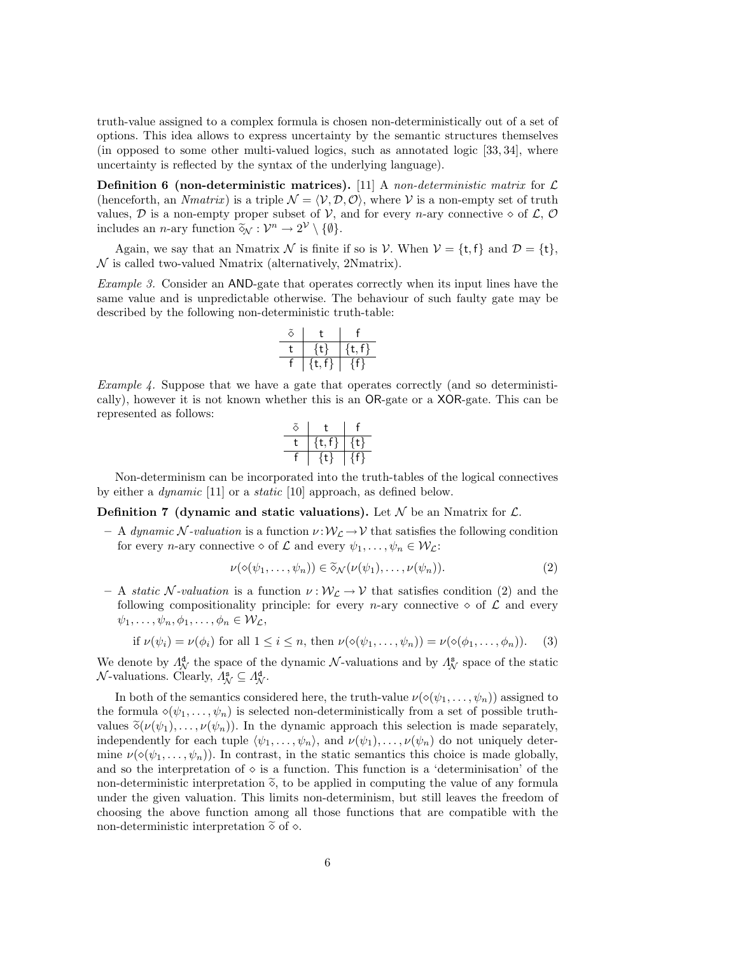truth-value assigned to a complex formula is chosen non-deterministically out of a set of options. This idea allows to express uncertainty by the semantic structures themselves (in opposed to some other multi-valued logics, such as annotated logic [33, 34], where uncertainty is reflected by the syntax of the underlying language).

Definition 6 (non-deterministic matrices). [11] A non-deterministic matrix for  $\mathcal L$ (henceforth, an *Nmatrix*) is a triple  $\mathcal{N} = \langle \mathcal{V}, \mathcal{D}, \mathcal{O} \rangle$ , where  $\mathcal{V}$  is a non-empty set of truth values,  $D$  is a non-empty proper subset of  $V$ , and for every *n*-ary connective  $\diamond$  of  $\mathcal{L}, \mathcal{O}$ includes an *n*-ary function  $\widetilde{\diamond}_{\mathcal{N}} : \mathcal{V}^n \to 2^{\mathcal{V}} \setminus \{\emptyset\}.$ 

Again, we say that an Nmatrix N is finite if so is V. When  $V = \{t, f\}$  and  $\mathcal{D} = \{t\}$ ,  $\mathcal N$  is called two-valued Nmatrix (alternatively, 2Nmatrix).

Example 3. Consider an AND-gate that operates correctly when its input lines have the same value and is unpredictable otherwise. The behaviour of such faulty gate may be described by the following non-deterministic truth-table:

$$
\begin{array}{c|c}\n\tilde{\diamond} & t & f \\
\hline\n t & \{t\} & \{t,f\} \\
\hline\nf & \{t,f\} & \{f\}\n\end{array}
$$

Example 4. Suppose that we have a gate that operates correctly (and so deterministically), however it is not known whether this is an OR-gate or a XOR-gate. This can be represented as follows:

Non-determinism can be incorporated into the truth-tables of the logical connectives by either a *dynamic* [11] or a *static* [10] approach, as defined below.

**Definition 7 (dynamic and static valuations).** Let  $\mathcal N$  be an Nmatrix for  $\mathcal L$ .

– A dynamic N-valuation is a function  $\nu : \mathcal{W}_\mathcal{L} \to \mathcal{V}$  that satisfies the following condition for every *n*-ary connective  $\diamond$  of  $\mathcal L$  and every  $\psi_1, \ldots, \psi_n \in \mathcal W_{\mathcal L}$ :

$$
\nu(\diamond(\psi_1,\ldots,\psi_n))\in\widetilde{\diamond}_{\mathcal{N}}(\nu(\psi_1),\ldots,\nu(\psi_n)).\tag{2}
$$

– A static N-valuation is a function  $\nu : \mathcal{W}_{\mathcal{L}} \to \mathcal{V}$  that satisfies condition (2) and the following compositionality principle: for every *n*-ary connective  $\diamond$  of  $\mathcal L$  and every  $\psi_1, \ldots, \psi_n, \phi_1, \ldots, \phi_n \in \mathcal{W}_\mathcal{L},$ 

if 
$$
\nu(\psi_i) = \nu(\phi_i)
$$
 for all  $1 \leq i \leq n$ , then  $\nu(\diamond(\psi_1, \dots, \psi_n)) = \nu(\diamond(\phi_1, \dots, \phi_n))$ . (3)

We denote by  $\Lambda^{\mathbf{d}}_{\mathcal{N}}$  the space of the dynamic  $\mathcal{N}$ -valuations and by  $\Lambda^{\mathbf{s}}_{\mathcal{N}}$  space of the static  $\mathcal{N}\text{-valuations. Clearly, } \Lambda^{\mathbf{s}}_{\mathcal{N}} \subseteq \Lambda^{\mathbf{d}}_{\mathcal{N}}.$ 

In both of the semantics considered here, the truth-value  $\nu(\diamond(\psi_1,\ldots,\psi_n))$  assigned to the formula  $\diamond(\psi_1,\ldots,\psi_n)$  is selected non-deterministically from a set of possible truthvalues  $\tilde{\diamond}(\nu(\psi_1), \ldots, \nu(\psi_n))$ . In the dynamic approach this selection is made separately, independently for each tuple  $\langle \psi_1, \ldots, \psi_n \rangle$ , and  $\nu(\psi_1), \ldots, \nu(\psi_n)$  do not uniquely determine  $\nu(\diamond(\psi_1,\ldots,\psi_n))$ . In contrast, in the static semantics this choice is made globally, and so the interpretation of  $\circ$  is a function. This function is a 'determinisation' of the non-deterministic interpretation  $\tilde{\diamond}$ , to be applied in computing the value of any formula under the given valuation. This limits non-determinism, but still leaves the freedom of choosing the above function among all those functions that are compatible with the non-deterministic interpretation  $\tilde{\diamond}$  of  $\diamond$ .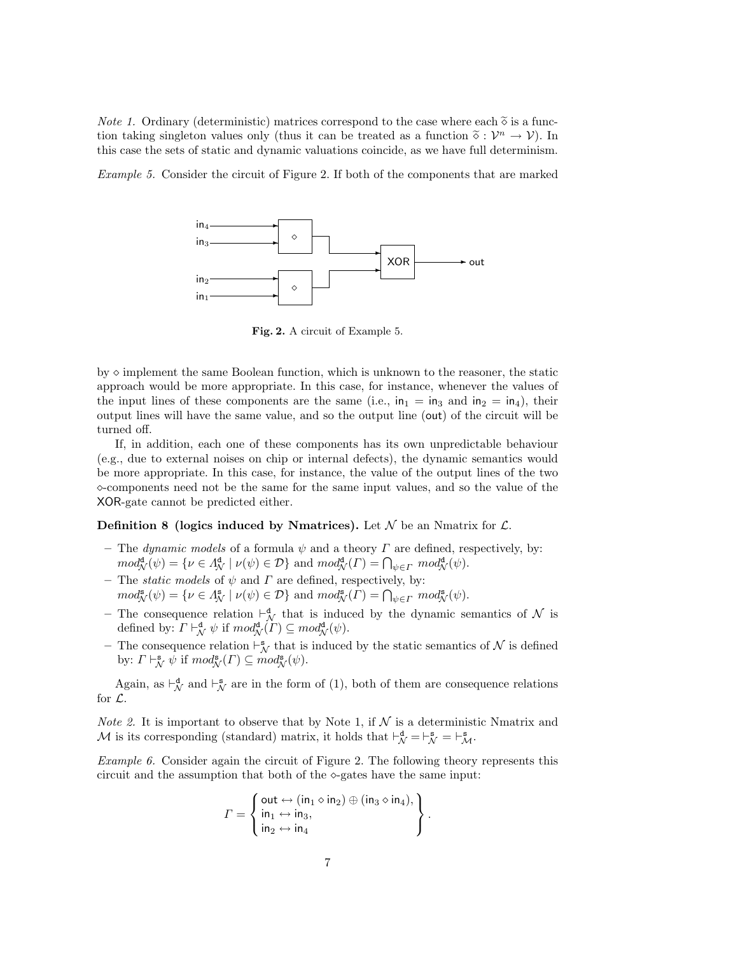*Note 1.* Ordinary (deterministic) matrices correspond to the case where each  $\tilde{\diamond}$  is a function taking singleton values only (thus it can be treated as a function  $\tilde{\diamond}: \mathcal{V}^n \to \mathcal{V}$ ). In this case the sets of static and dynamic valuations coincide, as we have full determinism this case the sets of static and dynamic valuations coincide, as we have full determinism.

Example 5. Consider the circuit of Figure 2. If both of the components that are marked



Fig. 2. A circuit of Example 5.

by  $\diamond$  implement the same Boolean function, which is unknown to the reasoner, the static approach would be more appropriate. In this case, for instance, whenever the values of the input lines of these components are the same (i.e.,  $in_1 = in_3$  and  $in_2 = in_4$ ), their output lines will have the same value, and so the output line (out) of the circuit will be turned off.

If, in addition, each one of these components has its own unpredictable behaviour (e.g., due to external noises on chip or internal defects), the dynamic semantics would be more appropriate. In this case, for instance, the value of the output lines of the two  $\infty$ -components need not be the same for the same input values, and so the value of the XOR-gate cannot be predicted either.

#### **Definition 8 (logics induced by Nmatrices).** Let  $\mathcal N$  be an Nmatrix for  $\mathcal L$ .

- The dynamic models of a formula  $\psi$  and a theory  $\Gamma$  are defined, respectively, by:  $mod_{\mathcal{N}}^{\mathbf{d}}(\psi) = \{ \nu \in \Lambda_{\mathcal{N}}^{\mathbf{d}} \mid \nu(\psi) \in \mathcal{D} \}$  and  $mod_{\mathcal{N}}^{\mathbf{d}}(\Gamma) = \bigcap_{\psi \in \Gamma} mod_{\mathcal{N}}^{\mathbf{d}}(\psi)$ .
- The *static models* of  $\psi$  and  $\Gamma$  are defined, respectively, by:  $mod^{\mathbf{s}}_{\mathcal{N}}(\psi) = \{ \nu \in \Lambda^{\mathbf{s}}_{\mathcal{N}} \mid \nu(\psi) \in \mathcal{D} \}$  and  $mod^{\mathbf{s}}_{\mathcal{N}}(\Gamma) = \bigcap_{\psi \in \Gamma} mod^{\mathbf{s}}_{\mathcal{N}}(\psi)$ .
- The consequence relation  $\vdash^{\mathbf{d}}_{\mathcal{N}}$  that is induced by the dynamic semantics of  $\mathcal{N}$  is defined by:  $\Gamma \vdash_{\mathcal{N}}^{\mathbf{d}} \psi$  if  $mod_{\mathcal{N}}^{\mathbf{d}}(\Gamma) \subseteq mod_{\mathcal{N}}^{\mathbf{d}}(\psi)$ .
- The consequence relation  $\vdash_N^s$  that is induced by the static semantics of N is defined by:  $\Gamma \vdash_{\mathcal{N}}^{\mathbf{s}} \psi$  if  $mod_{\mathcal{N}}^{\mathbf{s}}(\Gamma) \subseteq mod_{\mathcal{N}}^{\mathbf{s}}(\psi)$ .

Again, as  $\vdash_{\mathcal{N}}^{\mathbf{d}}$  and  $\vdash_{\mathcal{N}}^{\mathbf{s}}$  are in the form of (1), both of them are consequence relations for L.

*Note 2.* It is important to observe that by Note 1, if  $N$  is a deterministic Nmatrix and M is its corresponding (standard) matrix, it holds that  $\vdash^{\mathbf{d}}_{\mathcal{N}} = \vdash^{\mathbf{s}}_{\mathcal{M}} = \vdash^{\mathbf{s}}_{\mathcal{M}}$ .

Example 6. Consider again the circuit of Figure 2. The following theory represents this circuit and the assumption that both of the  $\infty$ -gates have the same input:

$$
\Gamma = \left\{ \begin{aligned} \text{out} &\leftrightarrow (\text{in}_1 \diamond \text{in}_2) \oplus (\text{in}_3 \diamond \text{in}_4), \\ \text{in}_1 &\leftrightarrow \text{in}_3, \\ \text{in}_2 &\leftrightarrow \text{in}_4 \end{aligned} \right\}.
$$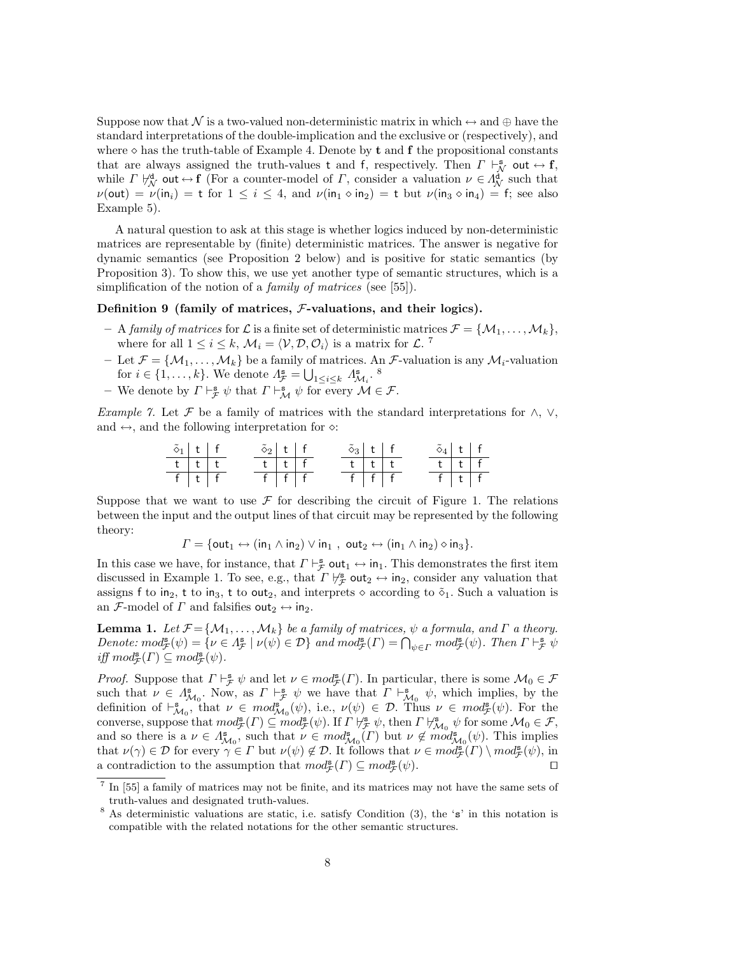Suppose now that N is a two-valued non-deterministic matrix in which  $\leftrightarrow$  and  $\oplus$  have the standard interpretations of the double-implication and the exclusive or (respectively), and where  $\diamond$  has the truth-table of Example 4. Denote by **t** and **f** the propositional constants that are always assigned the truth-values t and f, respectively. Then  $\Gamma \vdash_N^s$  out  $\leftrightarrow f$ , while  $\Gamma \not\vdash_{\mathcal{N}}^{\mathbf{d}}$  out  $\leftrightarrow$  f (For a counter-model of  $\Gamma$ , consider a valuation  $\nu \in \Lambda^{\mathbf{d}}_{\mathcal{N}}$  such that  $\nu(\text{out}) = \nu(\text{in}_i) = t$  for  $1 \le i \le 4$ , and  $\nu(\text{in}_1 \circ \text{in}_2) = t$  but  $\nu(\text{in}_3 \circ \text{in}_4) = f$ ; see also Example 5).

A natural question to ask at this stage is whether logics induced by non-deterministic matrices are representable by (finite) deterministic matrices. The answer is negative for dynamic semantics (see Proposition 2 below) and is positive for static semantics (by Proposition 3). To show this, we use yet another type of semantic structures, which is a simplification of the notion of a *family of matrices* (see [55]).

#### Definition 9 (family of matrices,  $F$ -valuations, and their logics).

- A family of matrices for L is a finite set of deterministic matrices  $\mathcal{F} = \{M_1, \ldots, M_k\},\$ where for all  $1 \leq i \leq k$ ,  $\mathcal{M}_i = \langle \mathcal{V}, \mathcal{D}, \mathcal{O}_i \rangle$  is a matrix for  $\mathcal{L}$ .<sup>7</sup>
- Let  $\mathcal{F} = \{M_1, \ldots, M_k\}$  be a family of matrices. An  $\mathcal{F}$ -valuation is any  $M_i$ -valuation for  $i \in \{1, ..., k\}$ . We denote  $\Lambda_{\mathcal{F}}^{\mathbf{s}} = \bigcup_{1 \leq i \leq k} \Lambda_{\mathcal{M}_i}^{\mathbf{s}}$ .
- We denote by  $\Gamma \vdash_{\mathcal{F}}^{\mathbf{s}} \psi$  that  $\Gamma \vdash_{\mathcal{M}}^{\mathbf{s}} \psi$  for every  $\mathcal{M} \in \mathcal{F}$ .

Example 7. Let F be a family of matrices with the standard interpretations for  $\wedge$ ,  $\vee$ , and  $\leftrightarrow$ , and the following interpretation for  $\diamond$ :

$$
\begin{array}{c|ccccc}\n\tilde{\diamond}_1 & t & f & \tilde{\diamond}_2 & t & f & \tilde{\diamond}_3 & t & f & \tilde{\diamond}_4 & t & f \\
\hline\hline t & t & t & t & t & t & t & t & t \\
\hline f & t & f & f & f & f & f & f & f & f\n\end{array}\n\qquad\n\begin{array}{c|ccccc}\n\tilde{\diamond}_3 & t & f & f & \tilde{\diamond}_4 & t & f \\
\hline t & t & t & t & t & f & f \\
\hline f & f & f & f & f & f & f\n\end{array}
$$

Suppose that we want to use  $\mathcal F$  for describing the circuit of Figure 1. The relations between the input and the output lines of that circuit may be represented by the following theory:

$$
\Gamma = \{ \text{out}_1 \leftrightarrow (\text{in}_1 \wedge \text{in}_2) \vee \text{in}_1 , \text{ out}_2 \leftrightarrow (\text{in}_1 \wedge \text{in}_2) \diamond \text{in}_3 \}.
$$

In this case we have, for instance, that  $\Gamma \vdash_{\mathcal{F}}^s \text{out}_1 \leftrightarrow \text{in}_1$ . This demonstrates the first item discussed in Example 1. To see, e.g., that  $\Gamma \not\vdash_{\mathcal{F}}^s \text{out}_2 \leftrightarrow \text{in}_2$ , consider any valuation that assigns f to in<sub>2</sub>, t to in<sub>3</sub>, t to out<sub>2</sub>, and interprets  $\diamond$  according to  $\tilde{\diamond}_1$ . Such a valuation is an F-model of  $\Gamma$  and falsifies out<sub>2</sub>  $\leftrightarrow$  in<sub>2</sub>.

**Lemma 1.** Let  $\mathcal{F} = {\mathcal{M}_1, \ldots, \mathcal{M}_k}$  be a family of matrices,  $\psi$  a formula, and  $\Gamma$  a theory. Denote:  $mod_{\mathcal{F}}^{\mathbf{s}}(\psi) = \{ \nu \in \Lambda_{\mathcal{F}}^{\mathbf{s}} \mid \nu(\psi) \in \mathcal{D} \}$  and  $mod_{\mathcal{F}}^{\mathbf{s}}(\Gamma) = \bigcap_{\psi \in \Gamma} mod_{\mathcal{F}}^{\mathbf{s}}(\psi)$ . Then  $\Gamma \vdash_{\mathcal{F}}^{\mathbf{s}} \psi$ iff  $mod_{\mathcal{F}}^{\mathbf{s}}(\Gamma) \subseteq mod_{\mathcal{F}}^{\mathbf{s}}(\psi)$ .

*Proof.* Suppose that  $\Gamma \vdash_{\mathcal{F}}^s \psi$  and let  $\nu \in mod_{\mathcal{F}}^s(\Gamma)$ . In particular, there is some  $\mathcal{M}_0 \in \mathcal{F}$ such that  $\nu \in \Lambda_{\mathcal{M}_0}^s$ . Now, as  $\Gamma \vdash^s_{\mathcal{F}} \psi$  we have that  $\Gamma \vdash^s_{\mathcal{M}_0} \psi$ , which implies, by the definition of  $\vdash^{\mathbf{s}}_{\mathcal{M}_0}$ , that  $\nu \in \text{mod}^{\mathbf{s}}_{\mathcal{M}_0}(\psi)$ , i.e.,  $\nu(\psi) \in \mathcal{D}$ . Thus  $\nu \in \text{mod}^{\mathbf{s}}_{\mathcal{F}}(\psi)$ . For the converse, suppose that  $mod_{\mathcal{F}}^{\mathbf{s}}(\Gamma) \subseteq mod_{\mathcal{F}}^{\mathbf{s}}(\psi)$ . If  $\Gamma \nvDash_{\mathcal{F}}^{\mathbf{s}} \psi$ , then  $\Gamma \nvDash_{\mathcal{M}_0}^{\mathbf{s}} \psi$  for some  $\mathcal{M}_0 \in \mathcal{F}$ , and so there is a  $\nu \in \Lambda_{\mathcal{M}_0}^s$ , such that  $\nu \in \text{mod}_{\mathcal{M}_0}^s(\Gamma)$  but  $\nu \notin \text{mod}_{\mathcal{M}_0}^s(\psi)$ . This implies that  $\nu(\gamma) \in \mathcal{D}$  for every  $\gamma \in \Gamma$  but  $\nu(\psi) \notin \mathcal{D}$ . It follows that  $\nu \in \mathit{mod}^{\mathbf{s}}_{\mathcal{F}}(\Gamma) \setminus \mathit{mod}^{\mathbf{s}}_{\mathcal{F}}(\psi)$ , in a contradiction to the assumption that  $mod^s_{\mathcal{F}}(\Gamma) \subseteq mod^s_{\mathcal{F}}(\psi)$ .

<sup>7</sup> In [55] a family of matrices may not be finite, and its matrices may not have the same sets of truth-values and designated truth-values.

<sup>8</sup> As deterministic valuations are static, i.e. satisfy Condition (3), the 's' in this notation is compatible with the related notations for the other semantic structures.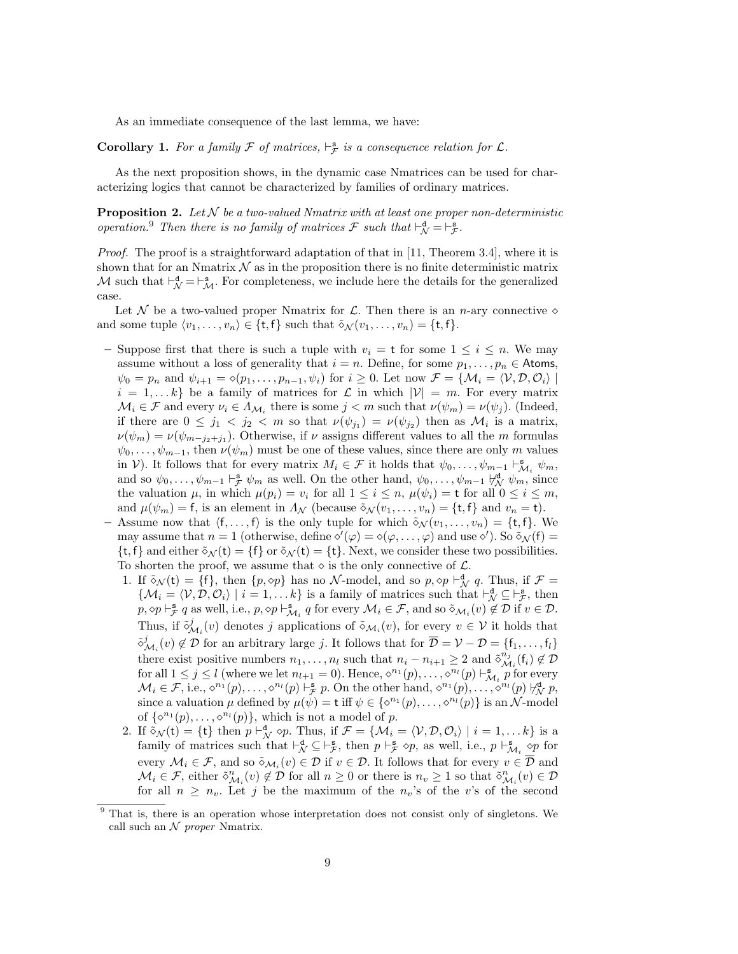As an immediate consequence of the last lemma, we have:

**Corollary 1.** For a family  $\mathcal F$  of matrices,  $\vdash^s_{\mathcal F}$  is a consequence relation for  $\mathcal L$ .

As the next proposition shows, in the dynamic case Nmatrices can be used for characterizing logics that cannot be characterized by families of ordinary matrices.

**Proposition 2.** Let  $N$  be a two-valued Nmatrix with at least one proper non-deterministic operation.<sup>9</sup> Then there is no family of matrices  $\mathcal F$  such that  $\vdash_N^d = \vdash_{\mathcal F}^s$ .

Proof. The proof is a straightforward adaptation of that in [11, Theorem 3.4], where it is shown that for an Nmatrix  $\mathcal N$  as in the proposition there is no finite deterministic matrix M such that  $\vdash^{\mathbf{d}}_{\mathcal{N}} = \vdash^{\mathbf{s}}_{\mathcal{M}}$ . For completeness, we include here the details for the generalized case.

Let  $\mathcal N$  be a two-valued proper Nmatrix for  $\mathcal L$ . Then there is an *n*-ary connective  $\diamond$ and some tuple  $\langle v_1, \ldots, v_n \rangle \in \{\mathsf{t}, \mathsf{f}\}\$  such that  $\tilde{\diamond}_{\mathcal{N}}(v_1, \ldots, v_n) = \{\mathsf{t}, \mathsf{f}\}\$ .

- Suppose first that there is such a tuple with  $v_i = t$  for some  $1 \leq i \leq n$ . We may assume without a loss of generality that  $i = n$ . Define, for some  $p_1, \ldots, p_n \in$  Atoms,  $\psi_0 = p_n$  and  $\psi_{i+1} = \phi(p_1, \ldots, p_{n-1}, \psi_i)$  for  $i \geq 0$ . Let now  $\mathcal{F} = \{ \mathcal{M}_i = \langle \mathcal{V}, \mathcal{D}, \mathcal{O}_i \rangle \mid$  $i = 1, \ldots k$  be a family of matrices for  $\mathcal L$  in which  $|\mathcal V| = m$ . For every matrix  $\mathcal{M}_i \in \mathcal{F}$  and every  $\nu_i \in \Lambda_{\mathcal{M}_i}$  there is some  $j < m$  such that  $\nu(\psi_m) = \nu(\psi_j)$ . (Indeed, if there are  $0 \leq j_1 < j_2 < m$  so that  $\nu(\psi_{j_1}) = \nu(\psi_{j_2})$  then as  $\mathcal{M}_i$  is a matrix,  $\nu(\psi_m) = \nu(\psi_{m-j_2+j_1})$ . Otherwise, if  $\nu$  assigns different values to all the m formulas  $\psi_0, \ldots, \psi_{m-1}$ , then  $\nu(\psi_m)$  must be one of these values, since there are only m values in V). It follows that for every matrix  $M_i \in \mathcal{F}$  it holds that  $\psi_0, \ldots, \psi_{m-1} \vdash_{\mathcal{M}_i}^{\mathbf{s}} \psi_m$ , and so  $\psi_0, \ldots, \psi_{m-1} \vdash_{\mathcal{F}}^s \psi_m$  as well. On the other hand,  $\psi_0, \ldots, \psi_{m-1} \not\vdash_{\mathcal{N}}^d \psi_m$ , since the valuation  $\mu$ , in which  $\mu(p_i) = v_i$  for all  $1 \leq i \leq n$ ,  $\mu(\psi_i) = t$  for all  $0 \leq i \leq m$ , and  $\mu(\psi_m) = f$ , is an element in  $\Lambda_{\mathcal{N}}$  (because  $\tilde{\diamond}_{\mathcal{N}}(v_1, \ldots, v_n) = \{t, f\}$  and  $v_n = t$ ).
- Assume now that  $\langle f, \ldots, f \rangle$  is the only tuple for which  $\tilde{\diamond}_N (v_1, \ldots, v_n) = \{t, f\}$ . We may assume that  $n = 1$  (otherwise, define  $\mathcal{O}'(\varphi) = \mathcal{O}(\varphi, \dots, \varphi)$  and use  $\mathcal{O}'$ ). So  $\mathcal{S}_{\mathcal{N}}(f) =$  $\{t, f\}$  and either  $\delta_{\mathcal{N}}(t) = \{f\}$  or  $\delta_{\mathcal{N}}(t) = \{t\}$ . Next, we consider these two possibilities. To shorten the proof, we assume that  $\diamond$  is the only connective of  $\mathcal{L}$ .
	- 1. If  $\tilde{\diamond}_{\mathcal{N}}(t) = \{f\}$ , then  $\{p, \diamond p\}$  has no N-model, and so  $p, \diamond p \vdash_{\mathcal{N}}^d q$ . Thus, if  $\mathcal{F} =$  $\{\mathcal{M}_i = \langle \mathcal{V}, \mathcal{D}, \mathcal{O}_i \rangle \mid i = 1, \dots k\}$  is a family of matrices such that  $\vdash_{\mathcal{N}}^{\mathbf{d}} \subseteq \vdash_{\mathcal{F}}^{\mathbf{s}}$ , then  $p, \Diamond p \vdash_{\mathcal{F}}^{\mathbf{s}} q$  as well, i.e.,  $p, \Diamond p \vdash_{\mathcal{M}_i}^{\mathbf{s}} q$  for every  $\mathcal{M}_i \in \mathcal{F}$ , and so  $\tilde{\diamond}_{\mathcal{M}_i}(v) \notin \mathcal{D}$  if  $v \in \mathcal{D}$ . Thus, if  $\tilde{\delta}_{\mathcal{M}_i}(v)$  denotes j applications of  $\tilde{\delta}_{\mathcal{M}_i}(v)$ , for every  $v \in \mathcal{V}$  it holds that  $\tilde{\varphi}^j_{\mathcal{M}_i}(v) \notin \mathcal{D}$  for an arbitrary large j. It follows that for  $\overline{\mathcal{D}} = \mathcal{V} - \mathcal{D} = \{f_1, \ldots, f_l\}$ there exist positive numbers  $n_1, \ldots, n_l$  such that  $n_i - n_{i+1} \geq 2$  and  $\tilde{\delta}_{\mathcal{M}}^{n_j}$  $\mathcal{M}_i^{n_j}(\mathsf{f}_i) \notin \mathcal{D}$ for all  $1 \leq j \leq l$  (where we let  $n_{l+1} = 0$ ). Hence,  $\diamond^{n_1}(p), \ldots, \diamond^{n_l}(p) \vdash_{\mathcal{M}_i}^s p$  for every  $\mathcal{M}_i \in \mathcal{F}$ , i.e.,  $\Diamond^{n_1}(p), \ldots, \Diamond^{n_l}(p) \vdash_{\mathcal{F}}^{\mathbf{s}} p$ . On the other hand,  $\Diamond^{n_1}(p), \ldots, \Diamond^{n_l}(p) \not\vdash_{\mathcal{N}}^{\mathbf{d}} p$ , since a valuation  $\mu$  defined by  $\mu(\psi) = \mathsf{t}$  iff  $\psi \in {\lbrace \diamond^{n_1}(p), \ldots, \diamond^{n_l}(p) \rbrace}$  is an N-model of  $\{\diamond^{n_1}(p), \ldots, \diamond^{n_l}(p)\}\$ , which is not a model of p.
	- 2. If  $\tilde{\diamond}_{\mathcal{N}}(t) = \{t\}$  then  $p \vdash_{\mathcal{N}}^{\mathbf{d}} \diamond p$ . Thus, if  $\mathcal{F} = \{M_i = \langle \mathcal{V}, \mathcal{D}, \mathcal{O}_i \rangle \mid i = 1, \dots k\}$  is a family of matrices such that  $\vdash^{\mathbf{d}}_{\mathcal{N}} \subseteq \vdash^{\mathbf{s}}_{\mathcal{F}}$ , then  $p \vdash^{\mathbf{s}}_{\mathcal{F}} \diamond p$ , as well, i.e.,  $p \vdash^{\mathbf{s}}_{\mathcal{M}_i} \diamond p$  for every  $\mathcal{M}_i \in \mathcal{F}$ , and so  $\delta_{\mathcal{M}_i}(v) \in \mathcal{D}$  if  $v \in \mathcal{D}$ . It follows that for every  $v \in \mathcal{D}$  and  $\mathcal{M}_i \in \mathcal{F}$ , either  $\tilde{\delta}_{\mathcal{M}_i}^n(v) \notin \mathcal{D}$  for all  $n \geq 0$  or there is  $n_v \geq 1$  so that  $\tilde{\delta}_{\mathcal{M}_i}^n(v) \in \mathcal{D}$ for all  $n \geq n_v$ . Let j be the maximum of the  $n_v$ 's of the v's of the second

<sup>9</sup> That is, there is an operation whose interpretation does not consist only of singletons. We call such an  $\mathcal N$  proper Nmatrix.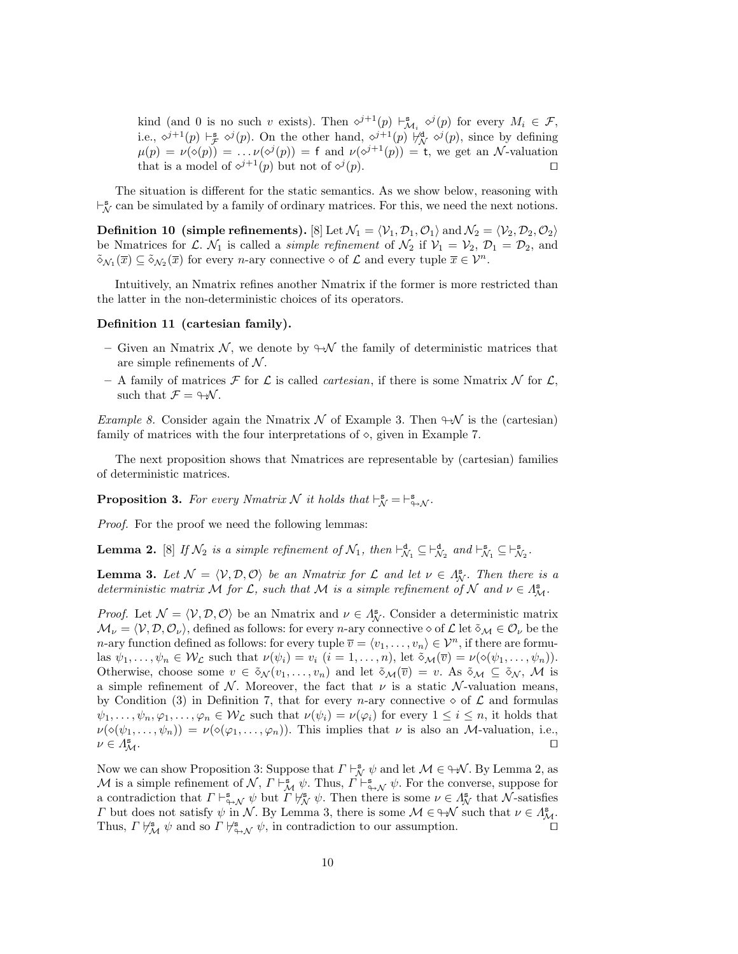kind (and 0 is no such v exists). Then  $\varphi^{j+1}(p) \vdash^{\mathbf{s}}_{\mathcal{M}_i} \varphi^j(p)$  for every  $M_i \in \mathcal{F}$ , i.e.,  $\phi^{j+1}(p) \vdash_{\mathcal{F}}^{\mathbf{s}} \phi^j(p)$ . On the other hand,  $\phi^{j+1}(p) \not\vdash_{\mathcal{N}}^{\mathbf{d}} \phi^j(p)$ , since by defining  $\mu(p) = \nu(\delta(p)) = \ldots \nu(\delta^j(p)) = f$  and  $\nu(\delta^{j+1}(p)) = f$ , we get an N-valuation that is a model of  $\phi^{j+1}(p)$  but not of  $\phi^j$  $(p).$ 

The situation is different for the static semantics. As we show below, reasoning with  $\vdash_N^s$  can be simulated by a family of ordinary matrices. For this, we need the next notions.

**Definition 10 (simple refinements).** [8] Let  $\mathcal{N}_1 = \langle \mathcal{V}_1, \mathcal{D}_1, \mathcal{O}_1 \rangle$  and  $\mathcal{N}_2 = \langle \mathcal{V}_2, \mathcal{D}_2, \mathcal{O}_2 \rangle$ be Nmatrices for L.  $\mathcal{N}_1$  is called a *simple refinement* of  $\mathcal{N}_2$  if  $\mathcal{V}_1 = \mathcal{V}_2$ ,  $\mathcal{D}_1 = \mathcal{D}_2$ , and  $\tilde{\diamond}_{\mathcal{N}_1}(\overline{x}) \subseteq \tilde{\diamond}_{\mathcal{N}_2}(\overline{x})$  for every n-ary connective  $\diamond$  of  $\mathcal L$  and every tuple  $\overline{x} \in \mathcal V^n$ .

Intuitively, an Nmatrix refines another Nmatrix if the former is more restricted than the latter in the non-deterministic choices of its operators.

#### Definition 11 (cartesian family).

- Given an Nmatrix  $\mathcal{N}$ , we denote by  $\Theta \mathcal{N}$  the family of deterministic matrices that are simple refinements of  $\mathcal N$ .
- A family of matrices  $\mathcal F$  for  $\mathcal L$  is called *cartesian*, if there is some Nmatrix N for  $\mathcal L$ , such that  $\mathcal{F} = \Theta \mathcal{N}$ .

*Example 8.* Consider again the Nmatrix  $\mathcal N$  of Example 3. Then  $\Theta\mathcal N$  is the (cartesian) family of matrices with the four interpretations of  $\diamond$ , given in Example 7.

The next proposition shows that Nmatrices are representable by (cartesian) families of deterministic matrices.

**Proposition 3.** For every Nmatrix N it holds that  $\vdash^{\mathbf{s}}_{\mathcal{N}} = \vdash^{\mathbf{s}}_{\Leftrightarrow \mathcal{N}}$ .

Proof. For the proof we need the following lemmas:

**Lemma 2.** [8] If  $\mathcal{N}_2$  is a simple refinement of  $\mathcal{N}_1$ , then  $\vdash^d_{\mathcal{N}_1} \subseteq \vdash^d_{\mathcal{N}_2}$  and  $\vdash^s_{\mathcal{N}_1} \subseteq \vdash^s_{\mathcal{N}_2}$ .

**Lemma 3.** Let  $\mathcal{N} = \langle \mathcal{V}, \mathcal{D}, \mathcal{O} \rangle$  be an Nmatrix for  $\mathcal{L}$  and let  $\nu \in \Lambda_{\mathcal{N}}^s$ . Then there is a deterministic matrix M for L, such that M is a simple refinement of N and  $\nu \in \Lambda_M^s$ .

*Proof.* Let  $\mathcal{N} = \langle \mathcal{V}, \mathcal{D}, \mathcal{O} \rangle$  be an Nmatrix and  $\nu \in \Lambda_N^{\mathbf{s}}$ . Consider a deterministic matrix  $\mathcal{M}_{\nu} = \langle \mathcal{V}, \mathcal{D}, \mathcal{O}_{\nu} \rangle$ , defined as follows: for every n-ary connective  $\diamond$  of  $\mathcal{L}$  let  $\delta_{\mathcal{M}} \in \mathcal{O}_{\nu}$  be the n-ary function defined as follows: for every tuple  $\overline{v} = \langle v_1, \ldots, v_n \rangle \in \mathcal{V}^n$ , if there are formulas  $\psi_1, \ldots, \psi_n \in \mathcal{W}_\mathcal{L}$  such that  $\nu(\psi_i) = v_i$   $(i = 1, \ldots, n)$ , let  $\tilde{\diamond}_{\mathcal{M}}(\overline{v}) = \nu(\diamond(\psi_1, \ldots, \psi_n)).$ Otherwise, choose some  $v \in \tilde{\diamond}_{\mathcal{N}}(v_1,\ldots,v_n)$  and let  $\tilde{\diamond}_{\mathcal{M}}(\overline{v})=v$ . As  $\tilde{\diamond}_{\mathcal{M}}\subseteq \tilde{\diamond}_{\mathcal{N}}$ , M is a simple refinement of N. Moreover, the fact that  $\nu$  is a static N-valuation means, by Condition (3) in Definition 7, that for every *n*-ary connective  $\diamond$  of  $\mathcal L$  and formulas  $\psi_1, \ldots, \psi_n, \varphi_1, \ldots, \varphi_n \in \mathcal{W}_\mathcal{L}$  such that  $\nu(\psi_i) = \nu(\varphi_i)$  for every  $1 \leq i \leq n$ , it holds that  $\nu(\diamond(\psi_1,\ldots,\psi_n)) = \nu(\diamond(\varphi_1,\ldots,\varphi_n)).$  This implies that  $\nu$  is also an *M*-valuation, i.e.,  $\nu \in \Lambda_M^{\mathbf{s}}$ .  $\mathbb{Z}^{\mathrm{s}}$  . The contract of the contract of the contract of the contract of  $\Box$ 

Now we can show Proposition 3: Suppose that  $\Gamma \vdash_{\mathcal{N}}^{\mathbf{s}} \psi$  and let  $\mathcal{M} \in \mathcal{H}$ . By Lemma 2, as M is a simple refinement of  $\mathcal{N}, T \vdash_{\mathcal{M}}^{\mathbf{s}} \psi$ . Thus,  $T \vdash_{\varphi \mathcal{N}}^{\mathbf{s}} \psi$ . For the converse, suppose for a contradiction that  $\Gamma \vdash_{\gamma \to \mathcal{N}}^s \psi$  but  $\Gamma \not\vdash_{\mathcal{N}}^s \psi$ . Then there is some  $\nu \in \Lambda^s_{\mathcal{N}}$  that  $\mathcal{N}$ -satisfies  $\Gamma$  but does not satisfy  $\psi$  in  $\mathcal N$ . By Lemma 3, there is some  $\mathcal M \in \mathcal W$  such that  $\nu \in \Lambda^s_{\mathcal M}$ . Thus,  $\Gamma \not\vdash_{\mathcal{M}}^s \psi$  and so  $\Gamma \not\vdash_{\leftrightarrow \mathcal{N}}^s \psi$ , in contradiction to our assumption.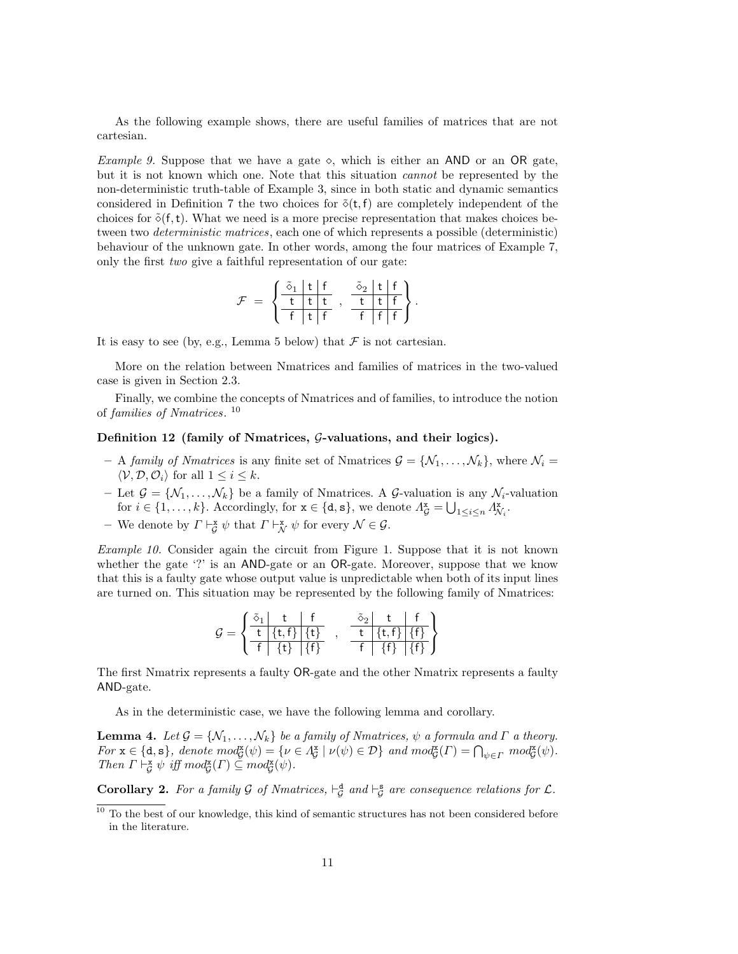As the following example shows, there are useful families of matrices that are not cartesian.

*Example 9.* Suppose that we have a gate  $\diamond$ , which is either an AND or an OR gate, but it is not known which one. Note that this situation cannot be represented by the non-deterministic truth-table of Example 3, since in both static and dynamic semantics considered in Definition 7 the two choices for  $\tilde{\diamond}(t, f)$  are completely independent of the choices for  $\delta(f, t)$ . What we need is a more precise representation that makes choices between two *deterministic matrices*, each one of which represents a possible (deterministic) behaviour of the unknown gate. In other words, among the four matrices of Example 7, only the first two give a faithful representation of our gate:

$$
\mathcal{F} = \left\{ \begin{array}{c|c} \tilde{\delta}_1 & t & f \\ \hline t & t & t \\ \hline f & t & f \end{array} \right., \begin{array}{c} \tilde{\delta}_2 & t & f \\ \hline t & t & f \\ \hline f & f & f \end{array} \right\}.
$$

It is easy to see (by, e.g., Lemma 5 below) that  $\mathcal F$  is not cartesian.

More on the relation between Nmatrices and families of matrices in the two-valued case is given in Section 2.3.

Finally, we combine the concepts of Nmatrices and of families, to introduce the notion of families of Nmatrices. 10

#### Definition 12 (family of Nmatrices,  $\mathcal{G}\text{-}$ valuations, and their logics).

- A family of Nmatrices is any finite set of Nmatrices  $\mathcal{G} = \{N_1, \ldots, N_k\}$ , where  $N_i =$  $\langle \mathcal{V}, \mathcal{D}, \mathcal{O}_i \rangle$  for all  $1 \leq i \leq k$ .
- Let  $\mathcal{G} = \{ \mathcal{N}_1, \ldots, \mathcal{N}_k \}$  be a family of Nmatrices. A  $\mathcal{G}$ -valuation is any  $\mathcal{N}_i$ -valuation for  $i \in \{1, \ldots, k\}$ . Accordingly, for  $\mathbf{x} \in \{\mathbf{d}, \mathbf{s}\}\$ , we denote  $A_{\mathcal{G}}^{\mathbf{x}} = \bigcup_{1 \leq i \leq n} A_{\mathcal{N}_i}^{\mathbf{x}}$ .
- We denote by  $\Gamma \vdash_{\mathcal{G}}^{\mathbf{x}} \psi$  that  $\Gamma \vdash_{\mathcal{N}}^{\mathbf{x}} \psi$  for every  $\mathcal{N} \in \mathcal{G}$ .

Example 10. Consider again the circuit from Figure 1. Suppose that it is not known whether the gate '?' is an AND-gate or an OR-gate. Moreover, suppose that we know that this is a faulty gate whose output value is unpredictable when both of its input lines are turned on. This situation may be represented by the following family of Nmatrices:

$$
\mathcal{G} = \left\{ \begin{array}{c|c|c} \tilde{\delta}_1 & t & f & \tilde{\delta}_2 & t & f \\ \hline t & \{t,f\} & \{t\} & & t & \{t,f\} & \{f\} \\ \hline f & \{t\} & \{f\} & & f & \{f\} & \{f\} \end{array} \right\}
$$

The first Nmatrix represents a faulty OR-gate and the other Nmatrix represents a faulty AND-gate.

As in the deterministic case, we have the following lemma and corollary.

**Lemma 4.** Let  $\mathcal{G} = \{N_1, \ldots, N_k\}$  be a family of Nmatrices,  $\psi$  a formula and  $\Gamma$  a theory. For  $\mathbf{x} \in \{\mathbf{d}, \mathbf{s}\},\$  denote  $mod_{\mathcal{G}}^{\mathbf{x}}(\psi) = \{ \nu \in \Lambda_{\mathcal{G}}^{\mathbf{x}} \mid \nu(\psi) \in \mathcal{D} \}$  and  $mod_{\mathcal{G}}^{\mathbf{x}}(\Gamma) = \bigcap_{\psi \in \Gamma} mod_{\mathcal{G}}^{\mathbf{x}}(\psi)$ . Then  $\Gamma \vdash^{\mathbf{x}}_{\mathcal{G}} \psi$  iff  $mod^{\mathbf{x}}_{\mathcal{G}}(\Gamma) \subseteq mod^{\mathbf{x}}_{\mathcal{G}}(\psi)$ .

**Corollary 2.** For a family  $\mathcal G$  of Nmatrices,  $\vdash^d_{\mathcal G}$  and  $\vdash^s_{\mathcal G}$  are consequence relations for  $\mathcal L$ .

 $^{10}$  To the best of our knowledge, this kind of semantic structures has not been considered before in the literature.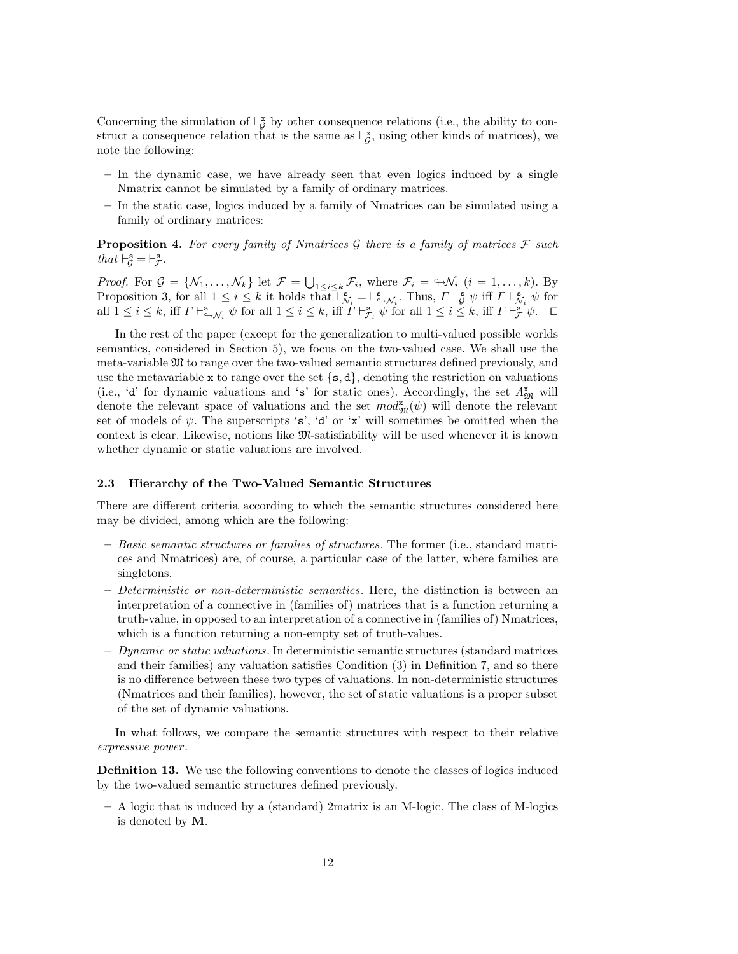Concerning the simulation of  $\vdash_{\mathcal{G}}^{\mathbf{x}}$  by other consequence relations (i.e., the ability to construct a consequence relation that is the same as  $\vdash_{\mathcal{G}}^{\mathbf{x}}$ , using other kinds of matrices), we note the following:

- In the dynamic case, we have already seen that even logics induced by a single Nmatrix cannot be simulated by a family of ordinary matrices.
- In the static case, logics induced by a family of Nmatrices can be simulated using a family of ordinary matrices:

**Proposition 4.** For every family of Nmatrices G there is a family of matrices  $\mathcal F$  such that  $\vdash^{\mathbf{s}}_{\mathcal{G}} = \vdash^{\mathbf{s}}_{\mathcal{F}}$ .

*Proof.* For  $\mathcal{G} = \{ \mathcal{N}_1, \ldots, \mathcal{N}_k \}$  let  $\mathcal{F} = \bigcup_{1 \leq i \leq k} \mathcal{F}_i$ , where  $\mathcal{F}_i = \forall \mathcal{N}_i$   $(i = 1, \ldots, k)$ . By Proposition 3, for all  $1 \leq i \leq k$  it holds that  $\vdash_{\mathcal{N}_i}^{\mathbf{s}} = \vdash_{\varphi \mathcal{N}_i}^{\mathbf{s}}$ . Thus,  $\Gamma \vdash_{\mathcal{G}}^{\mathbf{s}} \psi$  iff  $\Gamma \vdash_{\mathcal{N}_i}^{\mathbf{s}} \psi$  for all  $1 \leq i \leq k$ , iff  $\Gamma \vdash^{\mathbf{s}}_{\mathbf{\hat{y}},\mathcal{N}_i} \psi$  for all  $1 \leq i \leq k$ , iff  $\Gamma \vdash^{\mathbf{s}}_{\mathcal{F}_i} \psi$  for all  $1 \leq i \leq k$ , iff  $\Gamma \vdash^{\mathbf{s}}_{\mathcal{F}} \psi$ .  $\Box$ 

In the rest of the paper (except for the generalization to multi-valued possible worlds semantics, considered in Section 5), we focus on the two-valued case. We shall use the meta-variable M to range over the two-valued semantic structures defined previously, and use the metavariable x to range over the set  $\{s, d\}$ , denoting the restriction on valuations (i.e., 'd' for dynamic valuations and 's' for static ones). Accordingly, the set  $\Lambda_{\mathfrak{M}}^{\mathbf{x}}$  will denote the relevant space of valuations and the set  $mod_{\mathfrak{M}}^{\mathbf{X}}(\psi)$  will denote the relevant set of models of  $\psi$ . The superscripts 's', 'd' or 'x' will sometimes be omitted when the context is clear. Likewise, notions like M-satisfiability will be used whenever it is known whether dynamic or static valuations are involved.

#### 2.3 Hierarchy of the Two-Valued Semantic Structures

There are different criteria according to which the semantic structures considered here may be divided, among which are the following:

- Basic semantic structures or families of structures. The former (i.e., standard matrices and Nmatrices) are, of course, a particular case of the latter, where families are singletons.
- Deterministic or non-deterministic semantics. Here, the distinction is between an interpretation of a connective in (families of) matrices that is a function returning a truth-value, in opposed to an interpretation of a connective in (families of) Nmatrices, which is a function returning a non-empty set of truth-values.
- $-$  Dynamic or static valuations. In deterministic semantic structures (standard matrices and their families) any valuation satisfies Condition (3) in Definition 7, and so there is no difference between these two types of valuations. In non-deterministic structures (Nmatrices and their families), however, the set of static valuations is a proper subset of the set of dynamic valuations.

In what follows, we compare the semantic structures with respect to their relative expressive power .

Definition 13. We use the following conventions to denote the classes of logics induced by the two-valued semantic structures defined previously.

– A logic that is induced by a (standard) 2matrix is an M-logic. The class of M-logics is denoted by M.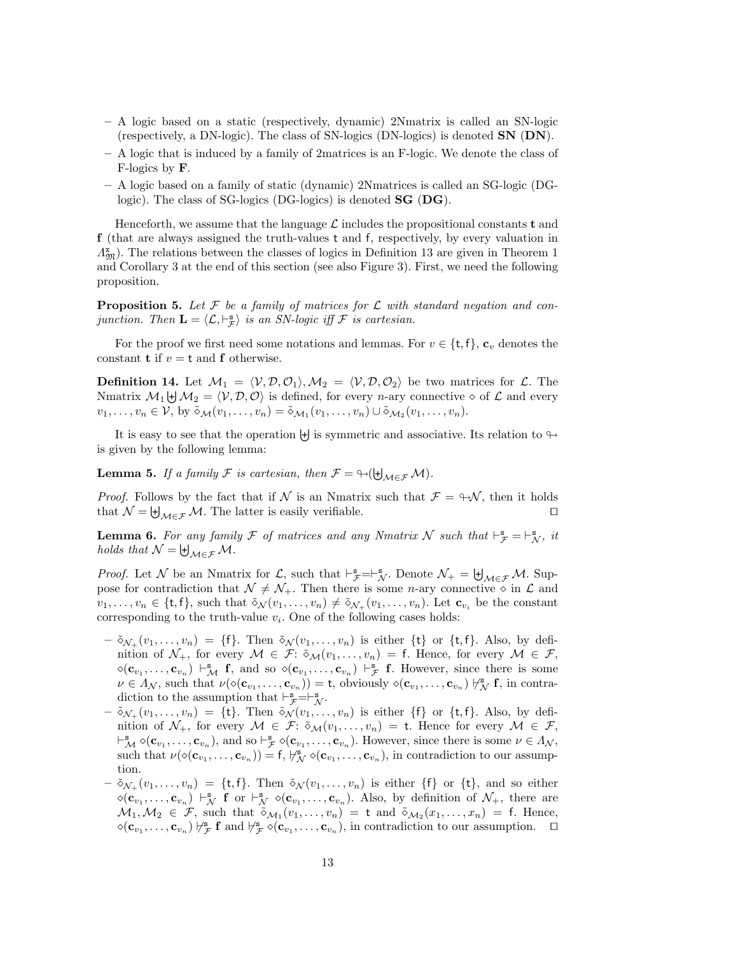- A logic based on a static (respectively, dynamic) 2Nmatrix is called an SN-logic (respectively, a DN-logic). The class of SN-logics (DN-logics) is denoted  $SN$  (DN).
- A logic that is induced by a family of 2matrices is an F-logic. We denote the class of F-logics by F.
- A logic based on a family of static (dynamic) 2Nmatrices is called an SG-logic (DGlogic). The class of SG-logics (DG-logics) is denoted **SG** (DG).

Henceforth, we assume that the language  $\mathcal L$  includes the propositional constants t and f (that are always assigned the truth-values t and f, respectively, by every valuation in  $\Lambda_{\mathfrak{M}}^{\mathbf{x}}$ ). The relations between the classes of logics in Definition 13 are given in Theorem 1 and Corollary 3 at the end of this section (see also Figure 3). First, we need the following proposition.

**Proposition 5.** Let F be a family of matrices for L with standard negation and conjunction. Then  $\mathbf{L} = \langle \mathcal{L}, \vdash_{\mathcal{F}}^{\mathbf{s}} \rangle$  is an SN-logic iff  $\mathcal{F}$  is cartesian.

For the proof we first need some notations and lemmas. For  $v \in \{\text{t}, \text{f}\}\text{, } \mathbf{c}_v$  denotes the constant **t** if  $v = t$  and **f** otherwise.

**Definition 14.** Let  $M_1 = \langle V, \mathcal{D}, \mathcal{O}_1 \rangle$ ,  $M_2 = \langle V, \mathcal{D}, \mathcal{O}_2 \rangle$  be two matrices for  $\mathcal{L}$ . The Nmatrix  $M_1 \biguplus M_2 = \langle V, \mathcal{D}, \mathcal{O} \rangle$  is defined, for every *n*-ary connective  $\diamond$  of  $\mathcal{L}$  and every  $v_1, \ldots, v_n \in \mathcal{V}, \text{ by } \tilde{\diamond}_{\mathcal{M}}(v_1, \ldots, v_n) = \tilde{\diamond}_{\mathcal{M}_1}(v_1, \ldots, v_n) \cup \tilde{\diamond}_{\mathcal{M}_2}(v_1, \ldots, v_n).$ 

It is easy to see that the operation  $\biguplus$  is symmetric and associative. Its relation to  $\looparrowright$ is given by the following lemma:

**Lemma 5.** If a family F is cartesian, then  $\mathcal{F} = \bigoplus_{\mathcal{M} \in \mathcal{F}} \mathcal{M}$ .

*Proof.* Follows by the fact that if N is an Nmatrix such that  $\mathcal{F} = \Theta \mathcal{N}$ , then it holds that  $\mathcal{N} = \biguplus_{\mathcal{M} \in \mathcal{F}} \mathcal{M}$ . The latter is easily verifiable.

**Lemma 6.** For any family F of matrices and any Nmatrix N such that  $\vdash^{\mathbf{s}}_{\mathcal{F}} = \vdash^{\mathbf{s}}_{\mathcal{N}}$ , it holds that  $\mathcal{N} = \biguplus_{\mathcal{M} \in \mathcal{F}} \mathcal{M}.$ 

*Proof.* Let N be an Nmatrix for L, such that  $\vdash_{\mathcal{F}}^s=\vdash_{\mathcal{N}}^s$ . Denote  $\mathcal{N}_+ = \biguplus_{\mathcal{M}\in\mathcal{F}}\mathcal{M}$ . Suppose for contradiction that  $\mathcal{N} \neq \mathcal{N}_+$ . Then there is some *n*-ary connective  $\circ$  in  $\mathcal{L}$  and  $v_1, \ldots, v_n \in \{t, f\}$ , such that  $\tilde{\diamond}_{\mathcal{N}}(v_1, \ldots, v_n) \neq \tilde{\diamond}_{\mathcal{N}_+}(v_1, \ldots, v_n)$ . Let  $\mathbf{c}_{v_i}$  be the constant corresponding to the truth-value  $v_i$ . One of the following cases holds:

- $-\tilde{\infty}_{\mathcal{N}_+}(v_1,\ldots,v_n) = \{\mathsf{f}\}\.$  Then  $\tilde{\infty}_{\mathcal{N}}(v_1,\ldots,v_n)$  is either  $\{\mathsf{t}\}\$  or  $\{\mathsf{t},\mathsf{f}\}\.$  Also, by definition of  $\mathcal{N}_+$ , for every  $\mathcal{M} \in \mathcal{F}: \tilde{\diamond}_{\mathcal{M}}(v_1,\ldots,v_n) = \mathsf{f}$ . Hence, for every  $\mathcal{M} \in \mathcal{F}$ ,  $\Diamond(\mathbf{c}_{v_1},\ldots,\mathbf{c}_{v_n})\vdash_{\mathcal{M}}^{\mathbf{s}}\mathbf{f}$ , and so  $\Diamond(\mathbf{c}_{v_1},\ldots,\mathbf{c}_{v_n})\vdash_{\mathcal{F}}^{\mathbf{s}}\mathbf{f}$ . However, since there is some  $\nu \in \Lambda_{\mathcal{N}}$ , such that  $\nu(\diamond(\mathbf{c}_{v_1},\ldots,\mathbf{c}_{v_n})) = \mathsf{t}$ , obviously  $\diamond(\mathbf{c}_{v_1},\ldots,\mathbf{c}_{v_n}) \not\vdash_{\mathcal{N}}^{\mathbf{s}} \mathbf{f}$ , in contradiction to the assumption that  $\vdash_{\mathcal{F}}^{\mathbf{s}} = \vdash_{\mathcal{N}}^{\mathbf{s}}$ .
- $-\tilde{\infty}_{\mathcal{N}_+}(v_1,\ldots,v_n) = \{\mathsf{t}\}.$  Then  $\tilde{\infty}_{\mathcal{N}}(v_1,\ldots,v_n)$  is either  $\{\mathsf{f}\}\$  or  $\{\mathsf{t},\mathsf{f}\}.$  Also, by definition of  $\mathcal{N}_+$ , for every  $\mathcal{M} \in \mathcal{F}: \delta_{\mathcal{M}}(v_1, \ldots, v_n) = \mathsf{t}$ . Hence for every  $\mathcal{M} \in \mathcal{F}$ ,  $\vdash^{\mathbf{s}}_{\mathcal{M}} \diamond (\mathbf{c}_{v_1}, \ldots, \mathbf{c}_{v_n}),$  and so  $\vdash^{\mathbf{s}}_{\mathcal{F}} \diamond (\mathbf{c}_{v_1}, \ldots, \mathbf{c}_{v_n}).$  However, since there is some  $\nu \in \Lambda_{\mathcal{N}},$ such that  $\nu(\diamond(\mathbf{c}_{v_1},\ldots,\mathbf{c}_{v_n})) = \mathsf{f}, \forall^s \ \diamond(\mathbf{c}_{v_1},\ldots,\mathbf{c}_{v_n}),$  in contradiction to our assumption.
- $-\tilde{\infty}_{\mathcal{N}_+}(v_1,\ldots,v_n) = \{\mathsf{t},\mathsf{f}\}\.$  Then  $\tilde{\infty}_{\mathcal{N}}(v_1,\ldots,v_n)$  is either  $\{\mathsf{f}\}\.$  or  $\{\mathsf{t}\}\,$ , and so either  $\Diamond(\mathbf{c}_{v_1},\ldots,\mathbf{c}_{v_n})\vdash_N^{\mathbf{s}}\mathbf{f}$  or  $\vdash_N^{\mathbf{s}} \Diamond(\mathbf{c}_{v_1},\ldots,\mathbf{c}_{v_n})$ . Also, by definition of  $\mathcal{N}_+$ , there are  $\mathcal{M}_1, \mathcal{M}_2 \in \mathcal{F}$ , such that  $\tilde{\diamond}_{\mathcal{M}_1}(v_1, \ldots, v_n) = \mathsf{t}$  and  $\tilde{\diamond}_{\mathcal{M}_2}(x_1, \ldots, x_n) = \mathsf{f}$ . Hence,  $\Diamond(\mathbf{c}_{v_1},\ldots,\mathbf{c}_{v_n})\,\,\forall_{\mathcal{F}}^{\mathbf{s}}\,\mathbf{f}$  and  $\forall_{\mathcal{F}}^{\mathbf{s}}\,\Diamond(\mathbf{c}_{v_1},\ldots,\mathbf{c}_{v_n}),$  in contradiction to our assumption.  $\Box$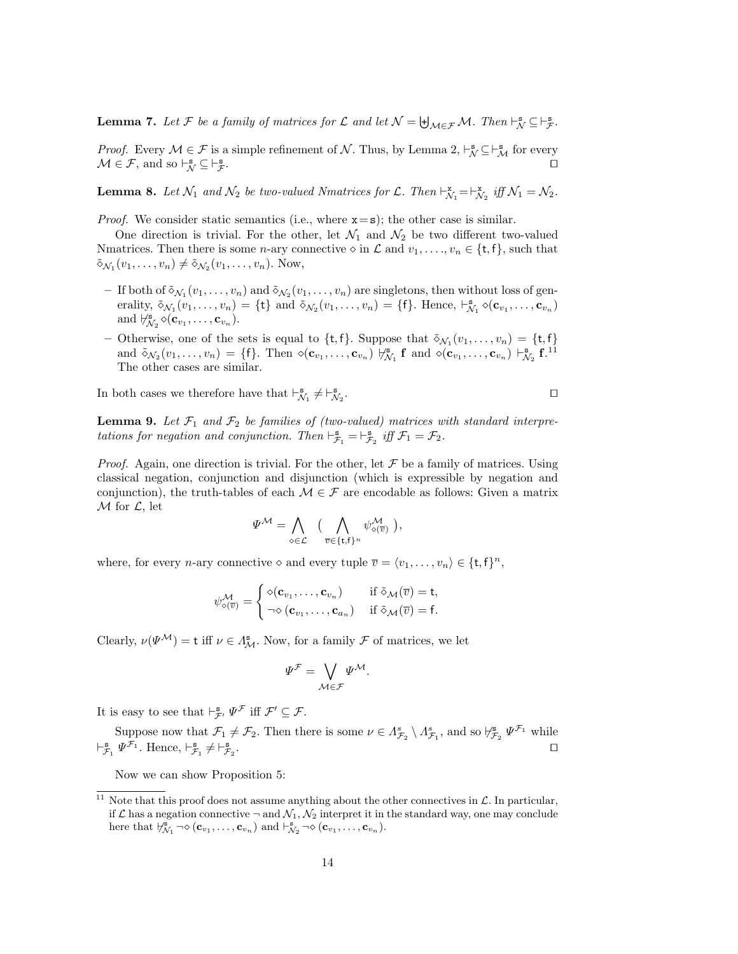**Lemma 7.** Let F be a family of matrices for  $\mathcal{L}$  and let  $\mathcal{N} = \biguplus_{\mathcal{M} \in \mathcal{F}} \mathcal{M}$ . Then  $\vdash_{\mathcal{N}}^{\mathbf{s}} \subseteq \vdash_{\mathcal{F}}^{\mathbf{s}}$ .

*Proof.* Every  $M \in \mathcal{F}$  is a simple refinement of  $N$ . Thus, by Lemma 2,  $\vdash_N^s \subseteq \vdash_M^s$  for every  $\mathcal{M} \in \mathcal{F}$ , and so  $\vdash_{\mathcal{N}}^{\mathbf{s}} \subseteq \vdash_{\mathcal{F}}^{\mathbf{s}}$  $\mathcal{F}$ .

**Lemma 8.** Let  $\mathcal{N}_1$  and  $\mathcal{N}_2$  be two-valued Nmatrices for  $\mathcal{L}$ . Then  $\vdash_{\mathcal{N}_1}^{\mathbf{x}} = \vdash_{\mathcal{N}_2}^{\mathbf{x}}$  iff  $\mathcal{N}_1 = \mathcal{N}_2$ .

*Proof.* We consider static semantics (i.e., where  $x = s$ ); the other case is similar.

One direction is trivial. For the other, let  $\mathcal{N}_1$  and  $\mathcal{N}_2$  be two different two-valued Nmatrices. Then there is some *n*-ary connective  $\diamond$  in  $\mathcal L$  and  $v_1, \ldots, v_n \in \{\text{t}, \text{f}\}\)$ , such that  $\tilde{\diamond}_{\mathcal{N}_1}(v_1,\ldots,v_n) \neq \tilde{\diamond}_{\mathcal{N}_2}(v_1,\ldots,v_n)$ . Now,

- If both of  $\tilde{\diamond}_{\mathcal{N}_1}(v_1,\ldots,v_n)$  and  $\tilde{\diamond}_{\mathcal{N}_2}(v_1,\ldots,v_n)$  are singletons, then without loss of generality,  $\tilde{\diamond}_{\mathcal{N}_1}(v_1,\ldots,v_n) = \{\mathbf{t}\}\$ and  $\tilde{\diamond}_{\mathcal{N}_2}(v_1,\ldots,v_n) = \{\mathbf{f}\}\$ . Hence,  $\vdash_{\mathcal{N}_1}^{\mathbf{s}} \diamond (\mathbf{c}_{v_1},\ldots,\mathbf{c}_{v_n})$ and  $\not\vdash_{\mathcal{N}_2}^{\mathbf{s}} \diamond (\mathbf{c}_{v_1}, \ldots, \mathbf{c}_{v_n}).$
- Otherwise, one of the sets is equal to  $\{t, f\}$ . Suppose that  $\tilde{\diamond}_{\mathcal{N}_1}(v_1, \ldots, v_n) = \{t, f\}$ and  $\tilde{\diamond}_{\mathcal{N}_2}(v_1,\ldots,v_n) = \{\mathsf{f}\}\.$  Then  $\diamond(\mathbf{c}_{v_1},\ldots,\mathbf{c}_{v_n}) \not\vdash_{\mathcal{N}_1}^{\mathbf{s}} \mathsf{f}$  and  $\diamond(\mathbf{c}_{v_1},\ldots,\mathbf{c}_{v_n}) \vdash_{\mathcal{N}_2}^{\mathbf{s}} \mathsf{f}^{11}$ The other cases are similar.

In both cases we therefore have that  $\vdash^\mathtt{s}_{\mathcal{N}_1} \neq \vdash^\mathtt{s}_{\mathcal{N}_2}$ 

. The contract of the contract of the contract of the contract of the contract of the contract of the contract of the contract of the contract of the contract of the contract of the contract of the contract of the contract

**Lemma 9.** Let  $\mathcal{F}_1$  and  $\mathcal{F}_2$  be families of (two-valued) matrices with standard interpretations for negation and conjunction. Then  $\vdash^{\mathbf{s}}_{\mathcal{F}_1} = \vdash^{\mathbf{s}}_{\mathcal{F}_2}$  iff  $\mathcal{F}_1 = \mathcal{F}_2$ .

*Proof.* Again, one direction is trivial. For the other, let  $\mathcal F$  be a family of matrices. Using classical negation, conjunction and disjunction (which is expressible by negation and conjunction), the truth-tables of each  $\mathcal{M} \in \mathcal{F}$  are encodable as follows: Given a matrix  $\mathcal M$  for  $\mathcal L$ , let

$$
\Psi^{\mathcal{M}} = \bigwedge_{\diamond \in \mathcal{L}} \quad (\bigwedge_{\overline{v} \in \{\mathbf{t}, \mathbf{f}\}^n} \psi^{\mathcal{M}}_{\diamond (\overline{v})})
$$

where, for every *n*-ary connective  $\diamond$  and every tuple  $\overline{v} = \langle v_1, \ldots, v_n \rangle \in \{\text{t}, \text{f}\}^n$ ,

$$
\psi^{\mathcal{M}}_{\diamond(\overline{v})} = \begin{cases} \diamond(\mathbf{c}_{v_1}, \dots, \mathbf{c}_{v_n}) & \text{if } \tilde{\diamond}_{\mathcal{M}}(\overline{v}) = \mathsf{t}, \\ \neg \diamond(\mathbf{c}_{v_1}, \dots, \mathbf{c}_{a_n}) & \text{if } \tilde{\diamond}_{\mathcal{M}}(\overline{v}) = \mathsf{f}. \end{cases}
$$

Clearly,  $\nu(\Psi^{\mathcal{M}}) = t$  iff  $\nu \in \Lambda^{\mathbf{s}}_{\mathcal{M}}$ . Now, for a family  $\mathcal F$  of matrices, we let

$$
\varPsi^{\mathcal{F}} = \bigvee_{\mathcal{M} \in \mathcal{F}} \varPsi^{\mathcal{M}}.
$$

It is easy to see that  $\vdash_{\mathcal{F}'}^{\mathbf{s}} \Psi^{\mathcal{F}}$  iff  $\mathcal{F}' \subseteq \mathcal{F}$ .

Suppose now that  $\mathcal{F}_1 \neq \mathcal{F}_2$ . Then there is some  $\nu \in \Lambda_{\mathcal{F}_2}^s \setminus \Lambda_{\mathcal{F}_1}^s$ , and so  $\sharp_{\mathcal{F}_2}^s \Psi^{\mathcal{F}_1}$  while  $\vdash^{\mathbf{s}}_{\mathcal{F}_1} \Psi^{\mathcal{F}_1}$ . Hence,  $\vdash^{\mathbf{s}}_{\mathcal{F}_1} \neq \vdash^{\mathbf{s}}_{\mathcal{F}_2}$ . The contract of the contract of the contract of the contract of the contract of the contract of the contract of the contract of the contract of the contract of the contract of the contract of the contract of the contract

Now we can show Proposition 5:

<sup>&</sup>lt;sup>11</sup> Note that this proof does not assume anything about the other connectives in  $\mathcal{L}$ . In particular, if  $\mathcal L$  has a negation connective  $\neg$  and  $\mathcal N_1, \mathcal N_2$  interpret it in the standard way, one may conclude here that  $\forall_{\mathcal{N}_1}^s \neg \diamond (\mathbf{c}_{v_1}, \dots, \mathbf{c}_{v_n})$  and  $\vdash_{\mathcal{N}_2}^s \neg \diamond (\mathbf{c}_{v_1}, \dots, \mathbf{c}_{v_n})$ .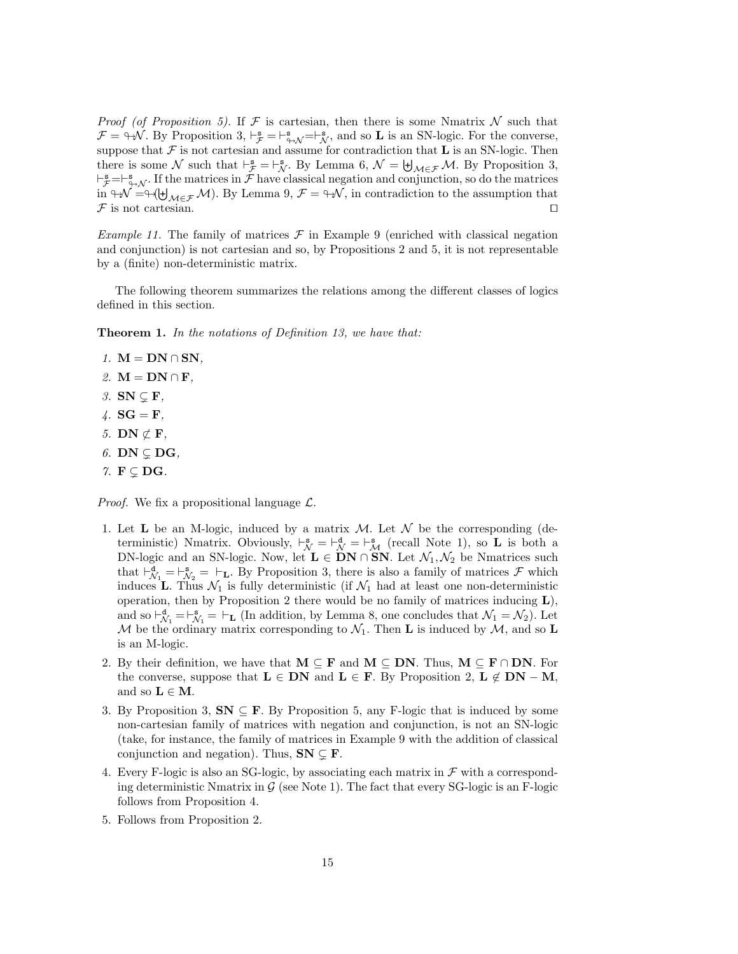*Proof (of Proposition 5).* If  $\mathcal F$  is cartesian, then there is some Nmatrix N such that  $\mathcal{F} = \oplus \mathcal{N}$ . By Proposition 3,  $\vdash_{\mathcal{F}}^{\mathbf{s}} = \vdash_{\oplus \mathcal{N}}^{\mathbf{s}} = \vdash_{\mathcal{N}}^{\mathbf{s}}$ , and so **L** is an SN-logic. For the converse, suppose that  $\mathcal F$  is not cartesian and assume for contradiction that  $\bf L$  is an SN-logic. Then there is some N such that  $\vdash_{\mathcal{F}}^{\mathbf{s}} = \vdash_{\mathcal{N}}^{\mathbf{s}}$ . By Lemma 6,  $\mathcal{N} = \biguplus_{\mathcal{M} \in \mathcal{F}} \mathcal{M}$ . By Proposition 3,  $\vdash_{\mathcal{F}}^s=\vdash_{\Leftrightarrow\mathcal{N}}^s$ . If the matrices in  $\mathcal{F}$  have classical negation and conjunction, so do the matrices in  $\forall W = \forall (\forall_{M \in \mathcal{F}} M)$ . By Lemma 9,  $\mathcal{F} = \forall W$ , in contradiction to the assumption that  $\mathcal F$  is not cartesian.  $\Box$ 

*Example 11.* The family of matrices  $\mathcal F$  in Example 9 (enriched with classical negation and conjunction) is not cartesian and so, by Propositions 2 and 5, it is not representable by a (finite) non-deterministic matrix.

The following theorem summarizes the relations among the different classes of logics defined in this section.

**Theorem 1.** In the notations of Definition 13, we have that:

- 1.  $M = DN \cap SN$ ,
- 2.  $M = DN \cap F$ ,
- 3.  $SN \subseteq F$ ,
- $4. SG = F$ ,
- 5. DN  $\not\subset$  **F**,
- 6. DN  $\subsetneq$  DG,
- 7.  $F \subsetneq DG$ .

*Proof.* We fix a propositional language  $\mathcal{L}$ .

- 1. Let **L** be an M-logic, induced by a matrix  $M$ . Let  $N$  be the corresponding (deterministic) Nmatrix. Obviously,  $\vdash_N^s = \vdash_N^d = \vdash_N^s$  (recall Note 1), so **L** is both a DN-logic and an SN-logic. Now, let  $L \in DN \cap SN$ . Let  $\mathcal{N}_1, \mathcal{N}_2$  be Nmatrices such that  $\vdash^d_{\mathcal{N}_1} = \vdash^s_{\mathcal{N}_2} = \vdash_L$ . By Proposition 3, there is also a family of matrices  $\mathcal{F}$  which induces **L**. Thus  $\mathcal{N}_1$  is fully deterministic (if  $\mathcal{N}_1$  had at least one non-deterministic operation, then by Proposition 2 there would be no family of matrices inducing L), and so  $\vdash^d_{\mathcal{N}_1} = \vdash^s_{\mathcal{N}_1} = \vdash_{\mathbf{L}}$  (In addition, by Lemma 8, one concludes that  $\mathcal{N}_1 = \mathcal{N}_2$ ). Let M be the ordinary matrix corresponding to  $\mathcal{N}_1$ . Then **L** is induced by  $\mathcal{M}$ , and so **L** is an M-logic.
- 2. By their definition, we have that  $M \subseteq F$  and  $M \subseteq DN$ . Thus,  $M \subseteq F \cap DN$ . For the converse, suppose that  $L \in DN$  and  $L \in F$ . By Proposition 2,  $L \notin DN - M$ , and so  $\mathbf{L} \in \mathbf{M}$ .
- 3. By Proposition 3,  $SN \subseteq F$ . By Proposition 5, any F-logic that is induced by some non-cartesian family of matrices with negation and conjunction, is not an SN-logic (take, for instance, the family of matrices in Example 9 with the addition of classical conjunction and negation). Thus,  $SN \subsetneq F$ .
- 4. Every F-logic is also an SG-logic, by associating each matrix in  $\mathcal F$  with a corresponding deterministic Nmatrix in  $\mathcal G$  (see Note 1). The fact that every SG-logic is an F-logic follows from Proposition 4.
- 5. Follows from Proposition 2.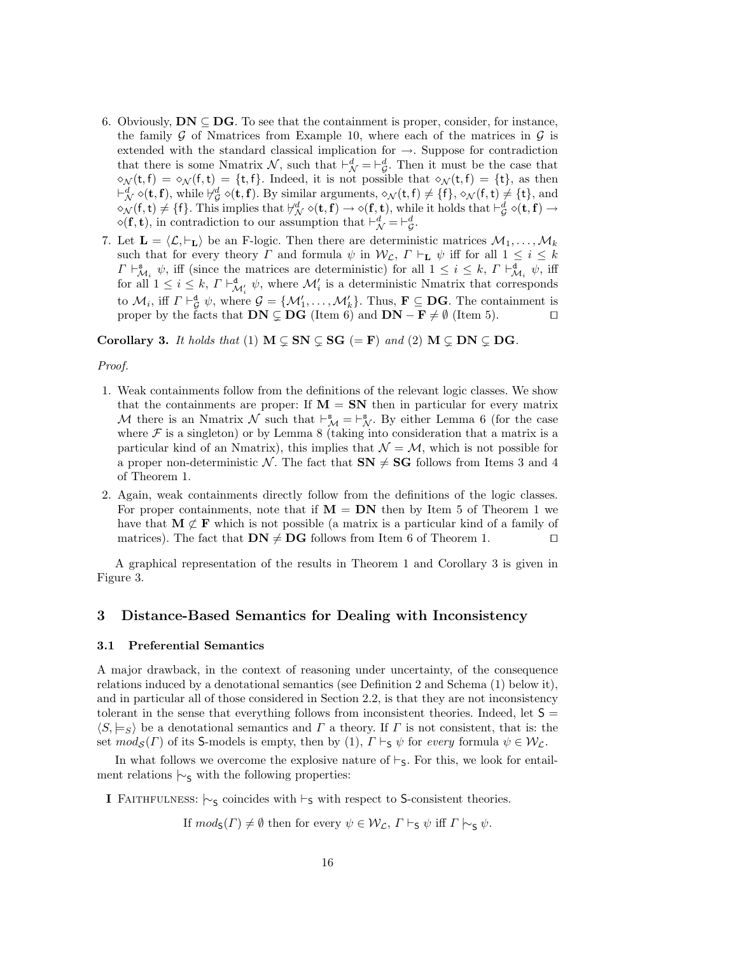- 6. Obviously,  $DN \subseteq DG$ . To see that the containment is proper, consider, for instance, the family  $\mathcal G$  of Nmatrices from Example 10, where each of the matrices in  $\mathcal G$  is extended with the standard classical implication for  $\rightarrow$ . Suppose for contradiction that there is some Nmatrix  $\mathcal{N}$ , such that  $\vdash_{\mathcal{N}}^d = \vdash_{\mathcal{G}}^d$ . Then it must be the case that  $\gamma(\mathsf{t}, \mathsf{f}) = \gamma(\mathsf{f}, \mathsf{t}) = \{\mathsf{t}, \mathsf{f}\}.$  Indeed, it is not possible that  $\gamma(\mathsf{t}, \mathsf{f}) = \{\mathsf{t}\},\$  as then  $\vdash^d_\mathcal{N} \diamond (\mathbf{t}, \mathbf{f}),$  while  $\forall^d_\mathcal{G} \diamond (\mathbf{t}, \mathbf{f}).$  By similar arguments,  $\diamond_\mathcal{N}(\mathbf{t}, \mathbf{f}) \neq \{\mathbf{f}\}, \diamond_\mathcal{N}(\mathbf{f}, \mathbf{t}) \neq \{\mathbf{t}\},$  and  $\Diamond_{\mathcal{N}}(f,t) \neq \{f\}$ . This implies that  $\forall_{\mathcal{N}}^d \Diamond(t,f) \to \Diamond(f,t)$ , while it holds that  $\vdash_{\mathcal{G}}^d \Diamond(t,f) \to$  $\diamond$ (**f**, **t**), in contradiction to our assumption that  $\vdash^d_{\mathcal{N}} = \vdash^d_{\mathcal{G}}$ .
- 7. Let  $\mathbf{L} = \langle \mathcal{L}, \vdash_{\mathbf{L}} \rangle$  be an F-logic. Then there are deterministic matrices  $\mathcal{M}_1, \ldots, \mathcal{M}_k$ such that for every theory  $\Gamma$  and formula  $\psi$  in  $\mathcal{W}_{\mathcal{L}}$ ,  $\Gamma \vdash_{\mathbf{L}} \psi$  iff for all  $1 \leq i \leq k$  $\Gamma \vdash^{\mathbf{s}}_{\mathcal{M}_i} \psi$ , iff (since the matrices are deterministic) for all  $1 \leq i \leq k$ ,  $\Gamma \vdash^{\mathbf{d}}_{\mathcal{M}_i} \psi$ , iff for all  $1 \leq i \leq k$ ,  $\Gamma \vdash^{\mathbf{d}}_{\mathcal{M}'_i} \psi$ , where  $\mathcal{M}'_i$  is a deterministic Nmatrix that corresponds to  $\mathcal{M}_i$ , iff  $\Gamma \vdash^{\mathbf{d}}_{\mathcal{G}} \psi$ , where  $\mathcal{G} = {\mathcal{M}'_1, \ldots, \mathcal{M}'_k}$ . Thus,  $\mathbf{F} \subseteq \mathbf{DG}$ . The containment is proper by the facts that  $DN \subsetneq DG$  (Item 6) and  $DN - F \neq \emptyset$  (Item 5).

Corollary 3. It holds that (1)  $M \subseteq SN \subseteq SG (=F)$  and (2)  $M \subseteq DN \subseteq DG$ .

#### Proof.

- 1. Weak containments follow from the definitions of the relevant logic classes. We show that the containments are proper: If  $M = SN$  then in particular for every matrix M there is an Nmatrix  $\mathcal N$  such that  $\vdash^s_{\mathcal M} = \vdash^s_{\mathcal N}$ . By either Lemma 6 (for the case where  $\mathcal F$  is a singleton) or by Lemma 8 (taking into consideration that a matrix is a particular kind of an Nmatrix), this implies that  $\mathcal{N} = \mathcal{M}$ , which is not possible for a proper non-deterministic N. The fact that  $SN \neq SG$  follows from Items 3 and 4 of Theorem 1.
- 2. Again, weak containments directly follow from the definitions of the logic classes. For proper containments, note that if  $M = DN$  then by Item 5 of Theorem 1 we have that  $M \not\subset F$  which is not possible (a matrix is a particular kind of a family of matrices). The fact that  $DN \neq DG$  follows from Item 6 of Theorem 1.  $\square$

A graphical representation of the results in Theorem 1 and Corollary 3 is given in Figure 3.

# 3 Distance-Based Semantics for Dealing with Inconsistency

#### 3.1 Preferential Semantics

A major drawback, in the context of reasoning under uncertainty, of the consequence relations induced by a denotational semantics (see Definition 2 and Schema (1) below it), and in particular all of those considered in Section 2.2, is that they are not inconsistency tolerant in the sense that everything follows from inconsistent theories. Indeed, let  $S =$  $\langle S, \models_S \rangle$  be a denotational semantics and  $\Gamma$  a theory. If  $\Gamma$  is not consistent, that is: the set  $mod_{\mathcal{S}}(\Gamma)$  of its S-models is empty, then by (1),  $\Gamma \vdash_{\mathsf{S}} \psi$  for every formula  $\psi \in \mathcal{W}_{\mathcal{L}}$ .

In what follows we overcome the explosive nature of  $\vdash$ <sub>5</sub>. For this, we look for entailment relations  $\sim$ <sub>S</sub> with the following properties:

I FAITHFULNESS:  $\vdash_{\mathsf{S}}$  coincides with  $\vdash_{\mathsf{S}}$  with respect to S-consistent theories.

If  $mod_{S}(\Gamma) \neq \emptyset$  then for every  $\psi \in \mathcal{W}_{\mathcal{L}}, \Gamma \vdash_{S} \psi$  iff  $\Gamma \vdash_{S} \psi$ .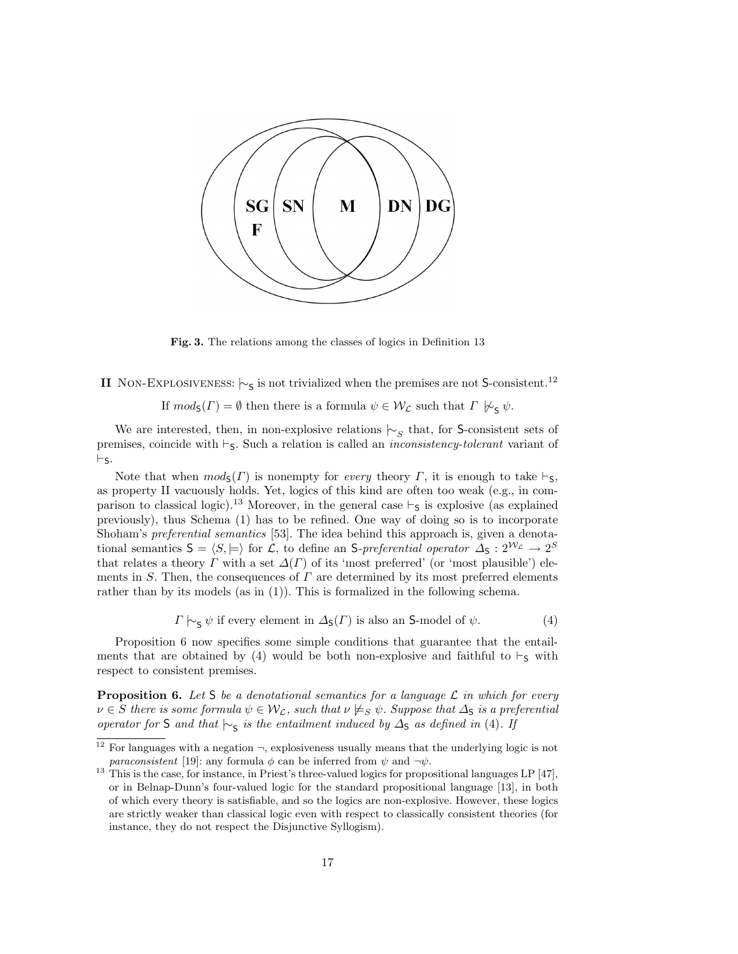

Fig. 3. The relations among the classes of logics in Definition 13

II NON-EXPLOSIVENESS:  $\sim$ <sub>S</sub> is not trivialized when the premises are not S-consistent.<sup>12</sup>

If  $mod_{\mathsf{S}}(\Gamma) = \emptyset$  then there is a formula  $\psi \in \mathcal{W}_\mathcal{L}$  such that  $\Gamma \not\vdash_{\mathsf{S}} \psi$ .

We are interested, then, in non-explosive relations  $\sim_S$  that, for S-consistent sets of premises, coincide with  $\vdash$ <sub>5</sub>. Such a relation is called an *inconsistency-tolerant* variant of  $\vdash_S.$ 

Note that when  $mod_{\mathsf{S}}(\Gamma)$  is nonempty for *every* theory  $\Gamma$ , it is enough to take  $\vdash_{\mathsf{S}}$ , as property II vacuously holds. Yet, logics of this kind are often too weak (e.g., in comparison to classical logic).<sup>13</sup> Moreover, in the general case  $\vdash_S$  is explosive (as explained previously), thus Schema (1) has to be refined. One way of doing so is to incorporate Shoham's preferential semantics [53]. The idea behind this approach is, given a denotational semantics  $S = \langle S, \models \rangle$  for L, to define an S-preferential operator  $\Delta_S : 2^{\mathcal{W}_{\mathcal{L}}} \to 2^S$ that relates a theory  $\Gamma$  with a set  $\Delta(\Gamma)$  of its 'most preferred' (or 'most plausible') elements in S. Then, the consequences of  $\Gamma$  are determined by its most preferred elements rather than by its models (as in  $(1)$ ). This is formalized in the following schema.

 $\Gamma \sim_S \psi$  if every element in  $\Delta_S(\Gamma)$  is also an S-model of  $\psi$ . (4)

Proposition 6 now specifies some simple conditions that guarantee that the entailments that are obtained by (4) would be both non-explosive and faithful to  $\vdash_S$  with respect to consistent premises.

**Proposition 6.** Let S be a denotational semantics for a language  $\mathcal{L}$  in which for every  $\nu \in S$  there is some formula  $\psi \in \mathcal{W}_L$ , such that  $\nu \neq_S \psi$ . Suppose that  $\Delta_S$  is a preferential operator for S and that  $\vdash$  s is the entailment induced by  $\Delta$ s as defined in (4). If

<sup>&</sup>lt;sup>12</sup> For languages with a negation  $\neg$ , explosiveness usually means that the underlying logic is not *paraconsistent* [19]: any formula  $\phi$  can be inferred from  $\psi$  and  $\neg \psi$ .

<sup>&</sup>lt;sup>13</sup> This is the case, for instance, in Priest's three-valued logics for propositional languages LP [47], or in Belnap-Dunn's four-valued logic for the standard propositional language [13], in both of which every theory is satisfiable, and so the logics are non-explosive. However, these logics are strictly weaker than classical logic even with respect to classically consistent theories (for instance, they do not respect the Disjunctive Syllogism).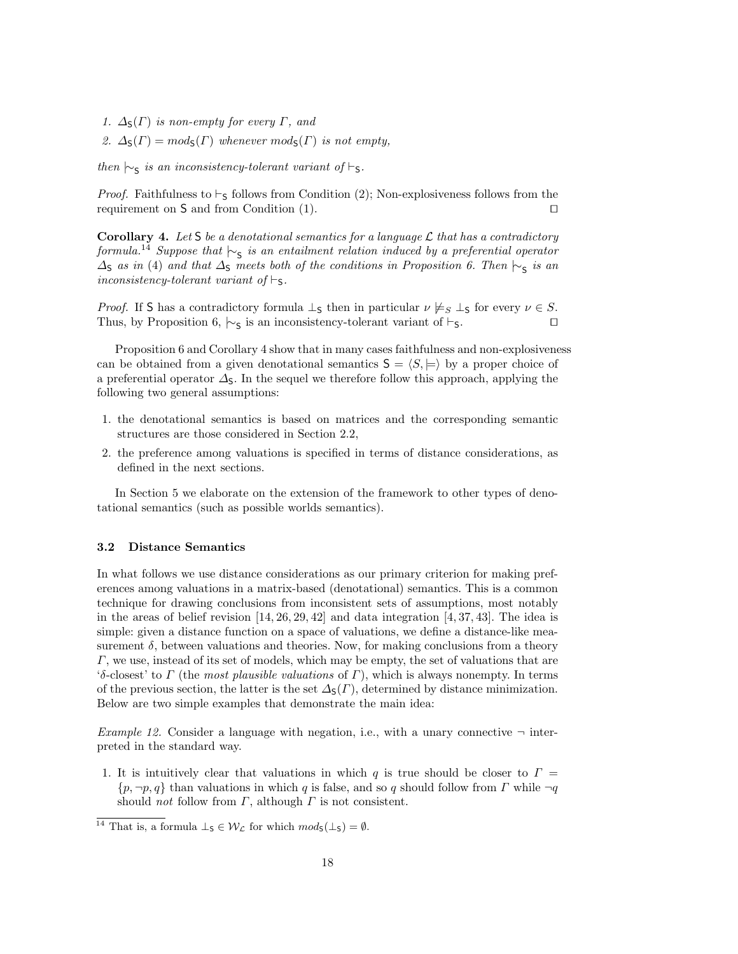- 1.  $\Delta_{\mathsf{S}}(\Gamma)$  is non-empty for every  $\Gamma$ , and
- 2.  $\Delta_{\mathsf{S}}(\Gamma) = mod_{\mathsf{S}}(\Gamma)$  whenever  $mod_{\mathsf{S}}(\Gamma)$  is not empty,

then  $\vdash$ <sub>S</sub> is an inconsistency-tolerant variant of  $\vdash$ <sub>S</sub>.

*Proof.* Faithfulness to  $\vdash_S$  follows from Condition (2); Non-explosiveness follows from the requirement on S and from Condition  $(1)$ .

Corollary 4. Let S be a denotational semantics for a language  $\mathcal L$  that has a contradictory formula.<sup>14</sup> Suppose that  $\vdash_{\mathsf{S}}$  is an entailment relation induced by a preferential operator  $\Delta$ <sub>S</sub> as in (4) and that  $\Delta$ <sub>S</sub> meets both of the conditions in Proposition 6. Then  $\vdash$ <sub>S</sub> is an inconsistency-tolerant variant of  $\vdash_{\mathsf{S}}$ .

*Proof.* If S has a contradictory formula  $\perp$ <sub>S</sub> then in particular  $\nu \not\models_S \perp$  for every  $\nu \in S$ . Thus, by Proposition 6,  $\sim$ <sub>S</sub> is an inconsistency-tolerant variant of  $\vdash$ <sub>S</sub>.  $\Box$ 

Proposition 6 and Corollary 4 show that in many cases faithfulness and non-explosiveness can be obtained from a given denotational semantics  $S = \langle S, \models \rangle$  by a proper choice of a preferential operator  $\Delta$ <sub>S</sub>. In the sequel we therefore follow this approach, applying the following two general assumptions:

- 1. the denotational semantics is based on matrices and the corresponding semantic structures are those considered in Section 2.2,
- 2. the preference among valuations is specified in terms of distance considerations, as defined in the next sections.

In Section 5 we elaborate on the extension of the framework to other types of denotational semantics (such as possible worlds semantics).

#### 3.2 Distance Semantics

In what follows we use distance considerations as our primary criterion for making preferences among valuations in a matrix-based (denotational) semantics. This is a common technique for drawing conclusions from inconsistent sets of assumptions, most notably in the areas of belief revision  $[14, 26, 29, 42]$  and data integration  $[4, 37, 43]$ . The idea is simple: given a distance function on a space of valuations, we define a distance-like measurement  $\delta$ , between valuations and theories. Now, for making conclusions from a theory  $\Gamma$ , we use, instead of its set of models, which may be empty, the set of valuations that are 'δ-closest' to  $\Gamma$  (the most plausible valuations of  $\Gamma$ ), which is always nonempty. In terms of the previous section, the latter is the set  $\Delta_{\mathsf{S}}(F)$ , determined by distance minimization. Below are two simple examples that demonstrate the main idea:

*Example 12.* Consider a language with negation, i.e., with a unary connective  $\neg$  interpreted in the standard way.

1. It is intuitively clear that valuations in which q is true should be closer to  $\Gamma =$  ${p, \neg p, q}$  than valuations in which q is false, and so q should follow from  $\Gamma$  while  $\neg q$ should *not* follow from  $\Gamma$ , although  $\Gamma$  is not consistent.

<sup>&</sup>lt;sup>14</sup> That is, a formula  $\perp$ <sub>S</sub>  $\in \mathcal{W}_\mathcal{L}$  for which  $mod_{S}(\perp_S) = \emptyset$ .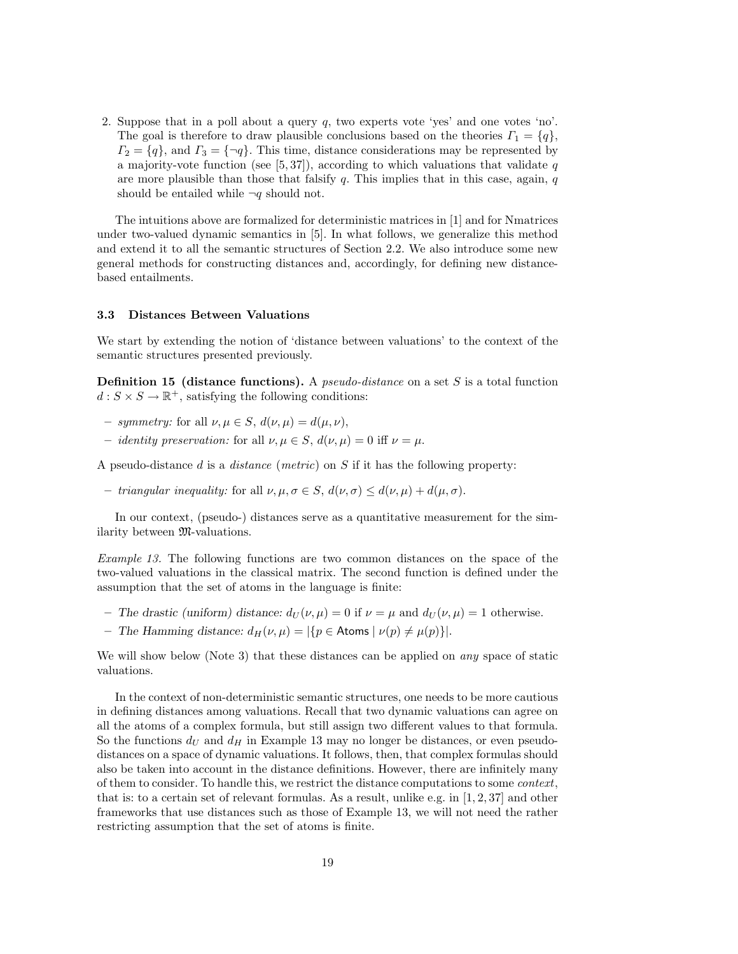2. Suppose that in a poll about a query  $q$ , two experts vote 'yes' and one votes 'no'. The goal is therefore to draw plausible conclusions based on the theories  $\Gamma_1 = \{q\}$ ,  $\Gamma_2 = \{q\}$ , and  $\Gamma_3 = \{\neg q\}$ . This time, distance considerations may be represented by a majority-vote function (see  $[5, 37]$ ), according to which valuations that validate q are more plausible than those that falsify  $q$ . This implies that in this case, again,  $q$ should be entailed while  $\neg q$  should not.

The intuitions above are formalized for deterministic matrices in [1] and for Nmatrices under two-valued dynamic semantics in [5]. In what follows, we generalize this method and extend it to all the semantic structures of Section 2.2. We also introduce some new general methods for constructing distances and, accordingly, for defining new distancebased entailments.

#### 3.3 Distances Between Valuations

We start by extending the notion of 'distance between valuations' to the context of the semantic structures presented previously.

**Definition 15 (distance functions).** A *pseudo-distance* on a set S is a total function  $d: S \times S \to \mathbb{R}^+$ , satisfying the following conditions:

- symmetry: for all  $\nu, \mu \in S$ ,  $d(\nu, \mu) = d(\mu, \nu)$ ,
- *identity preservation:* for all  $\nu, \mu \in S$ ,  $d(\nu, \mu) = 0$  iff  $\nu = \mu$ .

A pseudo-distance d is a distance (metric) on S if it has the following property:

– triangular inequality: for all  $\nu, \mu, \sigma \in S$ ,  $d(\nu, \sigma) \leq d(\nu, \mu) + d(\mu, \sigma)$ .

In our context, (pseudo-) distances serve as a quantitative measurement for the similarity between M-valuations.

Example 13. The following functions are two common distances on the space of the two-valued valuations in the classical matrix. The second function is defined under the assumption that the set of atoms in the language is finite:

- The drastic (uniform) distance:  $d_U(\nu, \mu) = 0$  if  $\nu = \mu$  and  $d_U(\nu, \mu) = 1$  otherwise.
- The Hamming distance:  $d_H(\nu, \mu) = |\{p \in \text{Atoms} \mid \nu(p) \neq \mu(p)\}|$ .

We will show below (Note 3) that these distances can be applied on *any* space of static valuations.

In the context of non-deterministic semantic structures, one needs to be more cautious in defining distances among valuations. Recall that two dynamic valuations can agree on all the atoms of a complex formula, but still assign two different values to that formula. So the functions  $d_U$  and  $d_H$  in Example 13 may no longer be distances, or even pseudodistances on a space of dynamic valuations. It follows, then, that complex formulas should also be taken into account in the distance definitions. However, there are infinitely many of them to consider. To handle this, we restrict the distance computations to some context, that is: to a certain set of relevant formulas. As a result, unlike e.g. in [1, 2, 37] and other frameworks that use distances such as those of Example 13, we will not need the rather restricting assumption that the set of atoms is finite.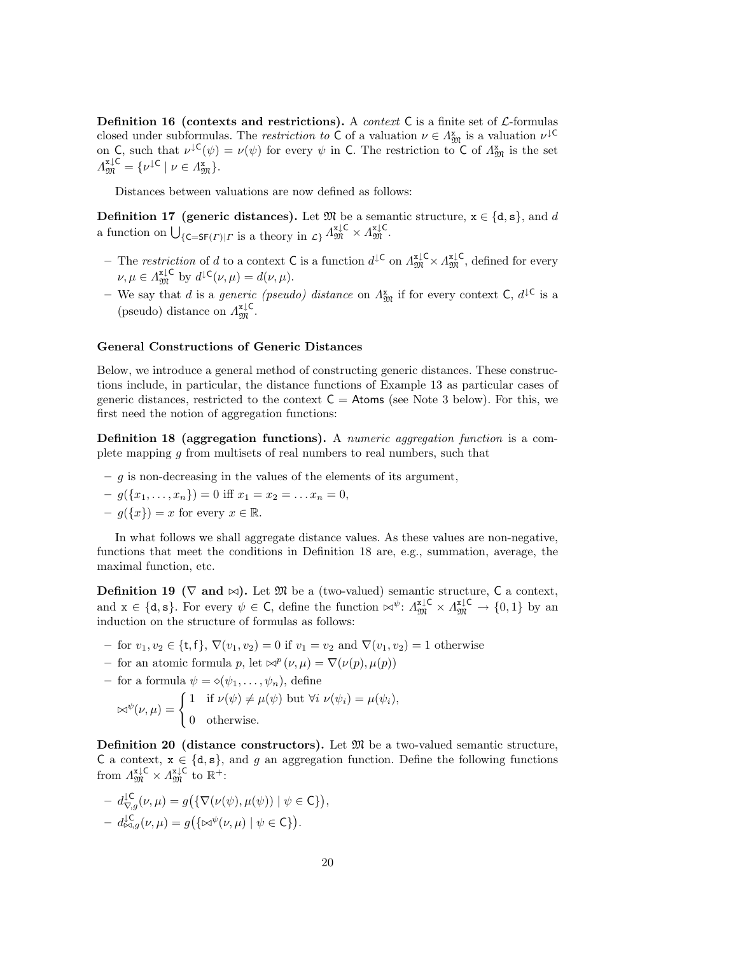**Definition 16** (contexts and restrictions). A *context* C is a finite set of  $\mathcal{L}$ -formulas closed under subformulas. The *restriction to* C of a valuation  $\nu \in \Lambda_{\mathfrak{M}}^{x}$  is a valuation  $\nu^{\downarrow}$ <sup>C</sup> on C, such that  $\nu^{\downarrow}(\psi) = \nu(\psi)$  for every  $\psi$  in C. The restriction to C of  $\Lambda_{\mathfrak{M}}^{\mathbf{x}}$  is the set  $\Lambda_{\mathfrak{M}}^{\mathbf{x}\downarrow\mathsf{C}} = \{ \nu^{\downarrow\mathsf{C}} \mid \nu \in \Lambda_{\mathfrak{M}}^{\mathbf{x}} \}.$ 

Distances between valuations are now defined as follows:

**Definition 17 (generic distances).** Let  $\mathfrak{M}$  be a semantic structure,  $\mathbf{x} \in \{\mathbf{d}, \mathbf{s}\}$ , and d a function on  $\bigcup_{\{\mathsf{C}=\mathsf{SF}(\Gamma)|\Gamma\text{ is a theory in }\mathcal{L}\}}\Lambda^{\mathtt{x}\downarrow\mathsf{C}}_{\mathfrak{M}}\times\Lambda^{\mathtt{x}\downarrow\mathsf{C}}_{\mathfrak{M}}.$ 

- The restriction of d to a context C is a function  $d^{\downarrow \mathsf{C}}$  on  $\Lambda_{\mathfrak{M}}^{\mathfrak{r},\downarrow \mathsf{C}} \times \Lambda_{\mathfrak{M}}^{\mathfrak{r},\downarrow \mathsf{C}}$ , defined for every  $\nu, \mu \in \Lambda_{\mathfrak{M}}^{\mathfrak{u} \downarrow \mathsf{C}}$  by  $d^{\downarrow \mathsf{C}}(\nu, \mu) = d(\nu, \mu).$
- We say that d is a *generic (pseudo)* distance on  $\Lambda_{\mathfrak{M}}^{\mathbf{x}}$  if for every context  $\mathsf{C}, d^{\mathsf{LC}}$  is a (pseudo) distance on  $\Lambda_{\mathfrak{M}}^{\mathbf{x}\downarrow\mathsf{C}}$ .

#### General Constructions of Generic Distances

Below, we introduce a general method of constructing generic distances. These constructions include, in particular, the distance functions of Example 13 as particular cases of generic distances, restricted to the context  $C =$  Atoms (see Note 3 below). For this, we first need the notion of aggregation functions:

Definition 18 (aggregation functions). A numeric aggregation function is a complete mapping g from multisets of real numbers to real numbers, such that

- $-$  g is non-decreasing in the values of the elements of its argument,
- $-g({x_1,...,x_n}) = 0$  iff  $x_1 = x_2 = ... x_n = 0$ ,
- $-g({x}) = x$  for every  $x \in \mathbb{R}$ .

In what follows we shall aggregate distance values. As these values are non-negative, functions that meet the conditions in Definition 18 are, e.g., summation, average, the maximal function, etc.

**Definition 19** ( $\nabla$  and  $\infty$ ). Let  $\mathfrak{M}$  be a (two-valued) semantic structure, C a context, and  $\mathbf{x} \in \{\mathbf{d}, \mathbf{s}\}\)$ . For every  $\psi \in \mathsf{C}$ , define the function  $\bowtie^{\psi} : \Lambda_{\mathfrak{M}}^{\mathfrak{z} \downarrow \mathsf{C}} \times \Lambda_{\mathfrak{M}}^{\mathfrak{z} \downarrow \mathsf{C}} \to \{0,1\}$  by an induction on the structure of formulas as follows:

- for  $v_1, v_2 \in \{t, f\}, \nabla(v_1, v_2) = 0$  if  $v_1 = v_2$  and  $\nabla(v_1, v_2) = 1$  otherwise
- for an atomic formula p, let  $\bowtie^p(\nu,\mu) = \nabla(\nu(p), \mu(p))$
- for a formula  $\psi = \diamond(\psi_1, \ldots, \psi_n)$ , define

$$
\bowtie^{\psi}(\nu,\mu) = \begin{cases} 1 & \text{if } \nu(\psi) \neq \mu(\psi) \text{ but } \forall i \ \nu(\psi_i) = \mu(\psi_i), \\ 0 & \text{otherwise.} \end{cases}
$$

**Definition 20 (distance constructors).** Let  $\mathfrak{M}$  be a two-valued semantic structure, C a context,  $x \in \{d, s\}$ , and g an aggregation function. Define the following functions from  $\Lambda_{\mathfrak{M}}^{\mathfrak{x}\downarrow\mathsf{C}} \times \Lambda_{\mathfrak{M}}^{\mathfrak{x}\downarrow\mathsf{C}}$  to  $\mathbb{R}^+$ :

$$
- d_{\nabla,g}^{\mathcal{L}}(\nu,\mu) = g(\{\nabla(\nu(\psi),\mu(\psi)) \mid \psi \in \mathsf{C}\}),
$$
  

$$
- d_{\bowtie,g}^{\mathcal{L}}(\nu,\mu) = g(\{\bowtie^{\psi}(\nu,\mu) \mid \psi \in \mathsf{C}\}).
$$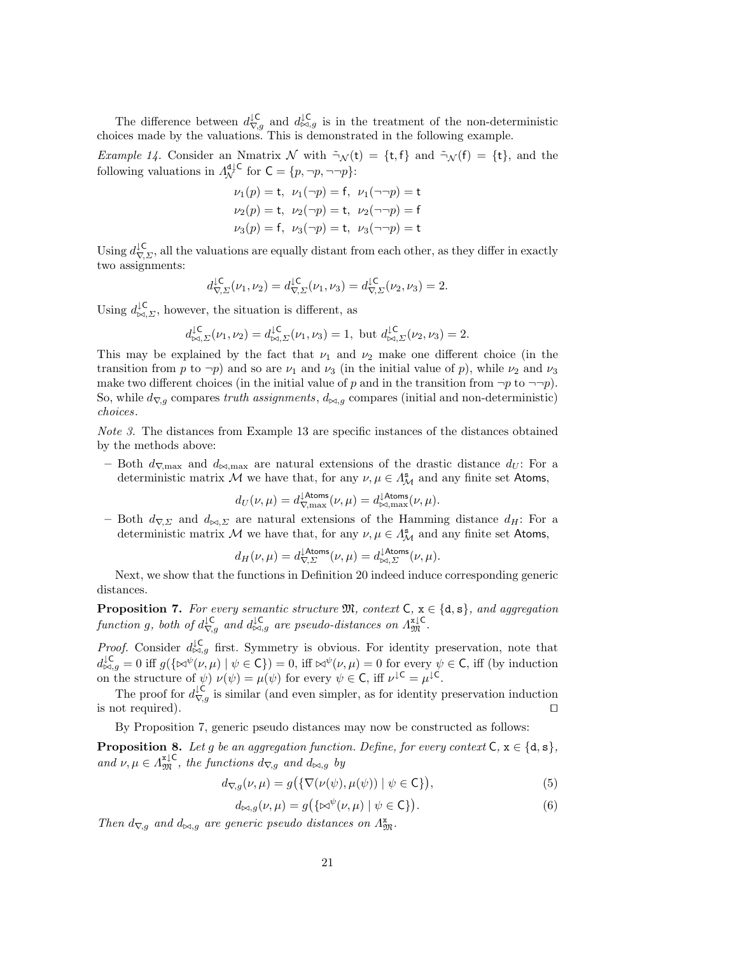The difference between  $d_{\nabla,g}^{\downarrow\mathsf{C}}$  and  $d_{\bowtie,g}^{\downarrow\mathsf{C}}$  is in the treatment of the non-deterministic choices made by the valuations. This is demonstrated in the following example.

*Example 14.* Consider an Nmatrix N with  $\tilde{\neg}_{\mathcal{N}}(t) = \{t, f\}$  and  $\tilde{\neg}_{\mathcal{N}}(f) = \{t\}$ , and the following valuations in  $\Lambda_{\mathcal{N}}^{\mathsf{d}\downarrow\mathsf{C}}$  for  $\mathsf{C} = \{p, \neg p, \neg \neg p\}$ :

$$
\nu_1(p) = t
$$
,  $\nu_1(\neg p) = f$ ,  $\nu_1(\neg \neg p) = t$   
\n $\nu_2(p) = t$ ,  $\nu_2(\neg p) = t$ ,  $\nu_2(\neg \neg p) = f$   
\n $\nu_3(p) = f$ ,  $\nu_3(\neg p) = t$ ,  $\nu_3(\neg \neg p) = t$ 

Using  $d_{\nabla, \Sigma}^{\downarrow c}$ , all the valuations are equally distant from each other, as they differ in exactly two assignments:

$$
d_{\nabla\Sigma}^{\downarrow\mathsf{C}}(\nu_1,\nu_2) = d_{\nabla\Sigma}^{\downarrow\mathsf{C}}(\nu_1,\nu_3) = d_{\nabla\Sigma}^{\downarrow\mathsf{C}}(\nu_2,\nu_3) = 2.
$$

Using  $d_{\bowtie,\Sigma}^{\downarrow\mathsf{C}}$ , however, the situation is different, as

$$
d_{\bowtie, \Sigma}^{\downarrow \mathsf{C}}(\nu_1, \nu_2) = d_{\bowtie, \Sigma}^{\downarrow \mathsf{C}}(\nu_1, \nu_3) = 1, \text{ but } d_{\bowtie, \Sigma}^{\downarrow \mathsf{C}}(\nu_2, \nu_3) = 2.
$$

This may be explained by the fact that  $\nu_1$  and  $\nu_2$  make one different choice (in the transition from p to  $\neg p$ ) and so are  $\nu_1$  and  $\nu_3$  (in the initial value of p), while  $\nu_2$  and  $\nu_3$ make two different choices (in the initial value of p and in the transition from  $\neg p$  to  $\neg \neg p$ ). So, while  $d_{\nabla,q}$  compares truth assignments,  $d_{\bowtie,q}$  compares (initial and non-deterministic) choices.

Note 3. The distances from Example 13 are specific instances of the distances obtained by the methods above:

– Both  $d_{\nabla,\text{max}}$  and  $d_{\bowtie,\text{max}}$  are natural extensions of the drastic distance  $d_U$ : For a deterministic matrix M we have that, for any  $\nu, \mu \in \Lambda^{\mathbf{s}}_{\mathcal{M}}$  and any finite set Atoms,

$$
d_U(\nu,\mu)=d_{\nabla,\max}^{\downarrow\rm{Atoms}}(\nu,\mu)=d_{\bowtie,\max}^{\downarrow\rm{Atoms}}(\nu,\mu).
$$

– Both  $d_{\nabla, \Sigma}$  and  $d_{\bowtie, \Sigma}$  are natural extensions of the Hamming distance  $d_H$ : For a deterministic matrix M we have that, for any  $\nu, \mu \in \Lambda^{\mathbf{s}}_{\mathcal{M}}$  and any finite set Atoms,

$$
d_H(\nu,\mu)=d_{\nabla\!,\varSigma}^{\downarrow\text{Atoms}}(\nu,\mu)=d_{\bowtie,\varSigma}^{\downarrow\text{Atoms}}(\nu,\mu).
$$

Next, we show that the functions in Definition 20 indeed induce corresponding generic distances.

**Proposition 7.** For every semantic structure  $\mathfrak{M}$ , context C,  $\mathbf{x} \in \{d, s\}$ , and aggregation function g, both of  $d_{\nabla,g}^{\downarrow \mathsf{C}}$  and  $d_{\bowtie,g}^{\downarrow \mathsf{C}}$  are pseudo-distances on  $\Lambda_{\mathfrak{M}}^{\mathfrak{x},\mathsf{C}}$ .

*Proof.* Consider  $d_{\bowtie, g}^{\downarrow \complement}$  first. Symmetry is obvious. For identity preservation, note that  $d_{\bowtie,g}^{\downarrow\mathsf{C}} = 0$  iff  $g(\{\bowtie^{\psi}(\nu,\mu) \mid \psi \in \mathsf{C}\}) = 0$ , iff  $\bowtie^{\psi}(\nu,\mu) = 0$  for every  $\psi \in \mathsf{C}$ , iff (by induction on the structure of  $\psi$ )  $\nu(\psi) = \mu(\psi)$  for every  $\psi \in \mathsf{C}$ , iff  $\nu^{\downarrow \mathsf{C}} = \mu^{\downarrow \mathsf{C}}$ .

The proof for  $d_{\nabla,g}^{\downarrow\mathsf{C}}$  is similar (and even simpler, as for identity preservation induction is not required).  $\Box$ 

By Proposition 7, generic pseudo distances may now be constructed as follows:

**Proposition 8.** Let g be an aggregation function. Define, for every context C,  $x \in \{d, s\}$ , and  $\nu, \mu \in \Lambda_{\mathfrak{M}}^{\mathfrak{u}\downarrow\mathsf{C}}$ , the functions  $d_{\nabla,g}$  and  $d_{\bowtie,g}$  by

$$
d_{\nabla,g}(\nu,\mu) = g\big(\{\nabla(\nu(\psi),\mu(\psi)) \mid \psi \in \mathsf{C}\}\big),\tag{5}
$$

$$
d_{\bowtie,g}(\nu,\mu) = g\big(\{\bowtie^{\psi}(\nu,\mu) \mid \psi \in \mathsf{C}\}\big).
$$
\n(6)

Then  $d_{\nabla,g}$  and  $d_{\bowtie,g}$  are generic pseudo distances on  $\Lambda_{\mathfrak{M}}^{\mathbf{x}}$ .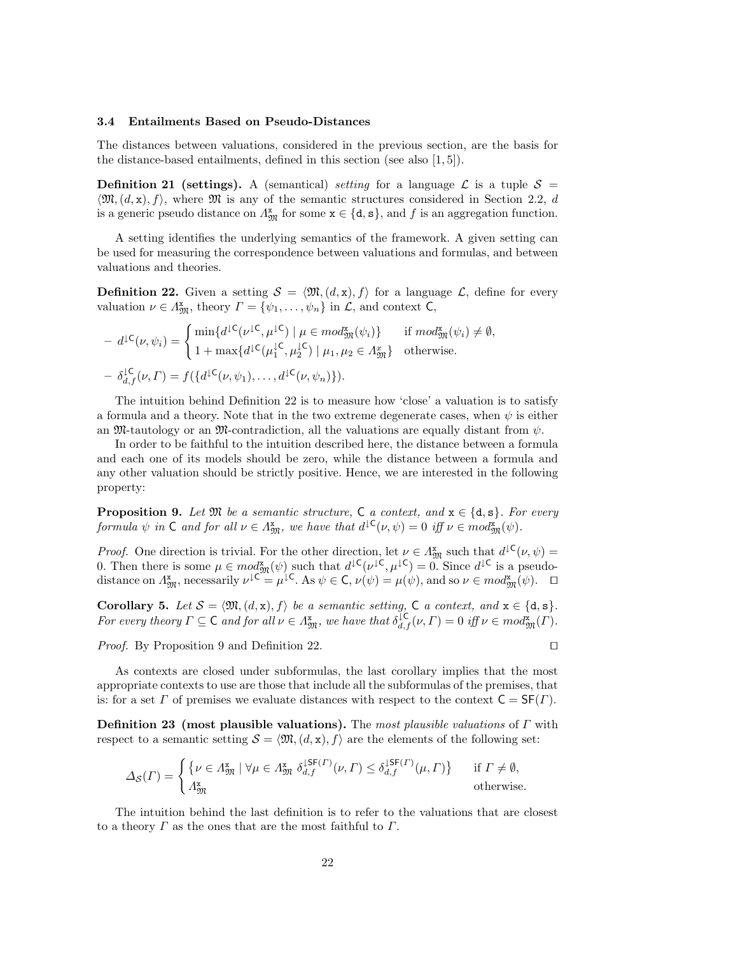#### 3.4 Entailments Based on Pseudo-Distances

The distances between valuations, considered in the previous section, are the basis for the distance-based entailments, defined in this section (see also [1, 5]).

**Definition 21 (settings).** A (semantical) setting for a language  $\mathcal{L}$  is a tuple  $\mathcal{S} =$  $\mathfrak{M}(d, x), f$ , where  $\mathfrak{M}$  is any of the semantic structures considered in Section 2.2, d is a generic pseudo distance on  $\Lambda_{\mathfrak{M}}^{\mathbf{x}}$  for some  $\mathbf{x} \in \{\mathrm{d}, \mathrm{s}\}$ , and f is an aggregation function.

A setting identifies the underlying semantics of the framework. A given setting can be used for measuring the correspondence between valuations and formulas, and between valuations and theories.

**Definition 22.** Given a setting  $S = \langle \mathfrak{M}, (d, x), f \rangle$  for a language  $\mathcal{L}$ , define for every valuation  $\nu \in \Lambda_{\mathfrak{M}}^{\mathbf{x}}$ , theory  $\Gamma = {\psi_1, \ldots, \psi_n}$  in  $\mathcal{L}$ , and context  $\mathsf{C}$ ,

$$
- d^{1}\mathsf{C}(\nu, \psi_i) = \begin{cases} \min\{d^{1}\mathsf{C}(\nu^{1}\mathsf{C}, \mu^{1}\mathsf{C}) \mid \mu \in \mathit{mod}^{\mathbf{x}}_{\mathfrak{M}}(\psi_i)\} & \text{if } \mathit{mod}^{\mathbf{x}}_{\mathfrak{M}}(\psi_i) \neq \emptyset, \\ 1 + \max\{d^{1}\mathsf{C}(\mu_1^{1}\mathsf{C}, \mu_2^{1}\mathsf{C}) \mid \mu_1, \mu_2 \in \Lambda_{\mathfrak{M}}^{\mathbf{x}}\} & \text{otherwise.} \end{cases}
$$
\n
$$
- \delta_{d,f}^{1}\mathsf{C}(\nu, \Gamma) = f(\{d^{1}\mathsf{C}(\nu, \psi_1), \dots, d^{1}\mathsf{C}(\nu, \psi_n)\}).
$$

The intuition behind Definition 22 is to measure how 'close' a valuation is to satisfy a formula and a theory. Note that in the two extreme degenerate cases, when  $\psi$  is either an  $\mathfrak{M}$ -tautology or an  $\mathfrak{M}$ -contradiction, all the valuations are equally distant from  $\psi$ .

In order to be faithful to the intuition described here, the distance between a formula and each one of its models should be zero, while the distance between a formula and any other valuation should be strictly positive. Hence, we are interested in the following property:

**Proposition 9.** Let  $\mathfrak{M}$  be a semantic structure, C a context, and  $\mathbf{x} \in \{\mathrm{d}, \mathrm{s}\}\$ . For every formula  $\psi$  in  $C$  and for all  $\nu \in A_{\mathfrak{M}}^{\mathbf{x}}$ , we have that  $d^{\mathfrak{l}}\mathsf{C}(\nu,\psi) = 0$  iff  $\nu \in mod_{\mathfrak{M}}^{\mathbf{x}}(\psi)$ .

*Proof.* One direction is trivial. For the other direction, let  $\nu \in A_{\mathfrak{M}}^{\mathfrak{x}}$  such that  $d^{\mathfrak{LC}}(\nu, \psi)$  = 0. Then there is some  $\mu \in mod_{\mathfrak{M}}^{\mathfrak{X}}(\psi)$  such that  $d^{\downarrow \mathsf{C}}(\nu^{\downarrow \mathsf{C}}, \mu^{\downarrow \mathsf{C}}) = 0$ . Since  $d^{\downarrow \mathsf{C}}$  is a pseudodistance on  $\Lambda_{\mathfrak{M}}^{\mathbf{x}}$ , necessarily  $\nu^{\downarrow \mathsf{C}} = \mu^{\downarrow \mathsf{C}}$ . As  $\psi \in \mathsf{C}$ ,  $\nu(\psi) = \mu(\psi)$ , and so  $\nu \in \mathfrak{mod}_{\mathfrak{M}}^{\mathbf{x}}(\psi)$ .  $\Box$ 

Corollary 5. Let  $S = \langle \mathfrak{M}, (d, x), f \rangle$  be a semantic setting, C a context, and  $x \in \{d, s\}.$ For every theory  $\Gamma \subseteq \mathsf{C}$  and for all  $\nu \in A_{\mathfrak{M}}^{\mathbf{x}}$ , we have that  $\delta_{d,f}^{\mathfrak{L}}(\nu,\Gamma) = 0$  iff  $\nu \in mod_{\mathfrak{M}}^{\mathbf{x}}(\Gamma)$ .

*Proof.* By Proposition 9 and Definition 22.  $\Box$ 

As contexts are closed under subformulas, the last corollary implies that the most appropriate contexts to use are those that include all the subformulas of the premises, that is: for a set  $\Gamma$  of premises we evaluate distances with respect to the context  $C = SF(\Gamma)$ .

**Definition 23** (most plausible valuations). The most plausible valuations of  $\Gamma$  with respect to a semantic setting  $S = \langle \mathfrak{M}, (d, x), f \rangle$  are the elements of the following set:

$$
\Delta_{\mathcal{S}}(\Gamma) = \begin{cases} \{ \nu \in \Lambda_{\mathfrak{M}}^{\mathbf{x}} \mid \forall \mu \in \Lambda_{\mathfrak{M}}^{\mathbf{x}} \; \delta_{d,f}^{\downarrow \mathsf{S}\mathsf{F}(\Gamma)}(\nu, \Gamma) \leq \delta_{d,f}^{\downarrow \mathsf{S}\mathsf{F}(\Gamma)}(\mu, \Gamma) \} & \text{if } \Gamma \neq \emptyset, \\ \Lambda_{\mathfrak{M}}^{\mathbf{x}} & \text{otherwise.} \end{cases}
$$

The intuition behind the last definition is to refer to the valuations that are closest to a theory  $\Gamma$  as the ones that are the most faithful to  $\Gamma$ .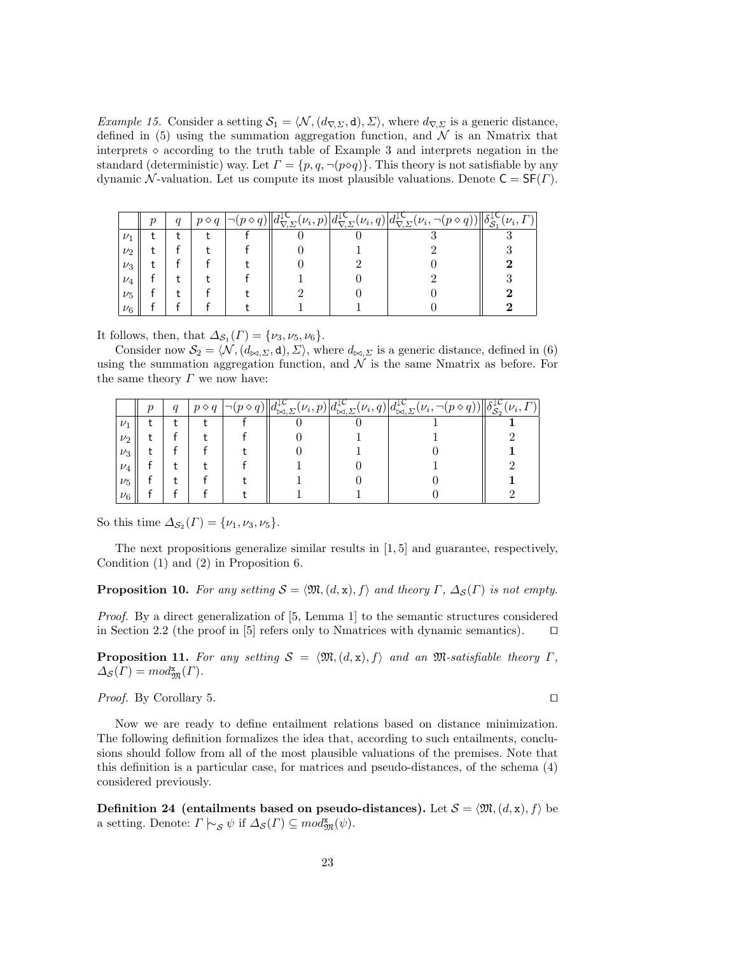Example 15. Consider a setting  $S_1 = \langle \mathcal{N}, (d_{\nabla}, \mathcal{I}), \Sigma \rangle$ , where  $d_{\nabla}, \Sigma$  is a generic distance, defined in (5) using the summation aggregation function, and  $\mathcal N$  is an Nmatrix that interprets  $\circ$  according to the truth table of Example 3 and interprets negation in the standard (deterministic) way. Let  $\Gamma = \{p, q, \neg(p \circ q)\}\.$  This theory is not satisfiable by any dynamic N-valuation. Let us compute its most plausible valuations. Denote  $C = SF(\Gamma)$ .

|         | $\boldsymbol{p}$ | q |  | $(\nu_i, p)$ | $\nabla \cdot \Sigma$ | $(\nu_i, q)   d_{\nabla, \underline{\Sigma}}^{\downarrow \downarrow}(\nu_i, \overline{\Sigma})$<br>◇ | $\Gamma$<br>$\nu_i,$<br>ΠО<br>$\sim$ |
|---------|------------------|---|--|--------------|-----------------------|------------------------------------------------------------------------------------------------------|--------------------------------------|
| $\nu_1$ |                  |   |  |              |                       |                                                                                                      |                                      |
| $\nu_2$ |                  |   |  |              |                       |                                                                                                      |                                      |
| $\nu_3$ |                  |   |  |              |                       |                                                                                                      |                                      |
| $\nu_4$ |                  |   |  |              |                       |                                                                                                      |                                      |
| $\nu_5$ |                  |   |  |              |                       |                                                                                                      |                                      |
| $\nu_6$ |                  |   |  |              |                       |                                                                                                      |                                      |

It follows, then, that  $\Delta_{\mathcal{S}_1}(\Gamma) = \{\nu_3, \nu_5, \nu_6\}.$ 

Consider now  $\mathcal{S}_2 = \langle \mathcal{N}, (d_{\bowtie,\Sigma}, d), \Sigma \rangle$ , where  $d_{\bowtie,\Sigma}$  is a generic distance, defined in (6) using the summation aggregation function, and  $\mathcal N$  is the same Nmatrix as before. For the same theory  $\Gamma$  we now have:

|         | $\boldsymbol{p}$ | $\boldsymbol{q}$ |  | $\nu_i, p$ | $\nu_i, q$<br>$\sim$ | $d_{\bowtie}^{\downarrow}$ $\Sigma$<br>$\iota_{\nu_i}$ | $\mathbb{C} \mathbb{C}^n$<br>$\Gamma$<br>$\nu_i,$<br>$\mathcal{S}_2$ |
|---------|------------------|------------------|--|------------|----------------------|--------------------------------------------------------|----------------------------------------------------------------------|
| $\nu_1$ |                  |                  |  |            |                      |                                                        |                                                                      |
| $\nu_2$ |                  |                  |  |            |                      |                                                        |                                                                      |
| $\nu_3$ |                  |                  |  |            |                      |                                                        |                                                                      |
| $\nu_4$ |                  |                  |  |            |                      |                                                        |                                                                      |
| $\nu_5$ |                  |                  |  |            |                      |                                                        |                                                                      |
| $\nu_6$ |                  |                  |  |            |                      |                                                        |                                                                      |

So this time  $\Delta_{\mathcal{S}_2}(\Gamma) = {\nu_1, \nu_3, \nu_5}.$ 

The next propositions generalize similar results in  $[1, 5]$  and guarantee, respectively, Condition (1) and (2) in Proposition 6.

**Proposition 10.** For any setting  $S = \langle \mathfrak{M}, (d, x), f \rangle$  and theory Γ,  $\Delta_S(\Gamma)$  is not empty.

Proof. By a direct generalization of [5, Lemma 1] to the semantic structures considered in Section 2.2 (the proof in [5] refers only to Nmatrices with dynamic semantics).  $\Box$ 

**Proposition 11.** For any setting  $S = \langle \mathfrak{M}, (d, x), f \rangle$  and an  $\mathfrak{M}$ -satisfiable theory Γ,  $\Delta_{\mathcal{S}}(\Gamma) = mod_{\mathfrak{M}}^{\mathbf{x}}(\Gamma).$ 

*Proof.* By Corollary 5.  $\Box$ 

Now we are ready to define entailment relations based on distance minimization. The following definition formalizes the idea that, according to such entailments, conclusions should follow from all of the most plausible valuations of the premises. Note that this definition is a particular case, for matrices and pseudo-distances, of the schema (4) considered previously.

**Definition 24** (entailments based on pseudo-distances). Let  $S = \langle \mathfrak{M}, (d, x), f \rangle$  be a setting. Denote:  $\Gamma \models_{\mathcal{S}} \psi$  if  $\Delta_{\mathcal{S}}(\Gamma) \subseteq \text{mod}^{\mathbf{x}}_{\mathfrak{M}}(\psi)$ .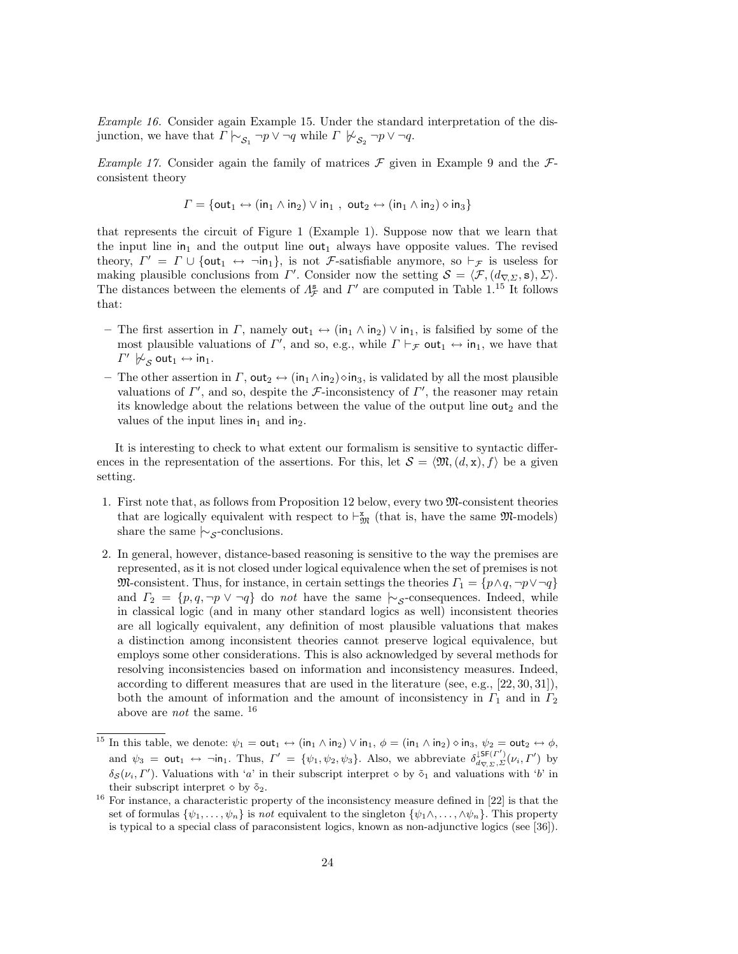Example 16. Consider again Example 15. Under the standard interpretation of the disjunction, we have that  $\Gamma \nvert \sim_{\mathcal{S}_1} \neg p \vee \neg q$  while  $\Gamma \nvert \mathcal{C}_{\mathcal{S}_2} \neg p \vee \neg q$ .

Example 17. Consider again the family of matrices  $\mathcal F$  given in Example 9 and the  $\mathcal F$ consistent theory

$$
\varGamma = \{ \mathsf{out}_1 \leftrightarrow (\mathsf{in}_1 \wedge \mathsf{in}_2) \vee \mathsf{in}_1 , \; \mathsf{out}_2 \leftrightarrow (\mathsf{in}_1 \wedge \mathsf{in}_2) \diamond \mathsf{in}_3 \}
$$

that represents the circuit of Figure 1 (Example 1). Suppose now that we learn that the input line  $in_1$  and the output line out<sub>1</sub> always have opposite values. The revised theory,  $\Gamma' = \Gamma \cup \{out_1 \leftrightarrow \neg in_1\}$ , is not *F*-satisfiable anymore, so  $\vdash_{\mathcal{F}}$  is useless for making plausible conclusions from  $\Gamma'$ . Consider now the setting  $\mathcal{S} = \langle \mathcal{F}, (d_{\nabla, \Sigma}, \mathbf{s}), \Sigma \rangle$ . The distances between the elements of  $\Lambda_{\mathcal{F}}^s$  and  $\Gamma'$  are computed in Table 1.<sup>15</sup> It follows that:

- The first assertion in  $\Gamma$ , namely  $\text{out}_1 \leftrightarrow (\text{in}_1 \wedge \text{in}_2) \vee \text{in}_1$ , is falsified by some of the most plausible valuations of  $\Gamma'$ , and so, e.g., while  $\Gamma \vdash_{\mathcal{F}} \text{out}_1 \leftrightarrow \text{in}_1$ , we have that  $\varGamma'\not\hspace{-.1cm}\not\sim_{\mathcal{S}} \mathtt{out}_1 \leftrightarrow \mathtt{in}_1.$
- The other assertion in  $\Gamma$ , out<sub>2</sub>  $\leftrightarrow$  (in<sub>1</sub> $\land$ in<sub>2</sub>) $\circ$ in<sub>3</sub>, is validated by all the most plausible valuations of  $\Gamma'$ , and so, despite the *F*-inconsistency of  $\Gamma'$ , the reasoner may retain its knowledge about the relations between the value of the output line  $out_2$  and the values of the input lines  $in_1$  and  $in_2$ .

It is interesting to check to what extent our formalism is sensitive to syntactic differences in the representation of the assertions. For this, let  $\mathcal{S} = \langle \mathfrak{M}, (d, x), f \rangle$  be a given setting.

- 1. First note that, as follows from Proposition 12 below, every two M-consistent theories that are logically equivalent with respect to  $\vdash^{\mathbf{x}}_{\mathfrak{M}}$  (that is, have the same  $\mathfrak{M}\text{-models}$ ) share the same  $\sim$ <sub>S</sub>-conclusions.
- 2. In general, however, distance-based reasoning is sensitive to the way the premises are represented, as it is not closed under logical equivalence when the set of premises is not M-consistent. Thus, for instance, in certain settings the theories  $\Gamma_1 = \{p \wedge q, \neg p \vee \neg q\}$ and  $\Gamma_2 = \{p, q, \neg p \lor \neg q\}$  do *not* have the same  $\sim$ <sub>S</sub>-consequences. Indeed, while in classical logic (and in many other standard logics as well) inconsistent theories are all logically equivalent, any definition of most plausible valuations that makes a distinction among inconsistent theories cannot preserve logical equivalence, but employs some other considerations. This is also acknowledged by several methods for resolving inconsistencies based on information and inconsistency measures. Indeed, according to different measures that are used in the literature (see, e.g., [22, 30, 31]), both the amount of information and the amount of inconsistency in  $\Gamma_1$  and in  $\Gamma_2$ above are *not* the same.  $^{16}$

<sup>&</sup>lt;sup>15</sup> In this table, we denote:  $\psi_1 = \text{out}_1 \leftrightarrow (\text{in}_1 \wedge \text{in}_2) \vee \text{in}_1$ ,  $\phi = (\text{in}_1 \wedge \text{in}_2) \diamond \text{in}_3$ ,  $\psi_2 = \text{out}_2 \leftrightarrow \phi$ , and  $\psi_3 = \text{out}_1 \leftrightarrow \neg \text{in}_1$ . Thus,  $\Gamma' = {\psi_1, \psi_2, \psi_3}$ . Also, we abbreviate  $\delta_{d_{\nabla}, \Sigma}^{1}(\nu_i, \Gamma')$  by  $\delta_{\mathcal{S}}(\nu_i, \Gamma')$ . Valuations with 'a' in their subscript interpret  $\diamond$  by  $\tilde{\diamond}_1$  and valuations with 'b' in their subscript interpret  $\diamond$  by  $\tilde{\diamond}_2$ .

 $16$  For instance, a characteristic property of the inconsistency measure defined in [22] is that the set of formulas  $\{\psi_1,\ldots,\psi_n\}$  is not equivalent to the singleton  $\{\psi_1\wedge,\ldots,\wedge\psi_n\}$ . This property is typical to a special class of paraconsistent logics, known as non-adjunctive logics (see [36]).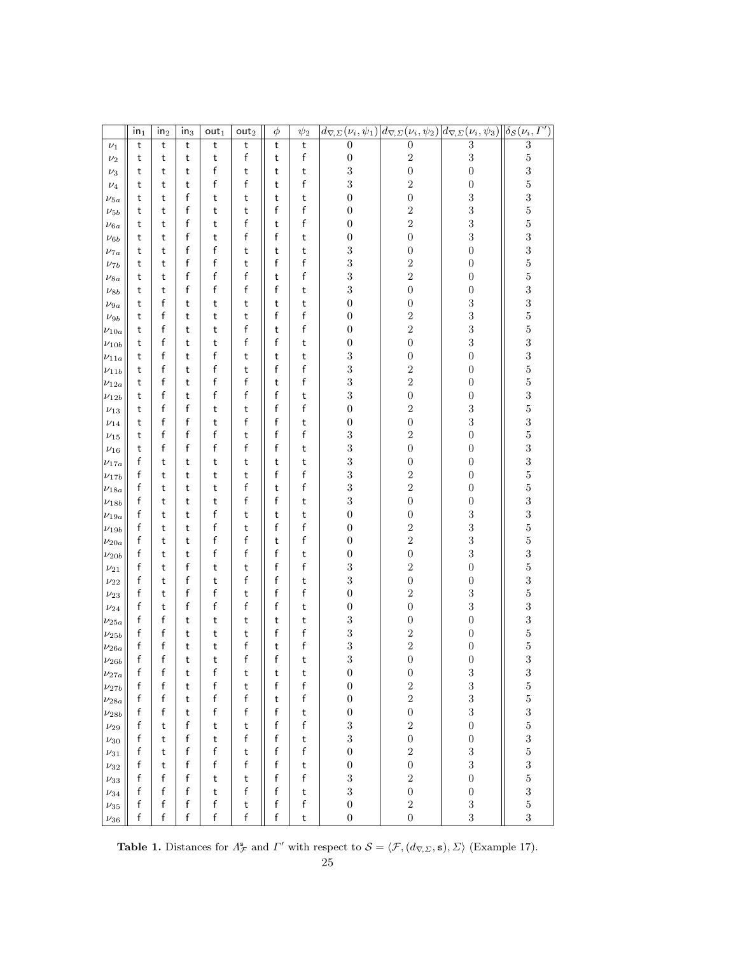|                            | $\mathsf{in}_1$ | in <sub>2</sub> | in <sub>3</sub> | out <sub>1</sub> | out <sub>2</sub> | $\phi$ | $\psi_2$ | $d_{\nabla,\varSigma}(\nu_i,\overline{\psi_1})$ |                                | $\left  d_{\nabla,\Sigma}(\nu_i,\psi_2) \right  d_{\nabla,\Sigma}(\nu_i,\psi_3)$ | $\left \delta_{\mathcal{S}}(\nu_i,\mathit{\Gamma}')\right $ |
|----------------------------|-----------------|-----------------|-----------------|------------------|------------------|--------|----------|-------------------------------------------------|--------------------------------|----------------------------------------------------------------------------------|-------------------------------------------------------------|
| $\nu_1$                    | t               | t               | t               | t                | t                | t      | t        | $\overline{0}$                                  | $\overline{0}$                 | $\overline{3}$                                                                   | $\boldsymbol{3}$                                            |
| $\nu_2$                    | t               | t               | t               | t                | f                | t      | f        | $\boldsymbol{0}$                                | $\overline{2}$                 | 3                                                                                | $\overline{5}$                                              |
| $\nu_3$                    | t               | t               | t               | f                | t                | t      | t        | 3                                               | $\boldsymbol{0}$               | $\boldsymbol{0}$                                                                 | 3                                                           |
| $\nu_4$                    | t               | t               | t               | f                | f                | t      | f        | 3                                               | $\sqrt{2}$                     | $\boldsymbol{0}$                                                                 | $\overline{5}$                                              |
| $\nu_{5a}$                 | t               | t               | f               | t                | t                | t      | t        | $\boldsymbol{0}$                                | $\boldsymbol{0}$               | $\sqrt{3}$                                                                       | 3                                                           |
| $\nu_{5b}$                 | t               | t               | f               | t                | t                | f      | f        | $\boldsymbol{0}$                                | $\sqrt{2}$                     | 3                                                                                | $\overline{5}$                                              |
| $\nu_{6a}$                 | t               | t               | f               | t                | f                | t      | f        | $\boldsymbol{0}$                                | $\overline{2}$                 | $\overline{\mathbf{3}}$                                                          | $\overline{5}$                                              |
| $\nu_{6b}$                 | t               | t               | f               | t                | f                | f      | t        | $\boldsymbol{0}$                                | $\boldsymbol{0}$               | $\sqrt{3}$                                                                       | 3                                                           |
| $\nu_{7a}$                 | t               | t               | f               | f                | t                | t      | t        | 3                                               | $\boldsymbol{0}$               | $\boldsymbol{0}$                                                                 | 3                                                           |
| $\nu_{7b}$                 | t               | t               | f               | f                | t                | f      | f        | $\sqrt{3}$                                      | $\sqrt{2}$                     | $\boldsymbol{0}$                                                                 | $\overline{5}$                                              |
| $\nu_{8a}$                 | t               | t               | f               | f                | f                | t      | f        | $\sqrt{3}$                                      | $\sqrt{2}$                     | $\boldsymbol{0}$                                                                 | $\overline{5}$                                              |
| $\nu_{8b}$                 | t               | t               | f               | f                | f                | f      | t        | $\sqrt{3}$                                      | $\boldsymbol{0}$               | $\boldsymbol{0}$                                                                 | 3                                                           |
| $\nu_{9a}$                 | t               | f               | t               | t                | t                | t      | t        | $\boldsymbol{0}$                                | $\boldsymbol{0}$               | $\sqrt{3}$                                                                       | 3                                                           |
| $\nu_{9b}$                 | t               | f               | t               | t                | t                | f      | f        | $\boldsymbol{0}$                                | $\sqrt{2}$                     | 3                                                                                | $\overline{5}$                                              |
| $\nu_{10a}$                | t               | f               | t               | t                | f                | t      | f        | $\boldsymbol{0}$                                | $\overline{2}$                 | $\sqrt{3}$                                                                       | $\overline{5}$                                              |
| $\nu_{10b}$                | t               | f               | t               | t                | f                | f      | t        | $\boldsymbol{0}$                                | $\boldsymbol{0}$               | $\sqrt{3}$                                                                       | 3                                                           |
| $\nu_{11a}$                | t               | f               | t               | f                | t                | t      | t        | 3                                               | $\boldsymbol{0}$               | $\boldsymbol{0}$                                                                 | 3                                                           |
| $\nu_{11b}$                | t               | f               | t               | f                | t                | f      | f        | 3                                               | $\overline{2}$                 | $\boldsymbol{0}$                                                                 | $\overline{5}$                                              |
| $\nu_{12a}$                | t               | f               | t               | f                | f                | t      | f        | 3                                               | $\overline{2}$                 | $\boldsymbol{0}$                                                                 | $\overline{5}$                                              |
| $\nu_{12b}$                | t               | f               | t               | f                | f                | f      | t        | 3                                               | $\boldsymbol{0}$               | $\boldsymbol{0}$                                                                 | 3                                                           |
| $\nu_{13}$                 | t               | f               | f               | t                | t                | f      | f        | $\boldsymbol{0}$                                | $\sqrt{2}$                     | $\sqrt{3}$                                                                       | $\overline{5}$                                              |
| $\nu_{14}$                 | t               | f               | f               | t                | f                | f      | t        | $\boldsymbol{0}$                                | $\boldsymbol{0}$               | $\sqrt{3}$                                                                       | 3                                                           |
| $\nu_{15}$                 | t               | f               | f               | f                | t                | f      | f        | $\,3$                                           | $\sqrt{2}$                     | $\overline{0}$                                                                   | $\overline{5}$                                              |
| $\nu_{16}$                 | t               | f               | f               | f                | f                | f      | t        | $\sqrt{3}$                                      | $\boldsymbol{0}$               | $\boldsymbol{0}$                                                                 | 3                                                           |
| $\nu_{17a}$                | f               | t               | t               | t                | t                | t      | t        | 3                                               | $\boldsymbol{0}$               | $\boldsymbol{0}$                                                                 | 3                                                           |
| $\nu_{17b}$                | f               | t               | t               | t                | t                | f      | f        | 3                                               | $\overline{2}$                 | $\boldsymbol{0}$                                                                 | $\overline{5}$                                              |
| $\nu_{18a}$                | f               | t               | t               | t                | f                | t      | f        | 3                                               | $\overline{2}$                 | $\boldsymbol{0}$                                                                 | $\overline{5}$                                              |
| $\nu_{18b}$                | f               | t               | t               | t                | f                | f      | t        | $\,3$                                           | $\boldsymbol{0}$               | $\boldsymbol{0}$                                                                 | 3                                                           |
| $\nu_{19a}$                | f               | t               | t               | f                | t                | t      | t        | $\boldsymbol{0}$                                | $\boldsymbol{0}$               | $\sqrt{3}$                                                                       | 3                                                           |
| $\nu_{19b}$                | f               | t               | t               | f                | t                | f      | f        | $\boldsymbol{0}$                                | $\sqrt{2}$                     | $\overline{\mathbf{3}}$                                                          | $\overline{5}$                                              |
| $\nu_{20a}$                | f               | t               | t               | f                | f                | t      | f        | $\boldsymbol{0}$                                | $\overline{2}$                 | $\overline{\mathbf{3}}$                                                          | $\overline{5}$                                              |
| $\nu_{20b}$                | f               | t               | t               | f                | f                | f      | t        | $\boldsymbol{0}$                                | $\boldsymbol{0}$               | 3                                                                                | 3                                                           |
| $\nu_{21}$                 | f               | t               | f               | t                | t                | f      | f        | $\sqrt{3}$                                      | $\sqrt{2}$                     | $\boldsymbol{0}$                                                                 | $\overline{5}$                                              |
| $\nu_{22}$                 | f               | t               | f               | t                | f                | f      | t        | $\,3$                                           | $\boldsymbol{0}$               | $\boldsymbol{0}$                                                                 | 3                                                           |
| $\nu_{23}$                 | f<br>f          | t               | f<br>f          | f<br>f           | t<br>f           | f<br>f | f        | $\boldsymbol{0}$<br>$\boldsymbol{0}$            | $\sqrt{2}$<br>$\boldsymbol{0}$ | 3<br>$\sqrt{3}$                                                                  | $\overline{5}$<br>3                                         |
| $\nu_{24}$                 | f               | t<br>f          | t               | t                | t                | t      | t<br>t   | 3                                               | $\boldsymbol{0}$               | $\boldsymbol{0}$                                                                 | 3                                                           |
| $\nu_{25a}$                | f               | f               | t               | t                | t                | f      | f        | 3                                               | $\sqrt{2}$                     | $\boldsymbol{0}$                                                                 | $\overline{5}$                                              |
| $\nu_{25b}$                | f               | f               | t               | t                | f                | t      | f        | 3                                               | $\overline{2}$                 | $\boldsymbol{0}$                                                                 | $\overline{5}$                                              |
| $\nu_{26a}$<br>$\nu_{26b}$ | f               | f               | t               | t                | f                | f      | t        | 3                                               | $\boldsymbol{0}$               | $\overline{0}$                                                                   | 3                                                           |
| $\nu_{27a}$                | f               | f               | t               | f                | t                | t      | t        | $\boldsymbol{0}$                                | $\boldsymbol{0}$               | $\boldsymbol{3}$                                                                 | $\boldsymbol{3}$                                            |
| $\nu_{27b}$                | f               | f               | t               | f                | t                | f      | f        | $\boldsymbol{0}$                                | $\sqrt{2}$                     | 3                                                                                | $\overline{5}$                                              |
| $\nu_{28a}$                | f               | f               | t               | f                | f                | t      | f        | $\boldsymbol{0}$                                | $\overline{2}$                 | 3                                                                                | $\overline{5}$                                              |
| $\nu_{28b}$                | f               | f               | t               | $\mathsf{f}$     | f                | f      | t        | $\boldsymbol{0}$                                | $\boldsymbol{0}$               | $\sqrt{3}$                                                                       | $\sqrt{3}$                                                  |
| $\nu_{29}$                 | f               | t               | f               | t                | t                | f      | f        | $\sqrt{3}$                                      | $\sqrt{2}$                     | $\boldsymbol{0}$                                                                 | $\overline{5}$                                              |
| $\nu_{30}$                 | f               | t               | f               | t                | f                | f      | t        | $\sqrt{3}$                                      | $\boldsymbol{0}$               | $\boldsymbol{0}$                                                                 | 3                                                           |
| $\nu_{31}$                 | f               | t               | f               | f                | t                | f      | f        | $\boldsymbol{0}$                                | $\overline{2}$                 | $\sqrt{3}$                                                                       | $\overline{5}$                                              |
| $\nu_{32}$                 | f               | t               | f               | f                | f                | f      | t        | $\boldsymbol{0}$                                | $\boldsymbol{0}$               | 3                                                                                | 3                                                           |
| $\nu_{33}$                 | f               | f               | f               | t                | t                | f      | f        | 3                                               | $\overline{2}$                 | $\boldsymbol{0}$                                                                 | $\overline{5}$                                              |
| $\nu_{34}$                 | f               | f               | f               | t                | f                | f      | t        | 3                                               | $\boldsymbol{0}$               | $\boldsymbol{0}$                                                                 | 3                                                           |
| $\nu_{35}$                 | f               | f               | f               | f                | t                | f      | f        | $\boldsymbol{0}$                                | $\overline{2}$                 | $\sqrt{3}$                                                                       | $\overline{5}$                                              |
| $\nu_{36}$                 | f               | f               | f               | f                | f                | f      | t        | $\boldsymbol{0}$                                | $\boldsymbol{0}$               | 3                                                                                | 3                                                           |

**Table 1.** Distances for  $\Lambda^s_{\mathcal{F}}$  and  $\Gamma'$  with respect to  $\mathcal{S} = \langle \mathcal{F}, (d_{\nabla}, \Sigma), \Sigma \rangle$  (Example 17).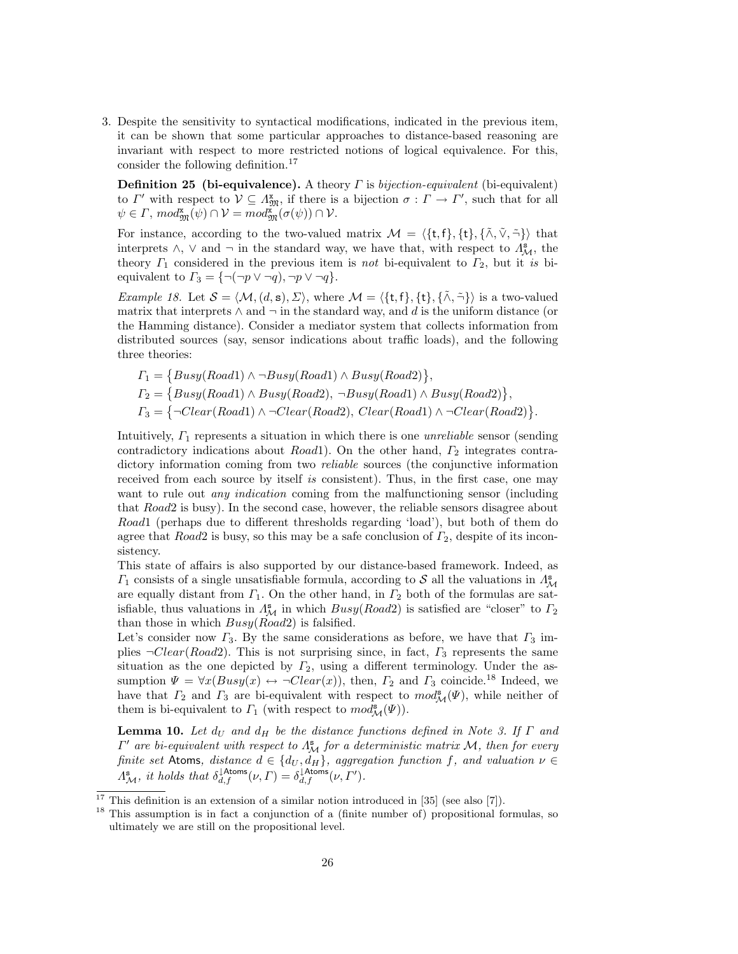3. Despite the sensitivity to syntactical modifications, indicated in the previous item, it can be shown that some particular approaches to distance-based reasoning are invariant with respect to more restricted notions of logical equivalence. For this, consider the following definition.<sup>17</sup>

**Definition 25 (bi-equivalence).** A theory  $\Gamma$  is *bijection-equivalent* (bi-equivalent) to  $\Gamma'$  with respect to  $\mathcal{V} \subseteq \Lambda_{\mathfrak{M}}^{\mathbf{x}}$ , if there is a bijection  $\sigma : \Gamma \to \Gamma'$ , such that for all  $\psi \in \Gamma$ ,  $mod_{\mathfrak{M}}^{\mathbf{x}}(\psi) \cap \mathcal{V} = mod_{\mathfrak{M}}^{\mathbf{x}}(\sigma(\psi)) \cap \mathcal{V}$ .

For instance, according to the two-valued matrix  $M = \langle \{t, f\}, \{t\}, \{\tilde{\wedge}, \tilde{\vee}, \tilde{\neg}\}\rangle$  that interprets  $\wedge$ ,  $\vee$  and  $\neg$  in the standard way, we have that, with respect to  $\Lambda_{\mathcal{M}}^s$ , the theory  $\Gamma_1$  considered in the previous item is not bi-equivalent to  $\Gamma_2$ , but it is biequivalent to  $\Gamma_3 = \{\neg(\neg p \lor \neg q), \neg p \lor \neg q\}.$ 

Example 18. Let  $S = \langle M, (d, s), \Sigma \rangle$ , where  $M = \langle \{t, f\}, \{\tilde{\wedge}, \tilde{\neg}\} \rangle$  is a two-valued matrix that interprets  $\wedge$  and  $\neg$  in the standard way, and d is the uniform distance (or the Hamming distance). Consider a mediator system that collects information from distributed sources (say, sensor indications about traffic loads), and the following three theories:

$$
\begin{aligned} \Gamma_1 &= \{ Busy(Road1) \land \neg Busy(Road1) \land Busy(Road2)\}, \\ \Gamma_2 &= \{Busy(Road1) \land Busy(Road2), \neg Busy(Road1) \land Busy(Road2)\}, \\ \Gamma_3 &= \{\neg Clear(Road1) \land \neg Clear(Road2), Clear(Road1) \land \neg Clear(Road2)\}. \end{aligned}
$$

Intuitively,  $\Gamma_1$  represents a situation in which there is one *unreliable* sensor (sending contradictory indications about  $Read1)$ . On the other hand,  $\Gamma_2$  integrates contradictory information coming from two *reliable* sources (the conjunctive information received from each source by itself is consistent). Thus, in the first case, one may want to rule out *any indication* coming from the malfunctioning sensor (including that Road2 is busy). In the second case, however, the reliable sensors disagree about Road1 (perhaps due to different thresholds regarding 'load'), but both of them do agree that  $Road2$  is busy, so this may be a safe conclusion of  $\Gamma_2$ , despite of its inconsistency.

This state of affairs is also supported by our distance-based framework. Indeed, as  $\Gamma_1$  consists of a single unsatisfiable formula, according to S all the valuations in  $\Lambda_{\mathcal{M}}^s$ are equally distant from  $\Gamma_1$ . On the other hand, in  $\Gamma_2$  both of the formulas are satisfiable, thus valuations in  $\Lambda^s_{\mathcal{M}}$  in which  $Busy(Road2)$  is satisfied are "closer" to  $\Gamma_2$ than those in which  $Busy(Road2)$  is falsified.

Let's consider now  $\Gamma_3$ . By the same considerations as before, we have that  $\Gamma_3$  implies  $\neg Clear(Road2)$ . This is not surprising since, in fact,  $\Gamma_3$  represents the same situation as the one depicted by  $\Gamma_2$ , using a different terminology. Under the assumption  $\Psi = \forall x (Busy(x) \leftrightarrow \neg Clear(x))$ , then,  $\Gamma_2$  and  $\Gamma_3$  coincide.<sup>18</sup> Indeed, we have that  $\Gamma_2$  and  $\Gamma_3$  are bi-equivalent with respect to  $mod_{\mathcal{M}}^s(\Psi)$ , while neither of them is bi-equivalent to  $\Gamma_1$  (with respect to  $mod^s_{\mathcal{M}}(\Psi)$ ).

**Lemma 10.** Let  $d_U$  and  $d_H$  be the distance functions defined in Note 3. If  $\Gamma$  and  $\Gamma'$  are bi-equivalent with respect to  $\Lambda_M^{\mathbf{s}}$  for a deterministic matrix M, then for every finite set Atoms, distance  $d \in \{d_U, d_H\}$ , aggregation function f, and valuation  $\nu \in$  $\Lambda^{\mathbf{s}}_{\mathcal{M}},$  it holds that  $\delta_{d,f}^{\downarrow \mathsf{Atoms}}(\nu, \Gamma) = \delta_{d,f}^{\downarrow \mathsf{Atoms}}(\nu, \Gamma').$ 

 $17$  This definition is an extension of a similar notion introduced in [35] (see also [7]).

<sup>&</sup>lt;sup>18</sup> This assumption is in fact a conjunction of a (finite number of) propositional formulas, so ultimately we are still on the propositional level.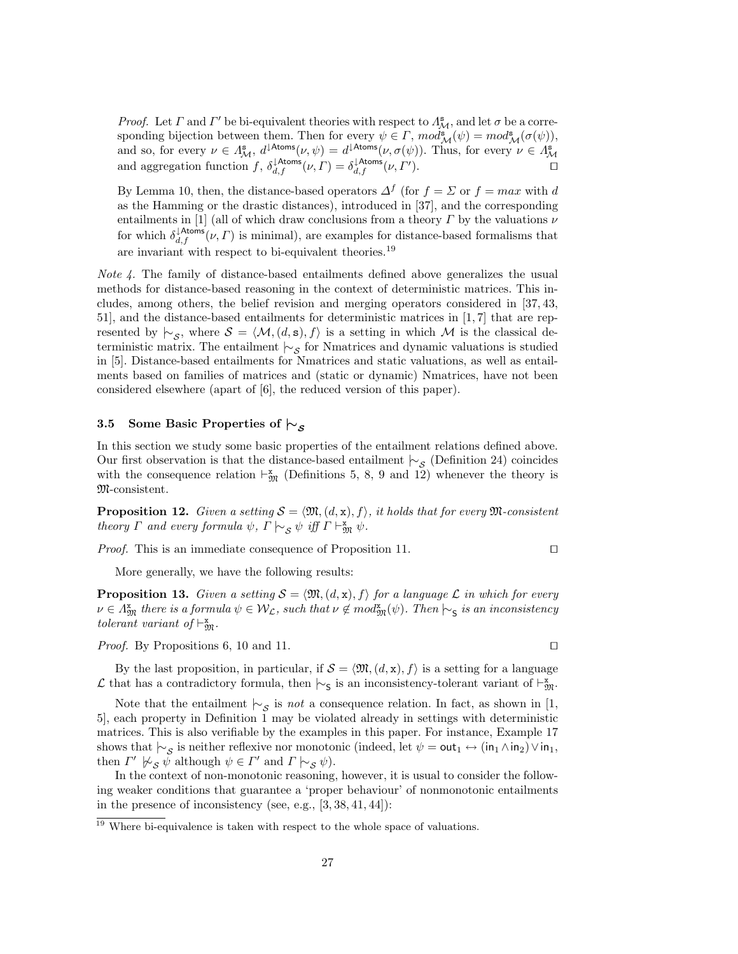*Proof.* Let  $\Gamma$  and  $\Gamma'$  be bi-equivalent theories with respect to  $\Lambda_M^s$ , and let  $\sigma$  be a corresponding bijection between them. Then for every  $\psi \in \Gamma$ ,  $mod_{\mathcal{M}}^s(\psi) = mod_{\mathcal{M}}^s(\sigma(\psi))$ , and so, for every  $\nu \in \Lambda^s_{\mathcal{M}}, d^{1 \text{Atoms}}(\nu, \psi) = d^{1 \text{Atoms}}(\nu, \sigma(\psi))$ . Thus, for every  $\nu \in \Lambda^s_{\mathcal{M}}$ and aggregation function  $f$ ,  $\delta_{d,f}^{\downarrow \text{Atoms}}(\nu, \Gamma) = \delta_{d,f}^{\downarrow \text{Atoms}}(\nu, \Gamma)$ ).  $\qquad \qquad \Box$ 

By Lemma 10, then, the distance-based operators  $\Delta^f$  (for  $f = \Sigma$  or  $f = max$  with d as the Hamming or the drastic distances), introduced in [37], and the corresponding entailments in [1] (all of which draw conclusions from a theory  $\Gamma$  by the valuations  $\nu$ for which  $\delta_{d,f}^{\downarrow \text{Atoms}}(\nu, \Gamma)$  is minimal), are examples for distance-based formalisms that are invariant with respect to bi-equivalent theories.<sup>19</sup>

*Note 4.* The family of distance-based entailments defined above generalizes the usual methods for distance-based reasoning in the context of deterministic matrices. This includes, among others, the belief revision and merging operators considered in [37, 43, 51], and the distance-based entailments for deterministic matrices in [1, 7] that are represented by  $\sim_{\mathcal{S}}$ , where  $\mathcal{S} = \langle \mathcal{M}, (d, s), f \rangle$  is a setting in which M is the classical deterministic matrix. The entailment  $\vdash_{\mathcal{S}}$  for Nmatrices and dynamic valuations is studied in [5]. Distance-based entailments for Nmatrices and static valuations, as well as entailments based on families of matrices and (static or dynamic) Nmatrices, have not been considered elsewhere (apart of [6], the reduced version of this paper).

# 3.5 Some Basic Properties of  $\vdash$ s

In this section we study some basic properties of the entailment relations defined above. Our first observation is that the distance-based entailment  $\vdash_{\mathcal{S}}$  (Definition 24) coincides with the consequence relation  $\vdash^{\mathbf{x}}_{\mathfrak{M}}$  (Definitions 5, 8, 9 and 12) whenever the theory is M-consistent.

**Proposition 12.** Given a setting  $S = \langle \mathfrak{M}, (d, x), f \rangle$ , it holds that for every  $\mathfrak{M}$ -consistent theory  $\Gamma$  and every formula  $\psi$ ,  $\Gamma \hspace{0.2em}\sim_{\mathcal{S}} \psi$  iff  $\Gamma \hspace{0.2em}\sim_{\mathfrak{M}} \psi$ .

*Proof.* This is an immediate consequence of Proposition 11.  $\Box$ 

More generally, we have the following results:

**Proposition 13.** Given a setting  $S = \langle \mathfrak{M}, (d, x), f \rangle$  for a language L in which for every  $\nu \in \Lambda_{\mathfrak{M}}^{\mathbf{x}}$  there is a formula  $\psi \in \mathcal{W}_{\mathcal{L}}$ , such that  $\nu \notin mod_{\mathfrak{M}}^{\mathbf{x}}(\psi)$ . Then  $\vdash_{\mathsf{S}}$  is an inconsistency tolerant variant of  $\vdash^{\mathbf{x}}_{\mathfrak{M}}$ .

*Proof.* By Propositions 6, 10 and 11.  $\square$ 

By the last proposition, in particular, if  $S = \langle \mathfrak{M}, (d, x), f \rangle$  is a setting for a language L that has a contradictory formula, then  $\vdash$ <sub>S</sub> is an inconsistency-tolerant variant of  $\vdash^x_{\mathfrak{M}}$ .

Note that the entailment  $\mid\sim_{\mathcal{S}}$  is *not* a consequence relation. In fact, as shown in [1, 5], each property in Definition 1 may be violated already in settings with deterministic matrices. This is also verifiable by the examples in this paper. For instance, Example 17 shows that  $\vdash_S$  is neither reflexive nor monotonic (indeed, let  $\psi = \textsf{out}_1 \leftrightarrow (\textsf{in}_1 \land \textsf{in}_2) \lor \textsf{in}_1$ , then  $\Gamma' \not\sim_{\mathcal{S}} \bar{\psi}$  although  $\psi \in \Gamma'$  and  $\Gamma \mid \sim_{\mathcal{S}} \psi$ ).

In the context of non-monotonic reasoning, however, it is usual to consider the following weaker conditions that guarantee a 'proper behaviour' of nonmonotonic entailments in the presence of inconsistency (see, e.g.,  $[3, 38, 41, 44]$ ):

<sup>&</sup>lt;sup>19</sup> Where bi-equivalence is taken with respect to the whole space of valuations.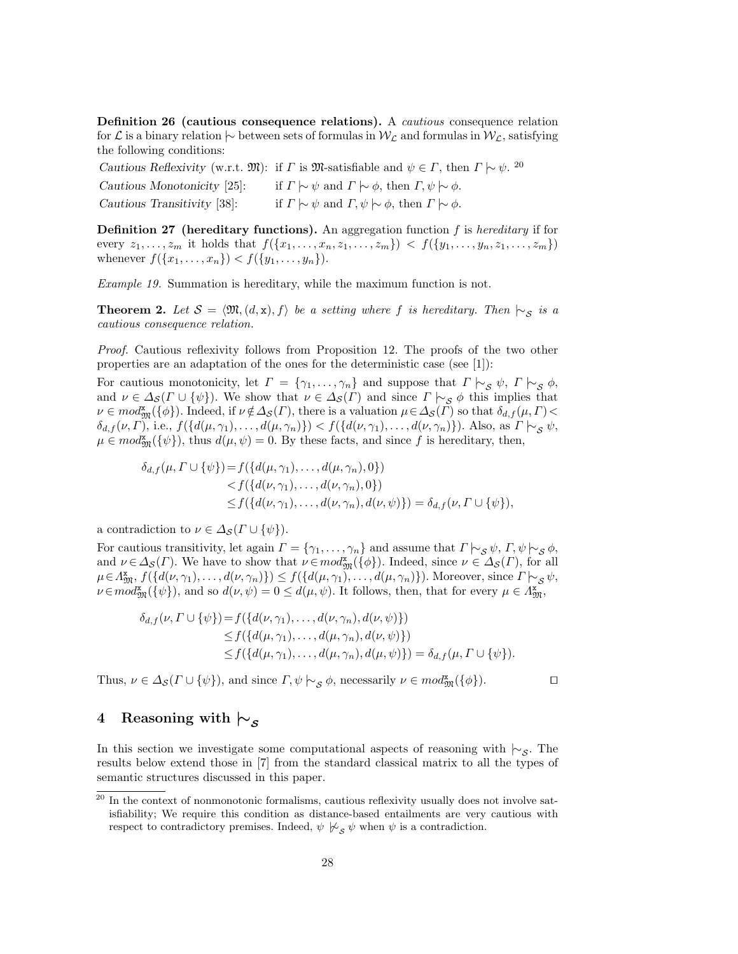Definition 26 (cautious consequence relations). A cautious consequence relation for L is a binary relation  $\sim$  between sets of formulas in  $W_L$  and formulas in  $W_L$ , satisfying the following conditions:

Cautious Reflexivity (w.r.t.  $\mathfrak{M}$ ): if  $\Gamma$  is  $\mathfrak{M}$ -satisfiable and  $\psi \in \Gamma$ , then  $\Gamma \sim \psi$ . <sup>20</sup>

Cautious Monotonicity [25]: if  $\Gamma \sim \psi$  and  $\Gamma \sim \phi$ , then  $\Gamma, \psi \sim \phi$ . Cautious Transitivity [38]: if  $\Gamma \mid \sim \psi$  and  $\Gamma, \psi \mid \sim \phi$ , then  $\Gamma \mid \sim \phi$ .

**Definition 27** (hereditary functions). An aggregation function  $f$  is hereditary if for every  $z_1, \ldots, z_m$  it holds that  $f(\{x_1, \ldots, x_n, z_1, \ldots, z_m\}) \leq f(\{y_1, \ldots, y_n, z_1, \ldots, z_m\})$ whenever  $f({x_1, \ldots, x_n}) < f({y_1, \ldots, y_n}).$ 

Example 19. Summation is hereditary, while the maximum function is not.

**Theorem 2.** Let  $S = \langle \mathfrak{M}, (d, x), f \rangle$  be a setting where f is hereditary. Then  $\mid \sim_{S}$  is a cautious consequence relation.

Proof. Cautious reflexivity follows from Proposition 12. The proofs of the two other properties are an adaptation of the ones for the deterministic case (see [1]):

For cautious monotonicity, let  $\Gamma = \{\gamma_1, \ldots, \gamma_n\}$  and suppose that  $\Gamma \upharpoonright_{\mathcal{S}} \psi$ ,  $\Gamma \upharpoonright_{\mathcal{S}} \phi$ , and  $\nu \in \Delta_{\mathcal{S}}(\Gamma \cup \{\psi\})$ . We show that  $\nu \in \Delta_{\mathcal{S}}(\Gamma)$  and since  $\Gamma \vdash_{\mathcal{S}} \phi$  this implies that  $\nu \in mod_{\mathfrak{M}}^{\mathbf{z}}(\{\phi\})$ . Indeed, if  $\nu \notin \Delta_{\mathcal{S}}(\Gamma)$ , there is a valuation  $\mu \in \Delta_{\mathcal{S}}(\Gamma)$  so that  $\delta_{d,f}(\mu,\Gamma)$  $\delta_{d,f}(\nu,\Gamma)$ , i.e.,  $f(\{d(\mu,\gamma_1),\ldots,d(\mu,\gamma_n)\}) < f(\{d(\nu,\gamma_1),\ldots,d(\nu,\gamma_n)\})$ . Also, as  $\Gamma \sim_{\mathcal{S}} \psi$ ,  $\mu \in mod_{\mathfrak{M}}^{\mathbf{z}}(\{\psi\}),$  thus  $d(\mu, \psi) = 0$ . By these facts, and since f is hereditary, then,

$$
\delta_{d,f}(\mu, \Gamma \cup \{\psi\}) = f(\{d(\mu, \gamma_1), \dots, d(\mu, \gamma_n), 0\}) \n\leq f(\{d(\nu, \gamma_1), \dots, d(\nu, \gamma_n), 0\}) \n\leq f(\{d(\nu, \gamma_1), \dots, d(\nu, \gamma_n), d(\nu, \psi)\}) = \delta_{d,f}(\nu, \Gamma \cup \{\psi\}),
$$

a contradiction to  $\nu \in \Delta_{\mathcal{S}}(\Gamma \cup \{\psi\}).$ 

For cautious transitivity, let again  $\Gamma = \{\gamma_1, \ldots, \gamma_n\}$  and assume that  $\Gamma \models_{\mathcal{S}} \psi, \Gamma, \psi \models_{\mathcal{S}} \phi$ , and  $\nu \in \Delta_{\mathcal{S}}(\Gamma)$ . We have to show that  $\nu \in mod_{\mathfrak{M}}^{\mathbf{z}}(\{\phi\})$ . Indeed, since  $\nu \in \Delta_{\mathcal{S}}(\Gamma)$ , for all  $\mu \in \Lambda_{\mathfrak{M}}^{\mathbf{x}}, f(\{d(\nu, \gamma_1), \ldots, d(\nu, \gamma_n)\}) \leq f(\{d(\mu, \gamma_1), \ldots, d(\mu, \gamma_n)\})$ . Moreover, since  $\Gamma \vdash_{\mathcal{S}} \psi$ ,  $\nu \in mod_{\mathfrak{M}}^{\mathbf{x}}(\{\psi\}),$  and so  $d(\nu, \psi) = 0 \leq d(\mu, \psi)$ . It follows, then, that for every  $\mu \in \Lambda_{\mathfrak{M}}^{\mathbf{x}}$ ,

$$
\delta_{d,f}(\nu, \Gamma \cup \{\psi\}) = f(\{d(\nu, \gamma_1), \dots, d(\nu, \gamma_n), d(\nu, \psi)\})
$$
  
\n
$$
\leq f(\{d(\mu, \gamma_1), \dots, d(\mu, \gamma_n), d(\nu, \psi)\})
$$
  
\n
$$
\leq f(\{d(\mu, \gamma_1), \dots, d(\mu, \gamma_n), d(\mu, \psi)\}) = \delta_{d,f}(\mu, \Gamma \cup \{\psi\}).
$$

Thus,  $\nu \in \Delta_{\mathcal{S}}(\Gamma \cup \{\psi\})$ , and since  $\Gamma, \psi \models_{\mathcal{S}} \phi$ , necessarily  $\nu \in \mathit{mod}_{\mathfrak{M}}^{\mathbf{x}}(\{\phi\})$ .

# 4 Reasoning with  $\sim$ s

In this section we investigate some computational aspects of reasoning with  $\vdash_S$ . The results below extend those in [7] from the standard classical matrix to all the types of semantic structures discussed in this paper.

 $20$  In the context of nonmonotonic formalisms, cautious reflexivity usually does not involve satisfiability; We require this condition as distance-based entailments are very cautious with respect to contradictory premises. Indeed,  $\psi \not\succ_{\mathcal{S}} \psi$  when  $\psi$  is a contradiction.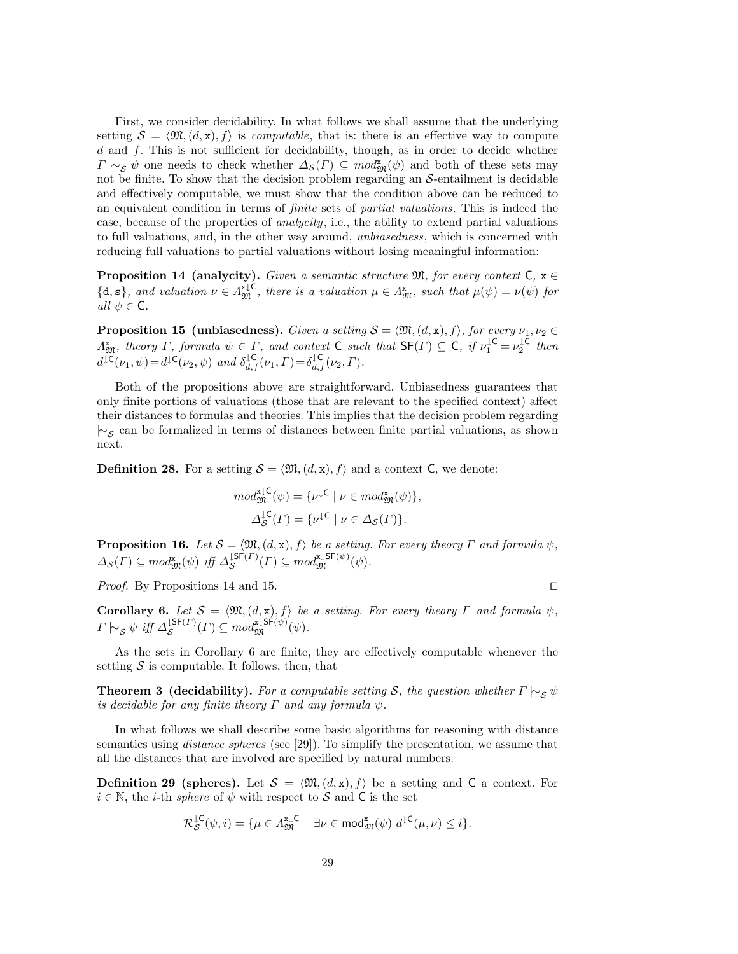First, we consider decidability. In what follows we shall assume that the underlying setting  $S = \langle \mathfrak{M}, (d, x), f \rangle$  is *computable*, that is: there is an effective way to compute d and f. This is not sufficient for decidability, though, as in order to decide whether  $\Gamma \vdash_{\mathcal{S}} \psi$  one needs to check whether  $\Delta_{\mathcal{S}}(\Gamma) \subseteq \text{mod}^{\mathbf{x}}_{\mathfrak{M}}(\psi)$  and both of these sets may not be finite. To show that the decision problem regarding an  $S$ -entailment is decidable and effectively computable, we must show that the condition above can be reduced to an equivalent condition in terms of finite sets of partial valuations. This is indeed the case, because of the properties of analycity, i.e., the ability to extend partial valuations to full valuations, and, in the other way around, unbiasedness, which is concerned with reducing full valuations to partial valuations without losing meaningful information:

**Proposition 14 (analycity).** Given a semantic structure  $\mathfrak{M}$ , for every context  $C$ ,  $x \in$  $\{\mathbf{d},\mathbf{s}\}\$ , and valuation  $\nu \in \Lambda_{\mathfrak{M}}^{x\downarrow\mathsf{C}}$ , there is a valuation  $\mu \in \Lambda_{\mathfrak{M}}^{x}$ , such that  $\mu(\psi) = \nu(\psi)$  for all  $\psi \in \mathsf{C}$ .

**Proposition 15 (unbiasedness).** Given a setting  $S = \langle \mathfrak{M}, (d, x), f \rangle$ , for every  $\nu_1, \nu_2 \in$  $\Lambda_{\mathfrak{M}}^{\mathbf{x}},$  theory  $\Gamma$ , formula  $\psi \in \Gamma$ , and context  $\mathsf{C}$  such that  $\mathsf{SF}(\Gamma) \subseteq \mathsf{C}$ , if  $\nu_1^{\mathsf{IC}} = \nu_2^{\mathsf{IC}}$  then  $d^{\downarrow \mathsf{C}}(\nu_1, \psi) = d^{\downarrow \mathsf{C}}(\nu_2, \psi)$  and  $\delta_{d,f}^{\downarrow \mathsf{C}}(\nu_1, \Gamma) = \delta_{d,f}^{\downarrow \mathsf{C}}(\nu_2, \Gamma)$ .

Both of the propositions above are straightforward. Unbiasedness guarantees that only finite portions of valuations (those that are relevant to the specified context) affect their distances to formulas and theories. This implies that the decision problem regarding  $\sim$ <sub>S</sub> can be formalized in terms of distances between finite partial valuations, as shown next.

**Definition 28.** For a setting  $S = \langle \mathfrak{M}, (d, x), f \rangle$  and a context C, we denote:

$$
mod_{\mathfrak{M}}^{\mathfrak{z}\downarrow\mathsf{C}}(\psi) = \{ \nu^{\downarrow\mathsf{C}} \mid \nu \in mod_{\mathfrak{M}}^{\mathfrak{x}}(\psi) \},
$$
  

$$
\Delta_{\mathcal{S}}^{\downarrow\mathsf{C}}(\Gamma) = \{ \nu^{\downarrow\mathsf{C}} \mid \nu \in \Delta_{\mathcal{S}}(\Gamma) \}.
$$

**Proposition 16.** Let  $S = \langle \mathfrak{M}, (d, x), f \rangle$  be a setting. For every theory  $\Gamma$  and formula  $\psi$ ,  $\Delta_{\mathcal{S}}(\Gamma) \subseteq \text{mod}_{\mathfrak{M}}^{\mathfrak{x}}(\psi) \text{ iff } \Delta_{\mathcal{S}}^{\downarrow \mathsf{SF}(\Gamma)}$  $\zeta^{\text{LSF}(T)}(T) \subseteq \text{mod}_{\mathfrak{M}}^{\text{z,LSF}(\psi)}(\psi).$ 

*Proof.* By Propositions 14 and 15.

**Corollary 6.** Let  $S = \langle \mathfrak{M}, (d, x), f \rangle$  be a setting. For every theory  $\Gamma$  and formula  $\psi$ ,  $\varGamma\hspace{0.2mm}\sim_\mathcal{S}\psi\hspace{0.2mm} \mathit{iff} \hspace{0.2mm} \varDelta^{\downarrow\mathsf{SF}(\varGamma)}_\mathcal{S}$  $\zeta^{\text{LSF}(T)}(T) \subseteq \text{mod}_{\mathfrak{M}}^{\mathfrak{X} \downarrow \text{SF}(\psi)}(\psi).$ 

As the sets in Corollary 6 are finite, they are effectively computable whenever the setting  $S$  is computable. It follows, then, that

**Theorem 3 (decidability).** For a computable setting S, the question whether  $\Gamma \vdash_S \psi$ is decidable for any finite theory  $\Gamma$  and any formula  $\psi$ .

In what follows we shall describe some basic algorithms for reasoning with distance semantics using distance spheres (see [29]). To simplify the presentation, we assume that all the distances that are involved are specified by natural numbers.

**Definition 29 (spheres).** Let  $S = \langle \mathfrak{M}, (d, x), f \rangle$  be a setting and C a context. For  $i \in \mathbb{N}$ , the *i*-th *sphere* of  $\psi$  with respect to S and C is the set

$$
\mathcal{R}^{\downarrow \mathsf{C}}_{\mathcal{S}}(\psi, i) = \{ \mu \in \Lambda^{\mathtt{x} \downarrow \mathsf{C}}_{\mathfrak{M}} \mid \exists \nu \in \mathsf{mod}^{\mathtt{x}}_{\mathfrak{M}}(\psi) \ d^{\downarrow \mathsf{C}}(\mu, \nu) \leq i \}.
$$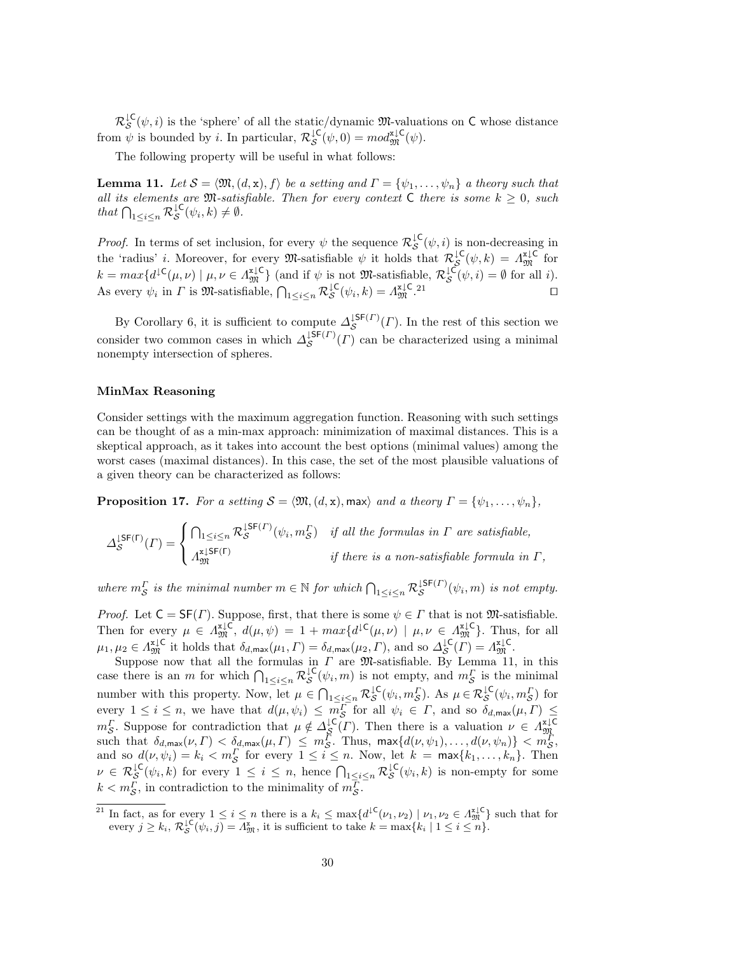$\mathcal{R}^{\mathsf{LC}}_{\mathcal{S}}(\psi, i)$  is the 'sphere' of all the static/dynamic M-valuations on C whose distance from  $\psi$  is bounded by *i*. In particular,  $\mathcal{R}_\mathcal{S}^{\downarrow \mathsf{C}}(\psi,0) = \text{mod}_{\mathfrak{M}}^{\mathfrak{sl} \mathsf{C}}(\psi)$ .

The following property will be useful in what follows:

**Lemma 11.** Let  $S = \langle \mathfrak{M}, (d, x), f \rangle$  be a setting and  $\Gamma = \{\psi_1, \ldots, \psi_n\}$  a theory such that all its elements are  $\mathfrak{M}$ -satisfiable. Then for every context C there is some  $k \geq 0$ , such that  $\bigcap_{1 \leq i \leq n} \mathcal{R}_{\mathcal{S}}^{\downarrow \mathsf{C}}(\psi_i, k) \neq \emptyset$ .

*Proof.* In terms of set inclusion, for every  $\psi$  the sequence  $\mathcal{R}_{\mathcal{S}}^{\downarrow\mathsf{C}}(\psi,i)$  is non-decreasing in the 'radius' *i*. Moreover, for every  $\mathfrak{M}$ -satisfiable  $\psi$  it holds that  $\mathcal{R}^{\downarrow\mathsf{C}}_{\mathcal{S}}(\psi,k) = \Lambda^{\mathtt{x}\downarrow\mathsf{C}}_{\mathfrak{M}}$  for  $k = max\{d^{\mathsf{LC}}(\mu, \nu) \mid \mu, \nu \in \Lambda_{\mathfrak{M}}^{\mathsf{LC}}\}$  (and if  $\psi$  is not  $\mathfrak{M}$ -satisfiable,  $\mathcal{R}_{\mathcal{S}}^{\mathsf{LC}}(\psi, i) = \emptyset$  for all *i*). As every  $\psi_i$  in  $\Gamma$  is  $\mathfrak{M}$ -satisfiable,  $\bigcap_{1 \leq i \leq n} \mathcal{R}^{\downarrow \mathsf{C}}_{\mathcal{S}}(\psi_i, k) = \Lambda^{\mathtt{x} \downarrow \mathsf{C}}_{\mathfrak{M}}$ .

By Corollary 6, it is sufficient to compute  $\Delta_S^{\downarrow \mathsf{SF}(\Gamma)}$  $S^{IPT(I)}(T)$ . In the rest of this section we consider two common cases in which  $\Delta_S^{\downarrow \mathsf{SF}(T)}$  $S^{15F(I)}(T)$  can be characterized using a minimal nonempty intersection of spheres.

### MinMax Reasoning

Consider settings with the maximum aggregation function. Reasoning with such settings can be thought of as a min-max approach: minimization of maximal distances. This is a skeptical approach, as it takes into account the best options (minimal values) among the worst cases (maximal distances). In this case, the set of the most plausible valuations of a given theory can be characterized as follows:

**Proposition 17.** For a setting  $S = \langle \mathfrak{M}, (d, x), \mathsf{max} \rangle$  and a theory  $\Gamma = \{\psi_1, \ldots, \psi_n\},\$ 

$$
\Delta_{\mathcal{S}}^{\text{LSF}(\Gamma)}(\Gamma) = \begin{cases} \bigcap_{1 \leq i \leq n} \mathcal{R}_{\mathcal{S}}^{\text{LSF}(\Gamma)}(\psi_i, m_{\mathcal{S}}^{\Gamma}) & \text{if all the formulas in } \Gamma \text{ are satisfiable,} \\ A_{\mathfrak{M}}^{\text{x,LSF}(\Gamma)} & \text{if there is a non-satisfiable formula in } \Gamma, \end{cases}
$$

where  $m_S^{\Gamma}$  is the minimal number  $m \in \mathbb{N}$  for which  $\bigcap_{1 \leq i \leq n} \mathcal{R}_{\mathcal{S}}^{\downarrow \mathsf{SF}(T)}$  $S^{S(1)}(\psi_i,m)$  is not empty.

*Proof.* Let  $C = SF(\Gamma)$ . Suppose, first, that there is some  $\psi \in \Gamma$  that is not  $\mathfrak{M}$ -satisfiable. Then for every  $\mu \in \Lambda_{\mathfrak{M}}^{x\downarrow\mathsf{C}}$ ,  $d(\mu,\psi) = 1 + \max\{d^{\downarrow\mathsf{C}}(\mu,\nu) \mid \mu,\nu \in \Lambda_{\mathfrak{M}}^{x\downarrow\mathsf{C}}\}$ . Thus, for all  $\mu_1, \mu_2 \in \Lambda_{\mathfrak{M}}^{\mathfrak{X} \downarrow \mathsf{C}}$  it holds that  $\delta_{d,\max}(\mu_1, \Gamma) = \delta_{d,\max}(\mu_2, \Gamma)$ , and so  $\Delta_{\mathcal{S}}^{\downarrow \mathsf{C}}(\Gamma) = \Lambda_{\mathfrak{M}}^{\mathfrak{X} \downarrow \mathsf{C}}$ .

Suppose now that all the formulas in  $\Gamma$  are  $\mathfrak{M}$ -satisfiable. By Lemma 11, in this case there is an m for which  $\bigcap_{1 \leq i \leq n} \mathcal{R}_{\mathcal{S}}^{\downarrow\mathsf{C}}(\psi_i,m)$  is not empty, and  $m_{\mathcal{S}}^{\Gamma}$  is the minimal number with this property. Now, let  $\mu \in \bigcap_{1 \leq i \leq n} \mathcal{R}_{\mathcal{S}}^{\downarrow\mathsf{C}}(\psi_i, m_{\mathcal{S}}^{\mathsf{C}})$ . As  $\mu \in \mathcal{R}_{\mathcal{S}}^{\downarrow\mathsf{C}}(\psi_i, m_{\mathcal{S}}^{\mathsf{C}})$  for every  $1 \leq i \leq n$ , we have that  $d(\mu, \psi_i) \leq m_S^{\overline{\Gamma}}$  for all  $\psi_i \in \Gamma$ , and so  $\delta_{d, \max}(\mu, \Gamma) \leq$  $m_S^{\Gamma}$ . Suppose for contradiction that  $\mu \notin \Delta_S^{\mathcal{LC}}(\Gamma)$ . Then there is a valuation  $\nu \in \Lambda_{\mathfrak{M}}^{\mathfrak{gl}}\subset \text{such that } \delta_{d,\max}(\nu,\Gamma) < \delta_{d,\max}(\mu,\Gamma) \leq m_S^{\Gamma}$ . Thus,  $\max\{d(\nu,\psi_1),\ldots,d(\nu,\psi_n)\} < m_S^{\Gamma}$ . and so  $d(\nu, \psi_i) = k_i < m_S^{\Gamma}$  for every  $1 \leq i \leq n$ . Now, let  $k = \max\{k_1, \ldots, k_n\}$ . Then  $\nu \in \mathcal{R}^{\downarrow\mathsf{C}}_{\mathcal{S}}(\psi_i,k)$  for every  $1 \leq i \leq n$ , hence  $\bigcap_{1 \leq i \leq n} \mathcal{R}^{\downarrow\mathsf{C}}_{\mathcal{S}}(\psi_i,k)$  is non-empty for some  $k < m_S^{\Gamma}$ , in contradiction to the minimality of  $m_S^{\overline{\Gamma}}$ .

<sup>&</sup>lt;sup>21</sup> In fact, as for every  $1 \leq i \leq n$  there is a  $k_i \leq \max\{d^{\mathcal{LC}}(\nu_1, \nu_2) \mid \nu_1, \nu_2 \in \Lambda_{\mathfrak{M}}^{\mathfrak{r} \downarrow \mathbb{C}}\}$  such that for every  $j \geq k_i$ ,  $\mathcal{R}_{\mathcal{S}}^{\downarrow \mathsf{C}}(\psi_i, j) = \Lambda_{\mathfrak{M}}^{\mathtt{x}}$ , it is sufficient to take  $k = \max\{k_i \mid 1 \leq i \leq n\}$ .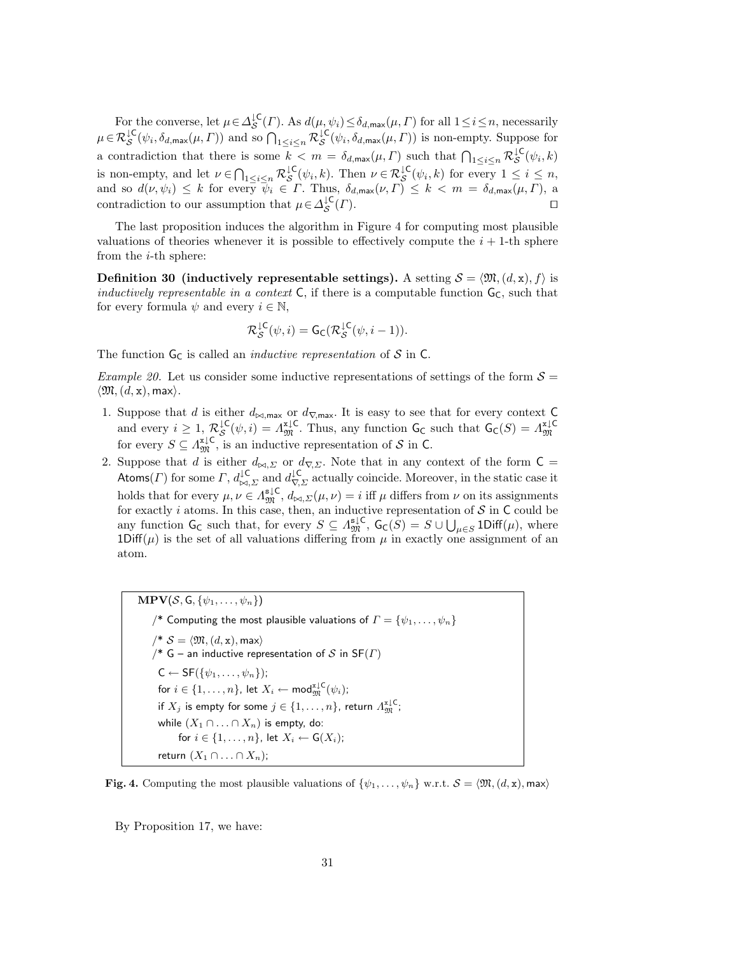For the converse, let  $\mu \in \Delta_{\mathcal{S}}^{\downarrow \mathsf{C}}(\Gamma)$ . As  $d(\mu, \psi_i) \leq \delta_{d, \max}(\mu, \Gamma)$  for all  $1 \leq i \leq n$ , necessarily  $\mu \in \mathcal{R}^{\mathcal{L}\mathsf{C}}_{\mathcal{S}}(\psi_i, \delta_{d,\max}(\mu, \Gamma))$  and so  $\bigcap_{1 \leq i \leq n} \mathcal{R}^{\mathcal{L}\mathsf{C}}_{\mathcal{S}}(\psi_i, \delta_{d,\max}(\mu, \Gamma))$  is non-empty. Suppose for a contradiction that there is some  $k < m = \delta_{d,\max}(\mu, \Gamma)$  such that  $\bigcap_{1 \leq i \leq n} \mathcal{R}_{\mathcal{S}}^{\mathcal{L}(\psi_i, k)}$ is non-empty, and let  $\nu \in \bigcap_{1 \leq i \leq n} \mathcal{R}_{\mathcal{S}}^{\downarrow\mathsf{C}}(\psi_i,k)$ . Then  $\nu \in \mathcal{R}_{\mathcal{S}}^{\downarrow\mathsf{C}}(\psi_i,k)$  for every  $1 \leq i \leq n$ , and so  $d(\nu, \psi_i) \leq k$  for every  $\psi_i \in \Gamma$ . Thus,  $\delta_{d, \max}(\nu, \Gamma) \leq k < m = \delta_{d, \max}(\mu, \Gamma)$ , a contradiction to our assumption that  $\mu \in \Delta_S^{\downarrow \mathbb{C}}$  $(\Gamma)$ .

The last proposition induces the algorithm in Figure 4 for computing most plausible valuations of theories whenever it is possible to effectively compute the  $i + 1$ -th sphere from the i-th sphere:

Definition 30 (inductively representable settings). A setting  $S = \langle \mathfrak{M}, (d, x), f \rangle$  is inductively representable in a context C, if there is a computable function  $G_C$ , such that for every formula  $\psi$  and every  $i \in \mathbb{N}$ ,

$$
\mathcal{R}_{\mathcal{S}}^{\downarrow\mathsf{C}}(\psi,i)=\mathsf{G}_{\mathsf{C}}(\mathcal{R}_{\mathcal{S}}^{\downarrow\mathsf{C}}(\psi,i-1)).
$$

The function  $G_C$  is called an *inductive representation* of S in C.

*Example 20.* Let us consider some inductive representations of settings of the form  $S =$  $\langle \mathfrak{M},(d,{\tt x}),$  max $\rangle.$ 

- 1. Suppose that d is either  $d_{\bowtie, \text{max}}$  or  $d_{\nabla, \text{max}}$ . It is easy to see that for every context C and every  $i \geq 1$ ,  $\mathcal{R}_{\mathcal{S}}^{\downarrow \mathsf{C}}(\psi, i) = \Lambda_{\mathfrak{M}}^{\mathfrak{z} \downarrow \mathsf{C}}$ . Thus, any function  $\mathsf{G}_{\mathsf{C}}$  such that  $\mathsf{G}_{\mathsf{C}}(S) = \Lambda_{\mathfrak{M}}^{\mathfrak{z} \downarrow \mathsf{C}}$ for every  $S \subseteq \Lambda_{\mathfrak{M}}^{\mathfrak{x} \downarrow \mathsf{C}}$ , is an inductive representation of S in C.
- 2. Suppose that d is either  $d_{\bowtie, \Sigma}$  or  $d_{\nabla, \Sigma}$ . Note that in any context of the form C = Atoms(*Γ*) for some  $\Gamma$ ,  $d_{\bowtie,\Sigma}^{\downarrow\complement}$  and  $d_{\nabla,\Sigma}^{\downarrow\complement}$  actually coincide. Moreover, in the static case it holds that for every  $\mu, \nu \in \Lambda_{\mathfrak{M}}^{\mathfrak{s} \downarrow \mathsf{C}}, d_{\bowtie,\Sigma}(\mu, \nu) = i$  iff  $\mu$  differs from  $\nu$  on its assignments for exactly i atoms. In this case, then, an inductive representation of  $S$  in  $C$  could be any function  $G_C$  such that, for every  $S \subseteq \Lambda_{\mathfrak{M}}^{\mathsf{s}\downarrow\mathsf{C}}, G_C(S) = S \cup \bigcup_{\mu \in S} 1\text{Diff}(\mu)$ , where 1Diff( $\mu$ ) is the set of all valuations differing from  $\mu$  in exactly one assignment of an atom.

 $\text{MPV}(\mathcal{S}, \overline{\mathsf{G}, \{\psi_1, \ldots, \psi_n\}})$ /\* Computing the most plausible valuations of  $\Gamma = \{\psi_1, \dots, \psi_n\}$  $\mathcal{N}^*$   $\mathcal{S} = \langle \mathfrak{M}, (d, \mathbf{x}), \mathsf{max} \rangle$ /\* G – an inductive representation of S in  $SF(\Gamma)$  $C \leftarrow SF(\{\psi_1, \ldots, \psi_n\})$ ; for  $i \in \{1, \ldots, n\}$ , let  $X_i \leftarrow \mathsf{mod}_{\mathfrak{M}}^{\mathtt{z} \downarrow \mathsf{C}}(\psi_i);$ if  $X_j$  is empty for some  $j\in\{1,\ldots,n\}$ , return  $\varLambda^{\mathtt{x}\downarrow\mathsf{C}}_{\mathfrak{M}};$ while  $(X_1 \cap \ldots \cap X_n)$  is empty, do: for  $i \in \{1, \ldots, n\}$ , let  $X_i \leftarrow G(X_i)$ ; return  $(X_1 \cap \ldots \cap X_n)$ ;

**Fig. 4.** Computing the most plausible valuations of  $\{\psi_1, \ldots, \psi_n\}$  w.r.t.  $\mathcal{S} = \langle \mathfrak{M}, (d, x), \mathfrak{m} \rangle$ 

By Proposition 17, we have: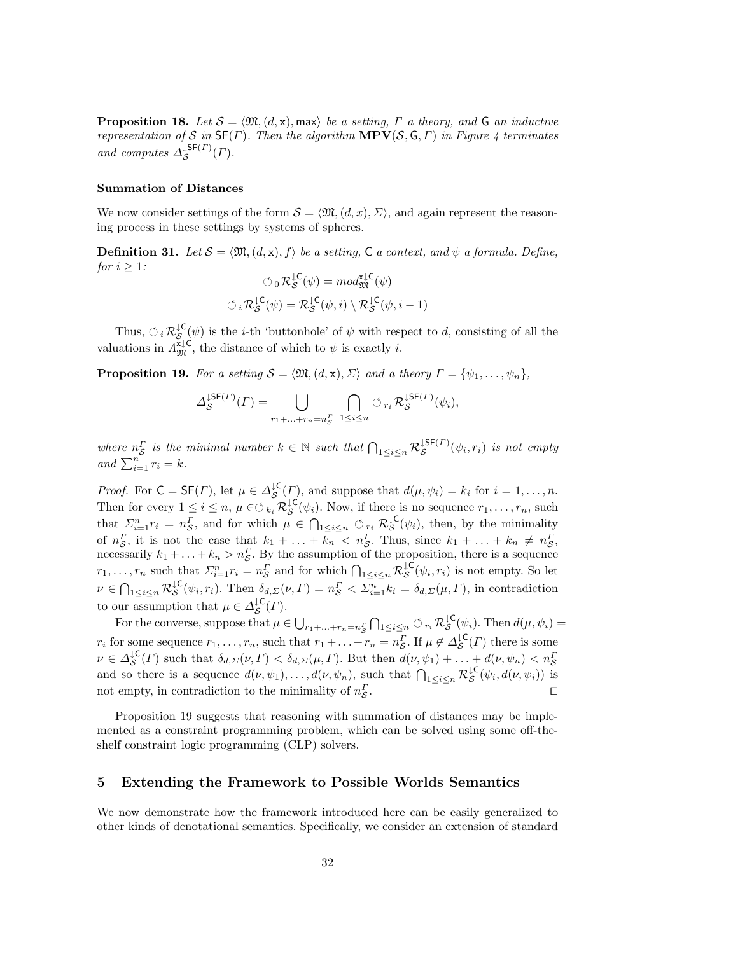**Proposition 18.** Let  $S = \langle \mathfrak{M}, (d, x), \text{max} \rangle$  be a setting,  $\Gamma$  a theory, and G an inductive representation of S in  $\mathsf{SF}(\Gamma)$ . Then the algorithm  $\mathbf{MPV}(\mathcal{S}, \mathsf{G}, \Gamma)$  in Figure 4 terminates and computes  $\Delta_S^{\downarrow \mathsf{SF}(\Gamma)}$  $S^{5\mathsf{F}(I^{\prime})}(\Gamma).$ 

#### Summation of Distances

We now consider settings of the form  $\mathcal{S} = \langle \mathfrak{M}, (d, x), \Sigma \rangle$ , and again represent the reasoning process in these settings by systems of spheres.

**Definition 31.** Let  $S = \langle \mathfrak{M}, (d, x), f \rangle$  be a setting, C a context, and  $\psi$  a formula. Define, for  $i \geq 1$ :

$$
\circlearrowleft_{0} \mathcal{R}_{\mathcal{S}}^{\downarrow \mathsf{C}}(\psi) = \operatorname{mod}_{\mathfrak{M}}^{\mathfrak{X} \downarrow \mathsf{C}}(\psi)
$$

$$
\circlearrowleft_i \mathcal{R}_{\mathcal{S}}^{\downarrow \mathsf{C}}(\psi) = \mathcal{R}_{\mathcal{S}}^{\downarrow \mathsf{C}}(\psi, i) \setminus \mathcal{R}_{\mathcal{S}}^{\downarrow \mathsf{C}}(\psi, i - 1)
$$

Thus,  $\circlearrowleft_i \mathcal{R}_{\mathcal{S}}^{\downarrow\mathsf{C}}(\psi)$  is the *i*-th 'buttonhole' of  $\psi$  with respect to *d*, consisting of all the valuations in  $\Lambda_{\mathfrak{M}}^{\mathfrak{x}\downarrow\mathsf{C}}$ , the distance of which to  $\psi$  is exactly *i*.

**Proposition 19.** For a setting  $S = \langle \mathfrak{M}, (d, x), \Sigma \rangle$  and a theory  $\Gamma = \{\psi_1, \ldots, \psi_n\},\$ 

$$
\Delta_{\mathcal{S}}^{\mathsf{LSF}(T)}(\Gamma) = \bigcup_{r_1 + \ldots + r_n = n_{\mathcal{S}}^r} \bigcap_{1 \leq i \leq n} \circlearrowleft_{r_i} \mathcal{R}_{\mathcal{S}}^{\mathsf{LSF}(T)}(\psi_i),
$$

where  $n_S^{\Gamma}$  is the minimal number  $k \in \mathbb{N}$  such that  $\bigcap_{1 \leq i \leq n} \mathcal{R}_{\mathcal{S}}^{\downarrow \mathsf{SF}(\Gamma)}$  $\mathcal{S}^{\mathsf{LSP}(1)}(\psi_i,r_i)$  is not empty and  $\sum_{i=1}^n r_i = k$ .

*Proof.* For  $C = SF(\Gamma)$ , let  $\mu \in \Delta_S^{\mathcal{L}}(\Gamma)$ , and suppose that  $d(\mu, \psi_i) = k_i$  for  $i = 1, ..., n$ . Then for every  $1 \leq i \leq n$ ,  $\mu \in \bigcirc_{k_i} \mathcal{R}_{\mathcal{S}}^{\downarrow \mathsf{C}}(\psi_i)$ . Now, if there is no sequence  $r_1, \ldots, r_n$ , such that  $\Sigma_{i=1}^n r_i = n_S^{\Gamma}$ , and for which  $\mu \in \bigcap_{1 \leq i \leq n} \mathcal{O}_{r_i} \mathcal{R}_{\mathcal{S}}^{\downarrow \mathsf{C}}(\psi_i)$ , then, by the minimality of  $n_S^{\Gamma}$ , it is not the case that  $k_1 + \ldots + k_n < n_S^{\Gamma}$ . Thus, since  $k_1 + \ldots + k_n \neq n_S^{\Gamma}$ , necessarily  $k_1 + \ldots + k_n > n_S^{\Gamma}$ . By the assumption of the proposition, there is a sequence  $r_1, \ldots, r_n$  such that  $\Sigma_{i=1}^n r_i = n_S^{\Gamma}$  and for which  $\bigcap_{1 \leq i \leq n} \mathcal{R}_{\mathcal{S}}^{\downarrow \mathsf{C}}(\psi_i, r_i)$  is not empty. So let  $\nu \in \bigcap_{1 \leq i \leq n} \mathcal{R}_{\mathcal{S}}^{\downarrow\mathsf{C}}(\psi_i, r_i)$ . Then  $\delta_{d,\Sigma}(\nu, \Gamma) = n_{\mathcal{S}}^{\Gamma} < \Sigma_{i=1}^n k_i = \delta_{d,\Sigma}(\mu, \Gamma)$ , in contradiction to our assumption that  $\mu \in \Delta_{\mathcal{S}}^{\downarrow \mathsf{C}}(\Gamma)$ .

For the converse, suppose that  $\mu \in \bigcup_{r_1+\ldots+r_n=n_S} \bigcap_{1 \leq i \leq n} \bigcirc_{r_i} \mathcal{R}_{\mathcal{S}}^{\downarrow \mathsf{C}}(\psi_i)$ . Then  $d(\mu, \psi_i) =$  $r_i$  for some sequence  $r_1, \ldots, r_n$ , such that  $r_1 + \ldots + r_n = n_S^{\Gamma}$ . If  $\mu \notin \Delta_{\mathcal{S}}^{\mathcal{IC}}(\Gamma)$  there is some  $\nu \in \Delta_{\mathcal{S}}^{\downarrow\mathsf{C}}(\Gamma)$  such that  $\delta_{d,\Sigma}(\nu,\Gamma) < \delta_{d,\Sigma}(\mu,\Gamma)$ . But then  $d(\nu,\psi_1) + \ldots + d(\nu,\psi_n) < n_{\mathcal{S}}^{\Gamma}$ and so there is a sequence  $d(\nu, \psi_1), \ldots, d(\nu, \psi_n)$ , such that  $\bigcap_{1 \leq i \leq n} \mathcal{R}_{\mathcal{S}}^{\downarrow \mathsf{C}}(\psi_i, d(\nu, \psi_i))$  is not empty, in contradiction to the minimality of  $n_S^I$ . The contract of the contract of  $\Box$ 

Proposition 19 suggests that reasoning with summation of distances may be implemented as a constraint programming problem, which can be solved using some off-theshelf constraint logic programming (CLP) solvers.

## 5 Extending the Framework to Possible Worlds Semantics

We now demonstrate how the framework introduced here can be easily generalized to other kinds of denotational semantics. Specifically, we consider an extension of standard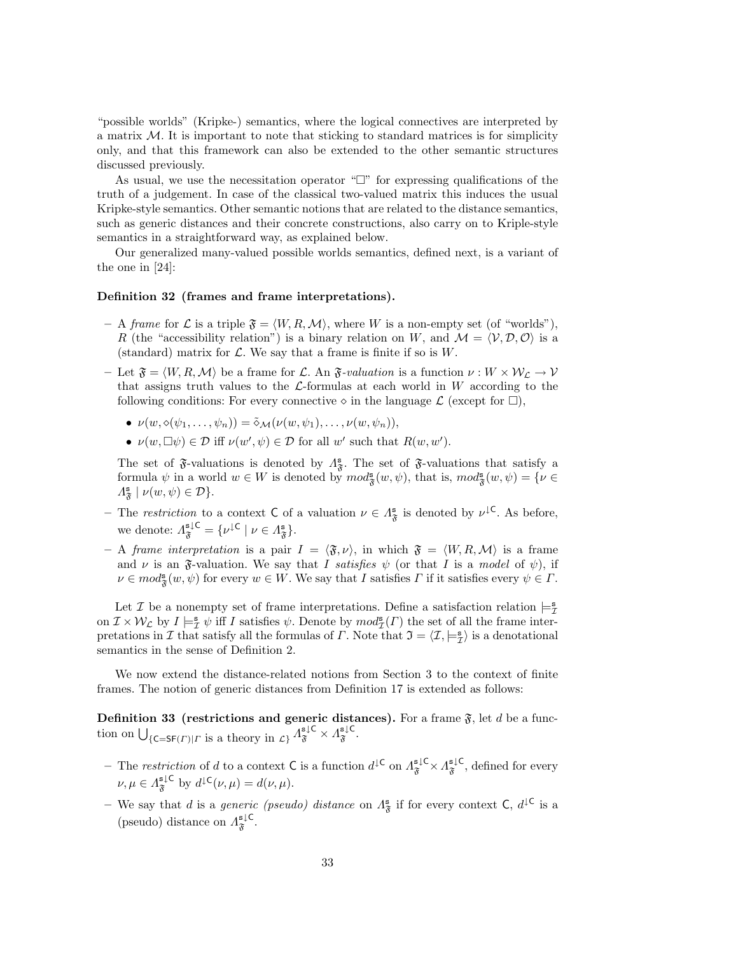"possible worlds" (Kripke-) semantics, where the logical connectives are interpreted by a matrix  $M$ . It is important to note that sticking to standard matrices is for simplicity only, and that this framework can also be extended to the other semantic structures discussed previously.

As usual, we use the necessitation operator " $\Box$ " for expressing qualifications of the truth of a judgement. In case of the classical two-valued matrix this induces the usual Kripke-style semantics. Other semantic notions that are related to the distance semantics, such as generic distances and their concrete constructions, also carry on to Kriple-style semantics in a straightforward way, as explained below.

Our generalized many-valued possible worlds semantics, defined next, is a variant of the one in [24]:

#### Definition 32 (frames and frame interpretations).

- A frame for L is a triple  $\mathfrak{F} = \langle W, R, \mathcal{M} \rangle$ , where W is a non-empty set (of "worlds"), R (the "accessibility relation") is a binary relation on W, and  $\mathcal{M} = \langle \mathcal{V}, \mathcal{D}, \mathcal{O} \rangle$  is a (standard) matrix for  $\mathcal{L}$ . We say that a frame is finite if so is W.
- Let  $\mathfrak{F} = \langle W, R, \mathcal{M} \rangle$  be a frame for L. An  $\mathfrak{F}\text{-}valuation$  is a function  $\nu : W \times \mathcal{W}_\mathcal{L} \to \mathcal{V}$ that assigns truth values to the  $\mathcal{L}$ -formulas at each world in W according to the following conditions: For every connective  $\circ$  in the language  $\mathcal L$  (except for  $\Box$ ),
	- $\nu(w, \diamond(\psi_1, \ldots, \psi_n)) = \tilde{\diamond}_{\mathcal{M}}(\nu(w, \psi_1), \ldots, \nu(w, \psi_n)),$
	- $\nu(w, \Box \psi) \in \mathcal{D}$  iff  $\nu(w', \psi) \in \mathcal{D}$  for all w' such that  $R(w, w')$ .

The set of  $\mathfrak F$ -valuations is denoted by  $\Lambda_{\mathfrak F}^{\mathbf s}$ . The set of  $\mathfrak F$ -valuations that satisfy a formula  $\psi$  in a world  $w \in W$  is denoted by  $mod_{\mathfrak{F}}^{\mathbf{s}}(w, \psi)$ , that is,  $mod_{\mathfrak{F}}^{\mathbf{s}}(w, \psi) = \{ \nu \in$  $\Lambda_{\mathfrak{F}}^{\mathbf{s}} \mid \nu(w,\psi) \in \mathcal{D} \}.$ 

- The restriction to a context C of a valuation  $\nu \in \Lambda^s_{\mathfrak{F}}$  is denoted by  $\nu^{\downarrow}$ C. As before, we denote:  $\Lambda_{\mathfrak{F}}^{\mathsf{s} \downarrow \mathsf{C}} = \{ \nu^{\downarrow \mathsf{C}} \mid \nu \in \Lambda_{\mathfrak{F}}^{\mathsf{s}} \}.$
- A frame interpretation is a pair  $I = \langle \mathfrak{F}, \nu \rangle$ , in which  $\mathfrak{F} = \langle W, R, \mathcal{M} \rangle$  is a frame and  $\nu$  is an  $\mathfrak F$ -valuation. We say that I satisfies  $\psi$  (or that I is a model of  $\psi$ ), if  $\nu \in mod_{\mathfrak{F}}^{\mathbf{s}}(w, \psi)$  for every  $w \in W$ . We say that I satisfies  $\Gamma$  if it satisfies every  $\psi \in \Gamma$ .

Let  $\mathcal I$  be a nonempty set of frame interpretations. Define a satisfaction relation  $\models_{\mathcal I}^s$ on  $\mathcal{I} \times \mathcal{W}_\mathcal{L}$  by  $I \models^s_{\mathcal{I}} \psi$  iff I satisfies  $\psi$ . Denote by  $mod^s_{\mathcal{I}}(\Gamma)$  the set of all the frame interpretations in I that satisfy all the formulas of  $\Gamma$ . Note that  $\mathfrak{I} = \langle \mathcal{I}, \models^{\mathbf{s}}_{\mathcal{I}} \rangle$  is a denotational semantics in the sense of Definition 2.

We now extend the distance-related notions from Section 3 to the context of finite frames. The notion of generic distances from Definition 17 is extended as follows:

**Definition 33** (restrictions and generic distances). For a frame  $\mathfrak{F}$ , let d be a function on  $\bigcup_{\{\mathsf{C}=S\mathsf{F}(\Gamma)|\Gamma\text{ is a theory in }\mathcal{L}\}}\Lambda_{\mathfrak{F}}^{\mathsf{s}\downarrow\mathsf{C}}\times\Lambda_{\mathfrak{F}}^{\mathsf{s}\downarrow\mathsf{C}}.$ 

- The restriction of d to a context C is a function  $d^{\downarrow \mathsf{C}}$  on  $\Lambda_{\mathfrak{F}}^{\mathfrak{s} \downarrow \mathsf{C}} \times \Lambda_{\mathfrak{F}}^{\mathfrak{s} \downarrow \mathsf{C}}$ , defined for every  $\nu, \mu \in \Lambda_{\mathfrak{F}}^{\mathsf{s} \downarrow \mathsf{C}}$  by  $d^{\downarrow \mathsf{C}}(\nu, \mu) = d(\nu, \mu).$
- We say that d is a *generic (pseudo)* distance on  $\Lambda^{\mathbf{s}}_{\mathfrak{F}}$  if for every context  $\mathsf{C}, d^{\mathsf{IC}}$  is a (pseudo) distance on  $\Lambda_{\mathfrak{F}}^{\mathsf{s}\downarrow\mathsf{C}}$ .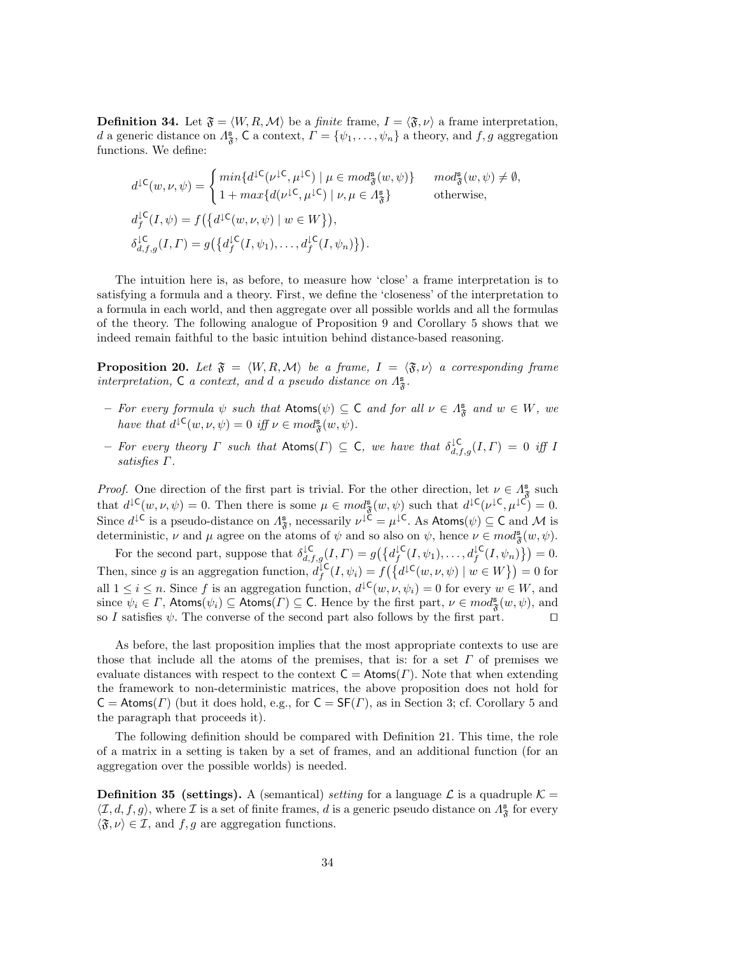**Definition 34.** Let  $\mathfrak{F} = \langle W, R, \mathcal{M} \rangle$  be a *finite* frame,  $I = \langle \mathfrak{F}, \nu \rangle$  a frame interpretation, d a generic distance on  $\Lambda_{\mathfrak{F}}^s$ , C a context,  $\Gamma = \{\psi_1, \ldots, \psi_n\}$  a theory, and  $f, g$  aggregation functions. We define:

$$
d^{L\mathsf{C}}(w,\nu,\psi) = \begin{cases} \min\{d^{L\mathsf{C}}(\nu^{L\mathsf{C}},\mu^{L\mathsf{C}}) \mid \mu \in \operatorname{mod}_{\mathfrak{F}}^{\mathbf{s}}(w,\psi)\} & \mod_{\mathfrak{F}}^{\mathbf{s}}(w,\psi) \neq \emptyset, \\ 1 + \max\{d(\nu^{L\mathsf{C}},\mu^{L\mathsf{C}}) \mid \nu,\mu \in \Lambda_{\mathfrak{F}}^{\mathbf{s}}\} & \text{otherwise,} \end{cases}
$$
  

$$
d_f^{L\mathsf{C}}(I,\psi) = f(\{d^{L\mathsf{C}}(w,\nu,\psi) \mid w \in W\}),
$$
  

$$
\delta_{d,f,g}^{L\mathsf{C}}(I,\Gamma) = g(\{d_f^{L\mathsf{C}}(I,\psi_1),\ldots,d_f^{L\mathsf{C}}(I,\psi_n)\}).
$$

The intuition here is, as before, to measure how 'close' a frame interpretation is to satisfying a formula and a theory. First, we define the 'closeness' of the interpretation to a formula in each world, and then aggregate over all possible worlds and all the formulas of the theory. The following analogue of Proposition 9 and Corollary 5 shows that we indeed remain faithful to the basic intuition behind distance-based reasoning.

**Proposition 20.** Let  $\mathfrak{F} = \langle W, R, \mathcal{M} \rangle$  be a frame,  $I = \langle \mathfrak{F}, \nu \rangle$  a corresponding frame interpretation, C a context, and d a pseudo distance on  $\Lambda_{\mathfrak{F}}^{\mathbf{s}}$ .

- For every formula  $\psi$  such that  $\mathsf{Atoms}(\psi) \subseteq \mathsf{C}$  and for all  $\nu \in \Lambda^{\mathsf{s}}_{\mathfrak{F}}$  and  $w \in W$ , we have that  $d^{\downarrow}(\mathcal{C}(w,\nu,\psi)) = 0$  iff  $\nu \in mod_{\mathfrak{F}}^{\mathbf{s}}(w,\psi)$ .
- For every theory  $\Gamma$  such that  $\mathsf{Atoms}(\Gamma) \subseteq \mathsf{C}$ , we have that  $\delta_{d,f,g}^{\mathsf{LC}}(I,\Gamma) = 0$  iff I satisfies Γ.

*Proof.* One direction of the first part is trivial. For the other direction, let  $\nu \in A^s_{\mathfrak{F}}$  such that  $d^{\mathcal{L}}(w,\nu,\psi) = 0$ . Then there is some  $\mu \in mod_{\mathfrak{F}}^{\mathbf{s}}(w,\psi)$  such that  $d^{\mathcal{L}}(\nu^{\mathcal{L}},\mu^{\mathcal{L}}) = 0$ . Since  $d^{\downarrow}$ C is a pseudo-distance on  $\Lambda_{\mathfrak{F}}^s$ , necessarily  $\nu^{\downarrow}$ C =  $\mu^{\downarrow}$ C. As Atoms $(\psi) \subseteq C$  and M is deterministic,  $\nu$  and  $\mu$  agree on the atoms of  $\psi$  and so also on  $\psi$ , hence  $\nu \in mod_{\mathfrak{F}}^{\mathbf{s}}(w, \psi)$ .

For the second part, suppose that  $\delta_{d,f,g}^{\downarrow \mathsf{C}}(I,\Gamma) = g(\big\{d_f^{\downarrow \mathsf{C}}(I,\psi_1),\ldots,d_f^{\downarrow \mathsf{C}}(I,\psi_n)\big\}) = 0.$ Then, since g is an aggregation function,  $d_f^{\mathcal{L}}(I, \psi_i) = f(\{d^{\mathcal{L}}(w, \nu, \psi) \mid w \in W\}) = 0$  for all  $1 \leq i \leq n$ . Since f is an aggregation function,  $d^{\mathcal{L}}(w, \nu, \psi_i) = 0$  for every  $w \in W$ , and since  $\psi_i \in \Gamma$ , Atoms $(\psi_i) \subseteq$  Atoms $(\Gamma) \subseteq C$ . Hence by the first part,  $\nu \in mod_{\mathfrak{F}}^{\mathbf{s}}(w, \psi)$ , and so I satisfies  $\psi$ . The converse of the second part also follows by the first part.  $\Box$ 

As before, the last proposition implies that the most appropriate contexts to use are those that include all the atoms of the premises, that is: for a set  $\Gamma$  of premises we evaluate distances with respect to the context  $C = Atoms(\Gamma)$ . Note that when extending the framework to non-deterministic matrices, the above proposition does not hold for  $C = Atoms(\Gamma)$  (but it does hold, e.g., for  $C = SF(\Gamma)$ , as in Section 3; cf. Corollary 5 and the paragraph that proceeds it).

The following definition should be compared with Definition 21. This time, the role of a matrix in a setting is taken by a set of frames, and an additional function (for an aggregation over the possible worlds) is needed.

**Definition 35 (settings).** A (semantical) setting for a language  $\mathcal{L}$  is a quadruple  $\mathcal{K} =$  $\langle \mathcal{I},d, f,g \rangle$ , where  $\mathcal{I}$  is a set of finite frames, d is a generic pseudo distance on  $\Lambda^s_{\mathfrak{F}}$  for every  $\langle \mathfrak{F}, \nu \rangle \in \mathcal{I}$ , and  $f, g$  are aggregation functions.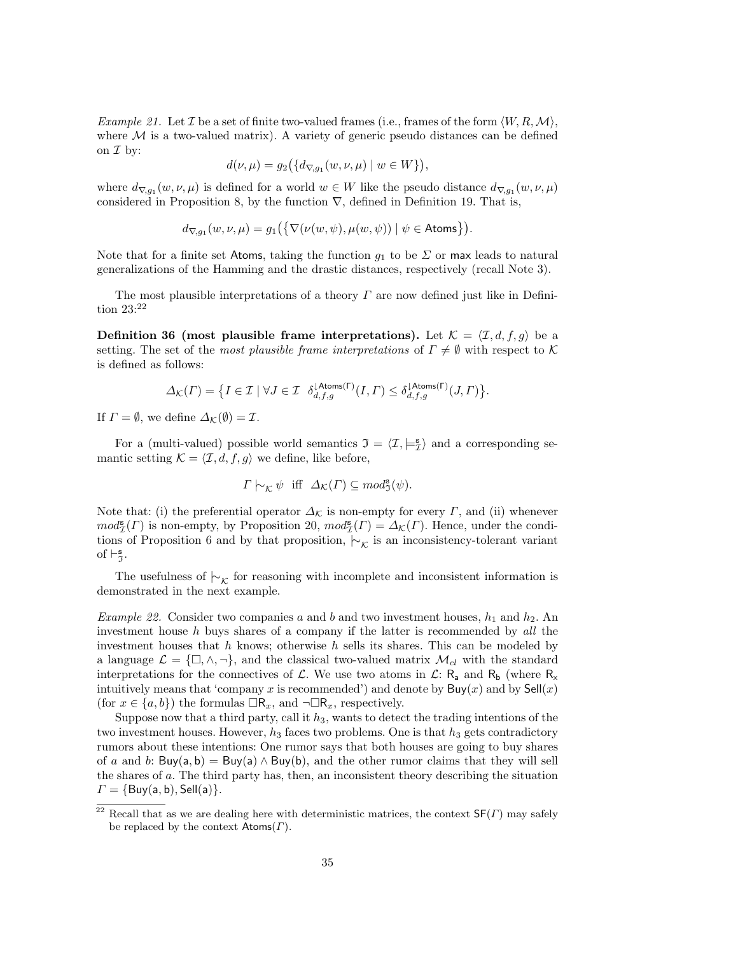*Example 21.* Let T be a set of finite two-valued frames (i.e., frames of the form  $\langle W, R, M \rangle$ , where  $\mathcal M$  is a two-valued matrix). A variety of generic pseudo distances can be defined on  $\mathcal I$  by:

$$
d(\nu, \mu) = g_2\big(\{d_{\nabla, g_1}(w, \nu, \mu) \mid w \in W\}\big),
$$

where  $d_{\nabla,g_1}(w,\nu,\mu)$  is defined for a world  $w \in W$  like the pseudo distance  $d_{\nabla,g_1}(w,\nu,\mu)$ considered in Proposition 8, by the function  $\nabla$ , defined in Definition 19. That is,

$$
d_{\nabla, g_1}(w, \nu, \mu) = g_1\big(\big\{\nabla(\nu(w, \psi), \mu(w, \psi)) \mid \psi \in \mathsf{Atoms}\big\}\big).
$$

Note that for a finite set Atoms, taking the function  $g_1$  to be  $\Sigma$  or max leads to natural generalizations of the Hamming and the drastic distances, respectively (recall Note 3).

The most plausible interpretations of a theory  $\Gamma$  are now defined just like in Definition 23:<sup>22</sup>

**Definition 36** (most plausible frame interpretations). Let  $K = \langle I, d, f, g \rangle$  be a setting. The set of the most plausible frame interpretations of  $\Gamma \neq \emptyset$  with respect to K is defined as follows:

$$
\varDelta_{\mathcal{K}}(\varGamma)=\big\{I\in\mathcal{I}\mid \forall J\in\mathcal{I}~~\delta_{d,f,g}^{\downarrow\mathsf{Atoms}(\Gamma)}(I,\varGamma)\leq\delta_{d,f,g}^{\downarrow\mathsf{Atoms}(\Gamma)}(J,\varGamma)\big\}.
$$

If  $\Gamma = \emptyset$ , we define  $\Delta_{\mathcal{K}}(\emptyset) = \mathcal{I}$ .

For a (multi-valued) possible world semantics  $\mathfrak{I} = \langle \mathcal{I}, \models^{\mathbf{s}}_{\mathcal{I}} \rangle$  and a corresponding semantic setting  $\mathcal{K} = \langle \mathcal{I}, d, f, g \rangle$  we define, like before,

$$
\Gamma \mid \sim_{\mathcal{K}} \psi \text{ iff } \Delta_{\mathcal{K}}(\Gamma) \subseteq \text{mod}_{\mathfrak{I}}^{\mathbf{s}}(\psi).
$$

Note that: (i) the preferential operator  $\Delta_{\mathcal{K}}$  is non-empty for every  $\Gamma$ , and (ii) whenever  $mod_{\mathcal{I}}^{\mathbf{s}}(\Gamma)$  is non-empty, by Proposition 20,  $mod_{\mathcal{I}}^{\mathbf{s}}(\Gamma) = \Delta_{\mathcal{K}}(\Gamma)$ . Hence, under the conditions of Proposition 6 and by that proposition,  $\sim_k$  is an inconsistency-tolerant variant of  $\vdash^{\mathsf{s}}_{\mathfrak{I}}$ .

The usefulness of  $\vdash_K$  for reasoning with incomplete and inconsistent information is demonstrated in the next example.

*Example 22.* Consider two companies a and b and two investment houses,  $h_1$  and  $h_2$ . An investment house h buys shares of a company if the latter is recommended by all the investment houses that  $h$  knows; otherwise  $h$  sells its shares. This can be modeled by a language  $\mathcal{L} = \{\Box, \wedge, \neg\}$ , and the classical two-valued matrix  $\mathcal{M}_{cl}$  with the standard interpretations for the connectives of L. We use two atoms in L:  $R_a$  and  $R_b$  (where  $R_x$ intuitively means that 'company x is recommended') and denote by  $\mathsf{Buy}(x)$  and by  $\mathsf{Sell}(x)$ (for  $x \in \{a, b\}$ ) the formulas  $\Box R_x$ , and  $\neg \Box R_x$ , respectively.

Suppose now that a third party, call it  $h_3$ , wants to detect the trading intentions of the two investment houses. However,  $h_3$  faces two problems. One is that  $h_3$  gets contradictory rumors about these intentions: One rumor says that both houses are going to buy shares of a and b: Buy(a, b) = Buy(a)  $\land$  Buy(b), and the other rumor claims that they will sell the shares of a. The third party has, then, an inconsistent theory describing the situation  $\Gamma = \{ \text{Buy}(a, b), \text{Sell}(a) \}.$ 

<sup>&</sup>lt;sup>22</sup> Recall that as we are dealing here with deterministic matrices, the context  $\mathsf{SF}(F)$  may safely be replaced by the context  $\mathsf{Atoms}(F)$ .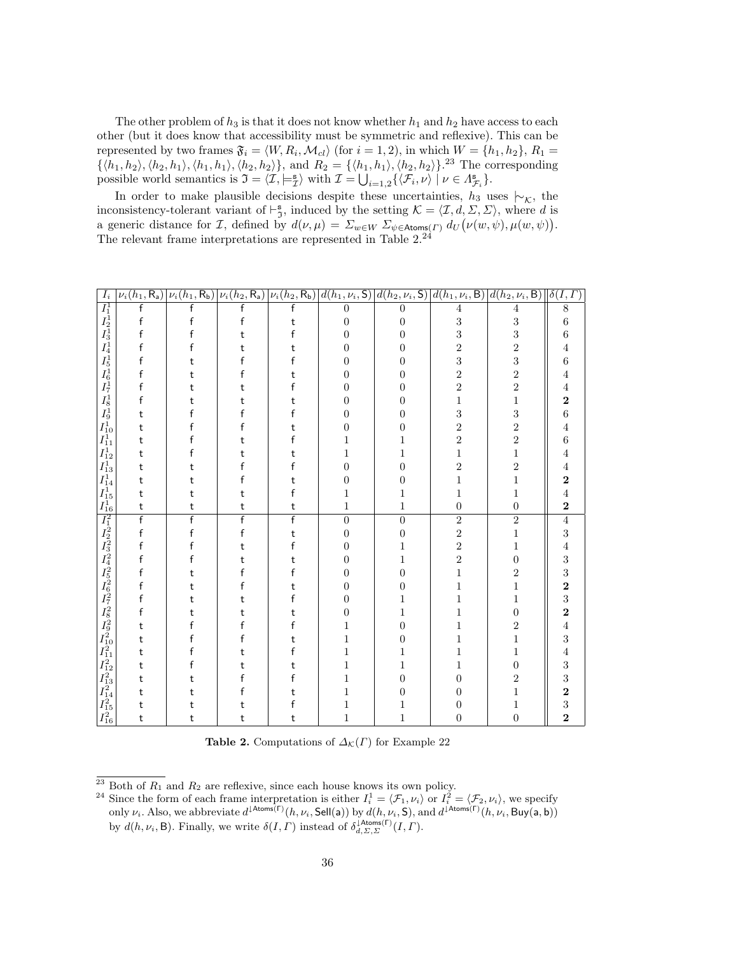The other problem of  $h_3$  is that it does not know whether  $h_1$  and  $h_2$  have access to each other (but it does know that accessibility must be symmetric and reflexive). This can be represented by two frames  $\mathfrak{F}_i = \langle W, R_i, \mathcal{M}_{cl} \rangle$  (for  $i = 1, 2$ ), in which  $W = \{h_1, h_2\}, R_1 =$  $\{\langle h_1, h_2 \rangle, \langle h_2, h_1 \rangle, \langle h_1, h_1 \rangle, \langle h_2, h_2 \rangle\}$ , and  $R_2 = \{\langle h_1, h_1 \rangle, \langle h_2, h_2 \rangle\}$ .<sup>23</sup> The corresponding possible world semantics is  $\mathfrak{I} = \langle \mathcal{I}, \models_{\mathcal{I}}^{\mathbf{s}} \rangle$  with  $\mathcal{I} = \bigcup_{i=1,2} \{ \langle \mathcal{F}_i, \nu \rangle \mid \nu \in \Lambda_{\mathcal{F}_i}^{\mathbf{s}} \}.$ 

In order to make plausible decisions despite these uncertainties,  $h_3$  uses  $|~\rangle_{\mathcal{K}}$ , the inconsistency-tolerant variant of  $\vdash^{\mathbf{s}}_{\mathfrak{I}}$ , induced by the setting  $\mathcal{K} = \langle \mathcal{I}, d, \Sigma, \Sigma \rangle$ , where d is a generic distance for *I*, defined by  $d(\nu, \mu) = \sum_{w \in W} \sum_{\psi \in \text{Atoms}(I)} d_U(\nu(w, \psi), \mu(w, \psi)).$ The relevant frame interpretations are represented in Table 2.<sup>24</sup>

| $I_i$ |                         | $\frac{\nu_{i}(h_{1}, R_{a}) \nu_{i}(h_{1}, R_{b}) \nu_{i}(h_{2}, R_{a}) \nu_{i}(h_{2}, R_{b})}{f}$ |                |                |                |                |                  | $\begin{array}{ c c c c c } \hline d(h_1,\nu_i,\mathsf{S}) & d(h_2,\nu_i,\mathsf{S}) & d(h_1,\nu_i,\mathsf{B}) & d(h_2,\nu_i,\mathsf{B}) & \delta(I,\varGamma) \ \hline 0 & 0 & 4 & 4 & 8 \ 0 & 0 & 3 & 3 & 6 \ 0 & 0 & 3 & 3 & 6 \ \hline \end{array}$ |                                              |
|-------|-------------------------|-----------------------------------------------------------------------------------------------------|----------------|----------------|----------------|----------------|------------------|---------------------------------------------------------------------------------------------------------------------------------------------------------------------------------------------------------------------------------------------------------|----------------------------------------------|
|       |                         |                                                                                                     |                |                |                |                |                  |                                                                                                                                                                                                                                                         |                                              |
|       | $\mathsf f$             | $\mathsf{f}$                                                                                        | $\mathsf{f}$   | t              |                |                |                  |                                                                                                                                                                                                                                                         |                                              |
|       |                         |                                                                                                     | t              | f              |                |                |                  |                                                                                                                                                                                                                                                         |                                              |
|       |                         |                                                                                                     |                | t              |                | 0              | $\overline{2}$   | $\overline{c}$                                                                                                                                                                                                                                          | $\overline{4}$                               |
|       | f                       |                                                                                                     |                |                | 0              | 0              | 3                | 3                                                                                                                                                                                                                                                       | $\overline{6}$                               |
|       |                         |                                                                                                     |                |                |                | 0              | $\overline{2}$   | $\overline{2}$                                                                                                                                                                                                                                          | 4                                            |
|       |                         |                                                                                                     |                |                |                | 0              | $\overline{2}$   | $\overline{2}$                                                                                                                                                                                                                                          | $\overline{4}$                               |
|       | f                       |                                                                                                     |                |                | 0              | 0              | $\mathbf{1}$     | $\mathbf{1}$                                                                                                                                                                                                                                            | $\frac{2}{6}$                                |
|       | t                       |                                                                                                     |                |                | 0              | 0              | 3                | 3                                                                                                                                                                                                                                                       |                                              |
|       | t                       |                                                                                                     |                |                | 0              | 0              | $\overline{2}$   | $\overline{2}$                                                                                                                                                                                                                                          | $\overline{4}$                               |
|       | t                       |                                                                                                     |                |                |                |                | $\overline{2}$   | $\overline{2}$                                                                                                                                                                                                                                          | 6                                            |
|       | t                       |                                                                                                     |                |                |                | 1              | $\mathbf 1$      | 1                                                                                                                                                                                                                                                       | 4                                            |
|       | t                       |                                                                                                     |                |                | 0              | 0              | $\overline{2}$   | $\overline{2}$                                                                                                                                                                                                                                          | $\overline{4}$                               |
|       | t                       |                                                                                                     |                |                |                | 0              | $\mathbf{1}$     | 1                                                                                                                                                                                                                                                       | $\overline{\mathbf{2}}$                      |
|       | t                       | t                                                                                                   | t              |                |                | 1              | 1                | 1                                                                                                                                                                                                                                                       | $\overline{4}$                               |
|       | $\sf t$                 | t                                                                                                   | t              | t              | 1              | 1              | $\boldsymbol{0}$ | $\boldsymbol{0}$                                                                                                                                                                                                                                        | $\overline{\mathbf{2}}$                      |
|       | $\overline{\mathsf{f}}$ | $\overline{f}$                                                                                      | $\overline{f}$ | $\overline{f}$ | $\overline{0}$ | $\overline{0}$ | $\overline{2}$   | $\overline{2}$                                                                                                                                                                                                                                          | $\frac{4}{3}$                                |
|       | f                       | f                                                                                                   | f              | t              | $\overline{0}$ | $\overline{0}$ | $\overline{2}$   | $\mathbf{1}$                                                                                                                                                                                                                                            |                                              |
|       | f                       |                                                                                                     |                |                | 0              | 1              | $\overline{2}$   | 1                                                                                                                                                                                                                                                       | $\overline{4}$                               |
|       | f                       |                                                                                                     |                | t              |                | 1              | $\overline{2}$   | 0                                                                                                                                                                                                                                                       |                                              |
|       |                         |                                                                                                     |                |                |                | 0              | $\mathbf{1}$     | $\overline{2}$                                                                                                                                                                                                                                          | $\frac{3}{3}$                                |
|       | f                       |                                                                                                     |                |                |                | 0              | 1                | 1                                                                                                                                                                                                                                                       | $\overline{\mathbf{2}}$                      |
|       | f                       |                                                                                                     |                |                | $\mathbf{0}$   | 1              | 1                | 1                                                                                                                                                                                                                                                       | $\frac{3}{2}$                                |
|       | f                       |                                                                                                     |                |                | 0              | 1              |                  | 0                                                                                                                                                                                                                                                       |                                              |
|       | t                       |                                                                                                     |                |                |                | 0              |                  | $\overline{2}$                                                                                                                                                                                                                                          | $\overline{4}$                               |
|       | t                       |                                                                                                     |                |                |                | 0              |                  | 1                                                                                                                                                                                                                                                       | 3                                            |
|       | t                       |                                                                                                     |                |                |                | 1              |                  | 1                                                                                                                                                                                                                                                       | $\overline{4}$                               |
|       | t                       |                                                                                                     |                |                |                | 1              | 1                | 0                                                                                                                                                                                                                                                       | 3                                            |
|       | t                       |                                                                                                     |                |                |                | 0              | 0                | $\overline{2}$                                                                                                                                                                                                                                          |                                              |
|       | t                       |                                                                                                     |                |                |                | 0              | 0                | 1                                                                                                                                                                                                                                                       |                                              |
|       | t                       | t                                                                                                   |                |                |                | 1              | 0                | 1                                                                                                                                                                                                                                                       | $\begin{array}{c} 3 \ 2 \ 3 \ 2 \end{array}$ |
|       | t                       | t                                                                                                   | t              | t              | 1              | 1              | 0                | $\boldsymbol{0}$                                                                                                                                                                                                                                        |                                              |

Table 2. Computations of  $\Delta_{\mathcal{K}}(\Gamma)$  for Example 22

 $^{23}$  Both of  $\mathcal{R}_1$  and  $\mathcal{R}_2$  are reflexive, since each house knows its own policy.

<sup>&</sup>lt;sup>24</sup> Since the form of each frame interpretation is either  $I_i^1 = \langle \mathcal{F}_1, \nu_i \rangle$  or  $I_i^2 = \langle \mathcal{F}_2, \nu_i \rangle$ , we specify only  $\nu_i$ . Also, we abbreviate  $d^{\downarrow \text{Atoms}(\Gamma)}(h, \nu_i, \text{Sell(a))}$  by  $d(h, \nu_i, \text{S})$ , and  $d^{\downarrow \text{Atoms}(\Gamma)}(h, \nu_i, \text{Buy(a, b)})$ by  $d(h, \nu_i, \mathsf{B})$ . Finally, we write  $\delta(I, \Gamma)$  instead of  $\delta_{d, \Sigma, \Sigma}^{\mathsf{14toms}(\Gamma)}(I, \Gamma)$ .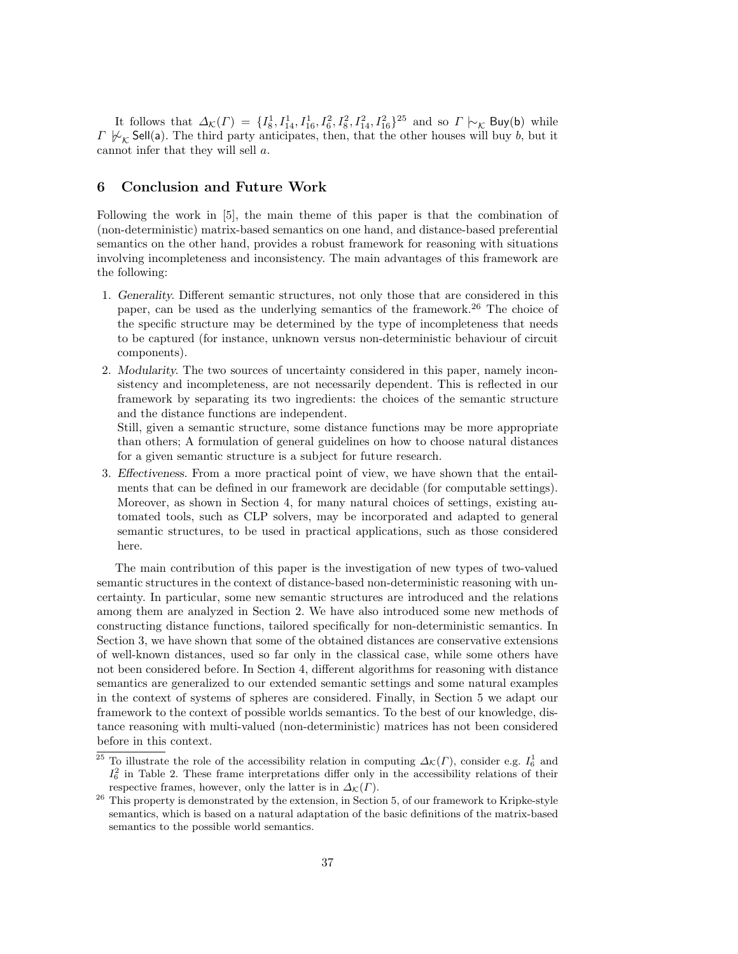It follows that  $\Delta_{\mathcal{K}}(F) = \{I_8^1, I_{14}^1, I_{16}^1, I_6^2, I_8^2, I_{14}^2, I_{16}^2\}^{25}$  and so  $\Gamma \vdash_{\mathcal{K}}$  Buy(b) while Γ  $\mathcal{V}_\kappa$  Sell(a). The third party anticipates, then, that the other houses will buy b, but it cannot infer that they will sell a.

# 6 Conclusion and Future Work

Following the work in [5], the main theme of this paper is that the combination of (non-deterministic) matrix-based semantics on one hand, and distance-based preferential semantics on the other hand, provides a robust framework for reasoning with situations involving incompleteness and inconsistency. The main advantages of this framework are the following:

- 1. Generality. Different semantic structures, not only those that are considered in this paper, can be used as the underlying semantics of the framework.<sup>26</sup> The choice of the specific structure may be determined by the type of incompleteness that needs to be captured (for instance, unknown versus non-deterministic behaviour of circuit components).
- 2. Modularity. The two sources of uncertainty considered in this paper, namely inconsistency and incompleteness, are not necessarily dependent. This is reflected in our framework by separating its two ingredients: the choices of the semantic structure and the distance functions are independent.

Still, given a semantic structure, some distance functions may be more appropriate than others; A formulation of general guidelines on how to choose natural distances for a given semantic structure is a subject for future research.

3. Effectiveness. From a more practical point of view, we have shown that the entailments that can be defined in our framework are decidable (for computable settings). Moreover, as shown in Section 4, for many natural choices of settings, existing automated tools, such as CLP solvers, may be incorporated and adapted to general semantic structures, to be used in practical applications, such as those considered here.

The main contribution of this paper is the investigation of new types of two-valued semantic structures in the context of distance-based non-deterministic reasoning with uncertainty. In particular, some new semantic structures are introduced and the relations among them are analyzed in Section 2. We have also introduced some new methods of constructing distance functions, tailored specifically for non-deterministic semantics. In Section 3, we have shown that some of the obtained distances are conservative extensions of well-known distances, used so far only in the classical case, while some others have not been considered before. In Section 4, different algorithms for reasoning with distance semantics are generalized to our extended semantic settings and some natural examples in the context of systems of spheres are considered. Finally, in Section 5 we adapt our framework to the context of possible worlds semantics. To the best of our knowledge, distance reasoning with multi-valued (non-deterministic) matrices has not been considered before in this context.

<sup>&</sup>lt;sup>25</sup> To illustrate the role of the accessibility relation in computing  $\Delta_{\mathcal{K}}(F)$ , consider e.g.  $I_6^1$  and  $I_6^2$  in Table 2. These frame interpretations differ only in the accessibility relations of their respective frames, however, only the latter is in  $\Delta_{\mathcal{K}}(\Gamma)$ .

 $26$  This property is demonstrated by the extension, in Section 5, of our framework to Kripke-style semantics, which is based on a natural adaptation of the basic definitions of the matrix-based semantics to the possible world semantics.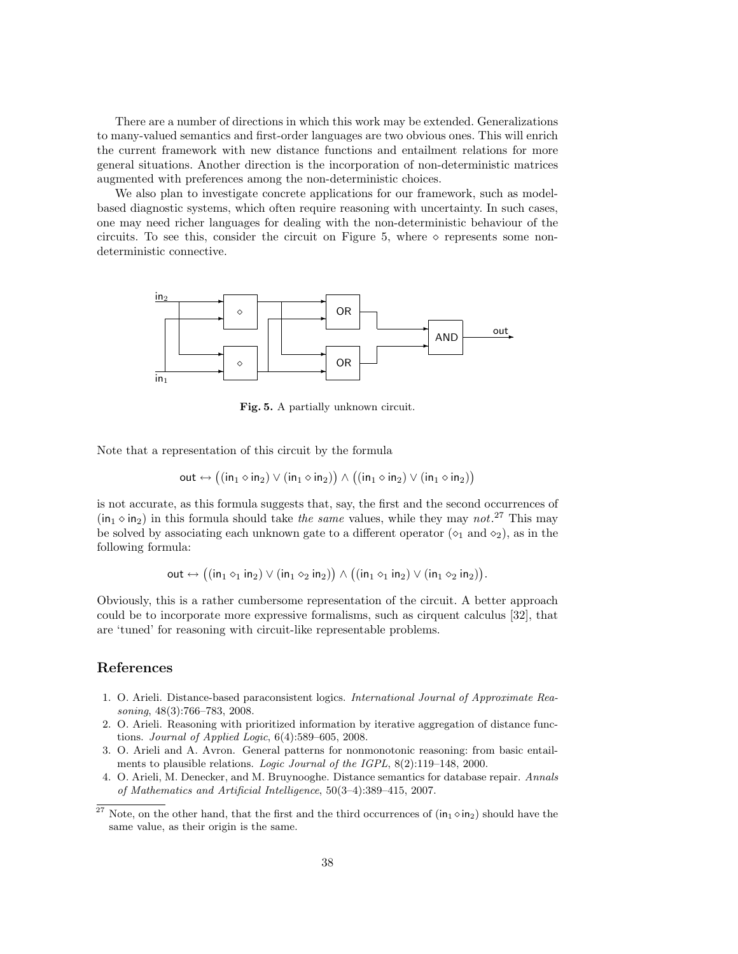There are a number of directions in which this work may be extended. Generalizations to many-valued semantics and first-order languages are two obvious ones. This will enrich the current framework with new distance functions and entailment relations for more general situations. Another direction is the incorporation of non-deterministic matrices augmented with preferences among the non-deterministic choices.

We also plan to investigate concrete applications for our framework, such as modelbased diagnostic systems, which often require reasoning with uncertainty. In such cases, one may need richer languages for dealing with the non-deterministic behaviour of the circuits. To see this, consider the circuit on Figure 5, where  $\diamond$  represents some nondeterministic connective.



Fig. 5. A partially unknown circuit.

Note that a representation of this circuit by the formula

$$
\mathsf{out} \leftrightarrow ((\mathsf{in}_1 \diamond \mathsf{in}_2) \vee (\mathsf{in}_1 \diamond \mathsf{in}_2)) \wedge ((\mathsf{in}_1 \diamond \mathsf{in}_2) \vee (\mathsf{in}_1 \diamond \mathsf{in}_2))
$$

is not accurate, as this formula suggests that, say, the first and the second occurrences of  $(in_1 \diamond in_2)$  in this formula should take the same values, while they may not.<sup>27</sup> This may be solved by associating each unknown gate to a different operator ( $\circ_1$  and  $\circ_2$ ), as in the following formula:

$$
\mathsf{out} \leftrightarrow \big((\mathsf{in}_1\diamond_1\mathsf{in}_2) \vee (\mathsf{in}_1\diamond_2\mathsf{in}_2)\big) \wedge \big((\mathsf{in}_1\diamond_1\mathsf{in}_2) \vee (\mathsf{in}_1\diamond_2\mathsf{in}_2)\big).
$$

Obviously, this is a rather cumbersome representation of the circuit. A better approach could be to incorporate more expressive formalisms, such as cirquent calculus [32], that are 'tuned' for reasoning with circuit-like representable problems.

# References

- 1. O. Arieli. Distance-based paraconsistent logics. International Journal of Approximate Reasoning, 48(3):766–783, 2008.
- 2. O. Arieli. Reasoning with prioritized information by iterative aggregation of distance functions. Journal of Applied Logic, 6(4):589–605, 2008.
- 3. O. Arieli and A. Avron. General patterns for nonmonotonic reasoning: from basic entailments to plausible relations. Logic Journal of the IGPL, 8(2):119–148, 2000.
- 4. O. Arieli, M. Denecker, and M. Bruynooghe. Distance semantics for database repair. Annals of Mathematics and Artificial Intelligence, 50(3–4):389–415, 2007.

<sup>&</sup>lt;sup>27</sup> Note, on the other hand, that the first and the third occurrences of  $(in_1 \diamond in_2)$  should have the same value, as their origin is the same.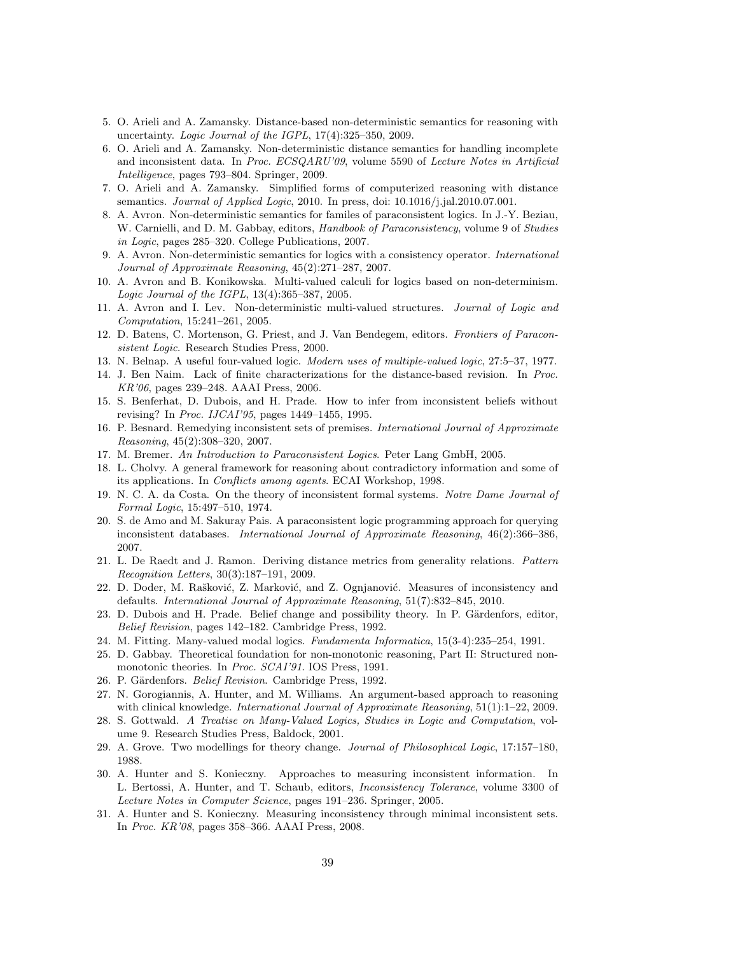- 5. O. Arieli and A. Zamansky. Distance-based non-deterministic semantics for reasoning with uncertainty. Logic Journal of the IGPL, 17(4):325-350, 2009.
- 6. O. Arieli and A. Zamansky. Non-deterministic distance semantics for handling incomplete and inconsistent data. In Proc. ECSQARU'09, volume 5590 of Lecture Notes in Artificial Intelligence, pages 793–804. Springer, 2009.
- 7. O. Arieli and A. Zamansky. Simplified forms of computerized reasoning with distance semantics. *Journal of Applied Logic*, 2010. In press, doi: 10.1016/j.jal.2010.07.001.
- 8. A. Avron. Non-deterministic semantics for familes of paraconsistent logics. In J.-Y. Beziau, W. Carnielli, and D. M. Gabbay, editors, *Handbook of Paraconsistency*, volume 9 of *Studies* in Logic, pages 285–320. College Publications, 2007.
- 9. A. Avron. Non-deterministic semantics for logics with a consistency operator. International Journal of Approximate Reasoning, 45(2):271–287, 2007.
- 10. A. Avron and B. Konikowska. Multi-valued calculi for logics based on non-determinism. Logic Journal of the IGPL, 13(4):365–387, 2005.
- 11. A. Avron and I. Lev. Non-deterministic multi-valued structures. Journal of Logic and Computation, 15:241–261, 2005.
- 12. D. Batens, C. Mortenson, G. Priest, and J. Van Bendegem, editors. Frontiers of Paraconsistent Logic. Research Studies Press, 2000.
- 13. N. Belnap. A useful four-valued logic. Modern uses of multiple-valued logic, 27:5–37, 1977.
- 14. J. Ben Naim. Lack of finite characterizations for the distance-based revision. In Proc. KR'06, pages 239–248. AAAI Press, 2006.
- 15. S. Benferhat, D. Dubois, and H. Prade. How to infer from inconsistent beliefs without revising? In Proc. IJCAI'95, pages 1449–1455, 1995.
- 16. P. Besnard. Remedying inconsistent sets of premises. International Journal of Approximate Reasoning, 45(2):308–320, 2007.
- 17. M. Bremer. An Introduction to Paraconsistent Logics. Peter Lang GmbH, 2005.
- 18. L. Cholvy. A general framework for reasoning about contradictory information and some of its applications. In Conflicts among agents. ECAI Workshop, 1998.
- 19. N. C. A. da Costa. On the theory of inconsistent formal systems. Notre Dame Journal of Formal Logic, 15:497–510, 1974.
- 20. S. de Amo and M. Sakuray Pais. A paraconsistent logic programming approach for querying inconsistent databases. International Journal of Approximate Reasoning, 46(2):366–386, 2007.
- 21. L. De Raedt and J. Ramon. Deriving distance metrics from generality relations. Pattern Recognition Letters, 30(3):187–191, 2009.
- 22. D. Doder, M. Rašković, Z. Marković, and Z. Ognjanović. Measures of inconsistency and defaults. International Journal of Approximate Reasoning, 51(7):832–845, 2010.
- 23. D. Dubois and H. Prade. Belief change and possibility theory. In P. Gärdenfors, editor, Belief Revision, pages 142–182. Cambridge Press, 1992.
- 24. M. Fitting. Many-valued modal logics. Fundamenta Informatica, 15(3-4):235–254, 1991.
- 25. D. Gabbay. Theoretical foundation for non-monotonic reasoning, Part II: Structured nonmonotonic theories. In Proc. SCAI'91. IOS Press, 1991.
- 26. P. Gärdenfors. Belief Revision. Cambridge Press, 1992.
- 27. N. Gorogiannis, A. Hunter, and M. Williams. An argument-based approach to reasoning with clinical knowledge. *International Journal of Approximate Reasoning*, 51(1):1–22, 2009.
- 28. S. Gottwald. A Treatise on Many-Valued Logics, Studies in Logic and Computation, volume 9. Research Studies Press, Baldock, 2001.
- 29. A. Grove. Two modellings for theory change. Journal of Philosophical Logic, 17:157–180, 1988.
- 30. A. Hunter and S. Konieczny. Approaches to measuring inconsistent information. In L. Bertossi, A. Hunter, and T. Schaub, editors, Inconsistency Tolerance, volume 3300 of Lecture Notes in Computer Science, pages 191–236. Springer, 2005.
- 31. A. Hunter and S. Konieczny. Measuring inconsistency through minimal inconsistent sets. In Proc. KR'08, pages 358–366. AAAI Press, 2008.